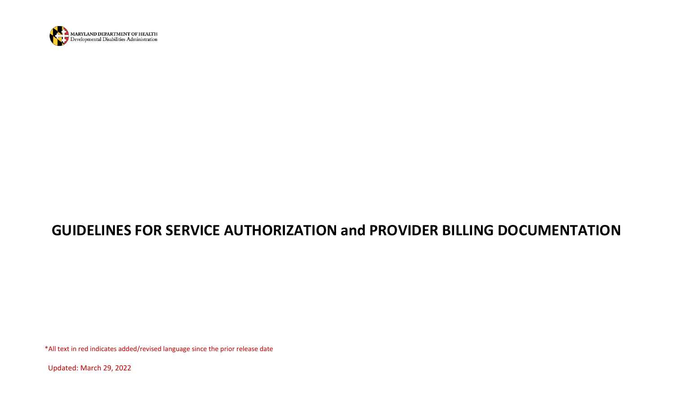

## **GUIDELINES FOR SERVICE AUTHORIZATION and PROVIDER BILLING DOCUMENTATION**

\*All text in red indicates added/revised language since the prior release date

Updated: March 29, 2022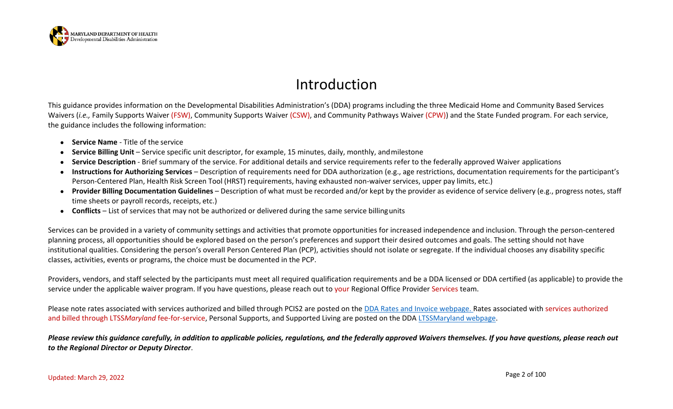

# Introduction

This guidance provides information on the Developmental Disabilities Administration's (DDA) programs including the three Medicaid Home and Community Based Services Waivers *(i.e.,* Family Supports Waiver (FSW), Community Supports Waiver (CSW), and Community Pathways Waiver (CPW)) and the State Funded program. For each service, the guidance includes the following information:

- **Service Name**  Title of the service
- **Service Billing Unit** Service specific unit descriptor, for example, 15 minutes, daily, monthly, and milestone
- **Service Description**  Brief summary of the service. For additional details and service requirements refer to the federally approved Waiver applications
- **Instructions for Authorizing Services**  Description of requirements need for DDA authorization (e.g., age restrictions, documentation requirements for the participant's Person-Centered Plan, Health Risk Screen Tool (HRST) requirements, having exhausted non-waiver services, upper pay limits, etc.)
- **Provider Billing Documentation Guidelines** Description of what must be recorded and/or kept by the provider as evidence of service delivery (e.g., progress notes, staff time sheets or payroll records, receipts, etc.)
- **Conflicts**  List of services that may not be authorized or delivered during the same service billingunits

Services can be provided in a variety of community settings and activities that promote opportunities for increased independence and inclusion. Through the person-centered planning process, all opportunities should be explored based on the person's preferences and support their desired outcomes and goals. The setting should not have institutional qualities. Considering the person's overall Person Centered Plan (PCP), activities should not isolate or segregate. If the individual chooses any disability specific classes, activities, events or programs, the choice must be documented in the PCP.

Providers, vendors, and staff selected by the participants must meet all required qualification requirements and be a DDA licensed or DDA certified (as applicable) to provide the service under the applicable waiver program. If you have questions, please reach out to your Regional Office Provider Services team.

Please note rates associated with services authorized and billed through PCIS2 are posted on the [DDA Rates and Invoice webpage.](https://dda.health.maryland.gov/Pages/rates.aspx) Rates associated with services authorized and billed through LTSS*Maryland* fee-for-service, Personal Supports, and Supported Living are posted on the DDA [LTSSMaryland webpage.](https://dda.health.maryland.gov/Pages/LTSS%20Maryland.aspx)

*Please review this guidance carefully, in addition to applicable policies, regulations, and the federally approved Waivers themselves. If you have questions, please reach out to the Regional Director or Deputy Director*.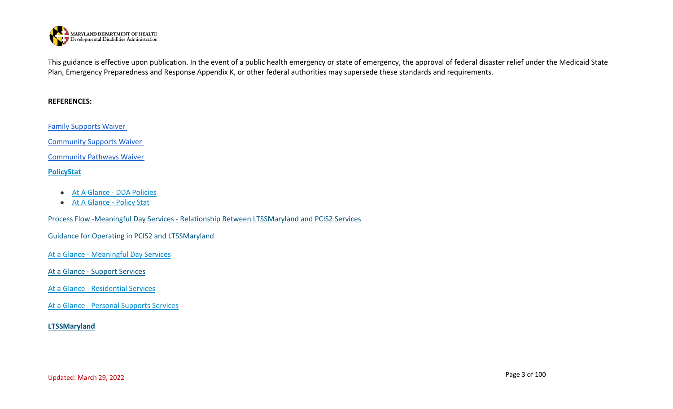

This guidance is effective upon publication. In the event of a public health emergency or state of emergency, the approval of federal disaster relief under the Medicaid State Plan, Emergency Preparedness and Response Appendix K, or other federal authorities may supersede these standards and requirements.

#### **REFERENCES:**

[Family Supports Waiver](https://www.medicaid.gov/medicaid/section-1115-demo/demonstration-and-waiver-list/81996)

[Community Supports Waiver](https://www.medicaid.gov/medicaid/section-1115-demo/demonstration-and-waiver-list/82001)

[Community Pathways Waiver](https://www.medicaid.gov/medicaid/section-1115-demo/demonstration-and-waiver-list/81941)

### **[PolicyStat](https://dhmh.policystat.com/policy_search/category/?terms=39206&terms=39208&terms=39207&search_query)**

- [At A Glance -](https://dda.health.maryland.gov/Documents/Transformation/At%20a%20Glance%20Documents/DDA%20Policies%20At%20a%20Glance%202020.08.21.pdf) DDA Policies
- [At A Glance -](https://dda.health.maryland.gov/Documents/Transformation/At%20a%20Glance%20Documents/PolicyStat%20At%20A%20Glance%202020.08.21.docx%20(2)%20(2).pdf) Policy Stat

Process Flow -Meaningful Day Services - [Relationship Between LTSSMaryland and PCIS2 Services](https://files.constantcontact.com/f401fd14401/94ae7307-92c1-4047-987f-559763d3fb9f.pdf)

[Guidance for Operating in PCIS2 and LTSSMaryland](https://dda.health.maryland.gov/Documents/Transformation/GuidanceForTheJuly1-2020Transition-PROOF%208.17.20.pdf)

At a Glance - [Meaningful Day Services](https://health.maryland.gov/dda/Documents/Transformation/At%20a%20Glance%20Documents/3.15.21/AAG-MeaningfulDayServicesPlanningAuthorization%20Revised%20March%2015%2c%202021.pdf)

At a Glance - [Support Services](https://health.maryland.gov/dda/Documents/Transformation/At%20a%20Glance%20Documents/3.15.21/AAG-SupportServicesPlanningAuthorization%20Revised%20March%2015%2c%202021.pdf)

At a Glance - [Residential Services](https://health.maryland.gov/dda/Documents/Transformation/At%20a%20Glance%20Documents/3.15.21/AAG-ResidentialServicesPlanningAuthorization%20Revised%20March%2015%2c%202021.pdf)

At a Glance - [Personal Supports Services](http://r20.rs6.net/tn.jsp?f=00198ZM39pvmQV2JrjIfFxZw3A8ACJZx0xG04J5TMlTflZSSIKtG2r6j9qrgfaCTGFLgVKC6ZUlGkKGF1mx3ORw3wPlgIeDqfiO_p4_ImjtP_solenFpmSnBN0JjsVpW0Tfv2Rus9k3_ZAd7Ycz0DpuPt3jGhtr4S2CkYZH7K0M5YtntbFCSFe7e3FfNkXMhnfrC56olhbG4QsbVtbPsY_anqBO8KO1Aol2nzeEauUI9WU%3D&c=Gy806GsFJ8i4bPVa_lhThA4xLmQ60fA5EDkcBzGKm_icuTghcCHwHQ%3D%3D&ch=SqAoMesxCZ3R0rYxLJO7hIpUl_1GSECyfEvmxikoplhlgsDtA5D9-Q%3D%3D)

#### **[LTSSMaryland](https://dda.health.maryland.gov/Pages/LTSS%20Maryland.aspx)**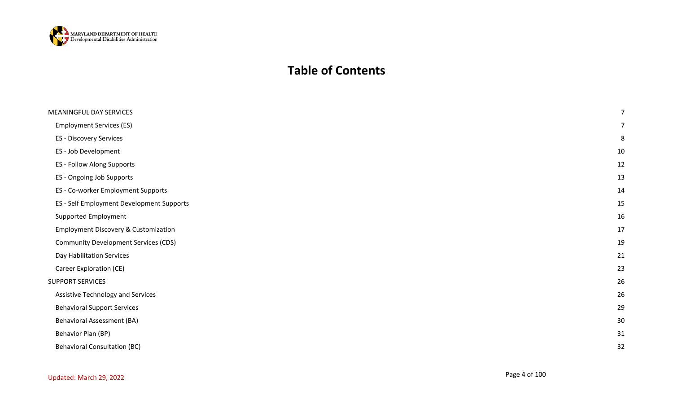

### **Table of Contents**

| MEANINGFUL DAY SERVICES                         | 7  |
|-------------------------------------------------|----|
| <b>Employment Services (ES)</b>                 |    |
| <b>ES - Discovery Services</b>                  | 8  |
| ES - Job Development                            | 10 |
| ES - Follow Along Supports                      | 12 |
| ES - Ongoing Job Supports                       | 13 |
| ES - Co-worker Employment Supports              | 14 |
| ES - Self Employment Development Supports       | 15 |
| Supported Employment                            | 16 |
| <b>Employment Discovery &amp; Customization</b> | 17 |
| <b>Community Development Services (CDS)</b>     | 19 |
| Day Habilitation Services                       | 21 |
| Career Exploration (CE)                         | 23 |
| <b>SUPPORT SERVICES</b>                         | 26 |
| <b>Assistive Technology and Services</b>        | 26 |
| <b>Behavioral Support Services</b>              | 29 |
| <b>Behavioral Assessment (BA)</b>               | 30 |
| Behavior Plan (BP)                              | 31 |
| <b>Behavioral Consultation (BC)</b>             | 32 |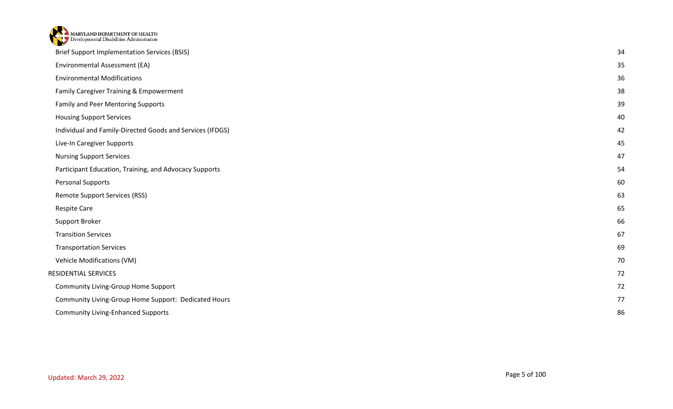| MARYLAND DEPARTMENT OF HEALTH                             |    |
|-----------------------------------------------------------|----|
| <b>Brief Support Implementation Services (BSIS)</b>       | 34 |
| Environmental Assessment (EA)                             | 35 |
| <b>Environmental Modifications</b>                        | 36 |
| Family Caregiver Training & Empowerment                   | 38 |
| Family and Peer Mentoring Supports                        | 39 |
| <b>Housing Support Services</b>                           | 40 |
| Individual and Family-Directed Goods and Services (IFDGS) | 42 |
| Live-In Caregiver Supports                                | 45 |
| <b>Nursing Support Services</b>                           | 47 |
| Participant Education, Training, and Advocacy Supports    | 54 |
| Personal Supports                                         | 60 |
| <b>Remote Support Services (RSS)</b>                      | 63 |
| <b>Respite Care</b>                                       | 65 |
| Support Broker                                            | 66 |
| <b>Transition Services</b>                                | 67 |
| <b>Transportation Services</b>                            | 69 |
| Vehicle Modifications (VM)                                | 70 |
| RESIDENTIAL SERVICES                                      | 72 |
| Community Living-Group Home Support                       | 72 |
| Community Living-Group Home Support: Dedicated Hours      | 77 |
| <b>Community Living-Enhanced Supports</b>                 | 86 |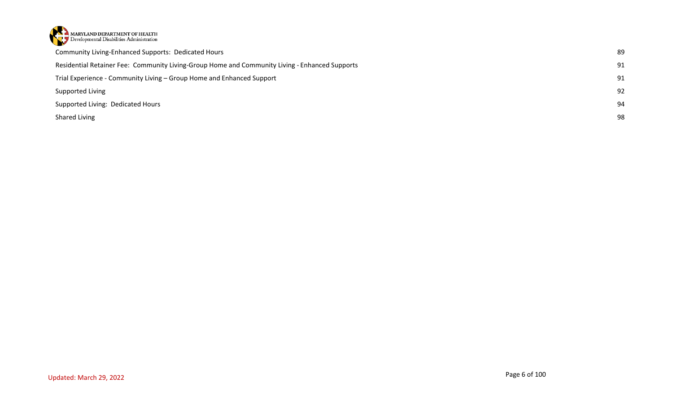

| <b>Community Living-Enhanced Supports: Dedicated Hours</b>                                     | 89 |
|------------------------------------------------------------------------------------------------|----|
| Residential Retainer Fee: Community Living-Group Home and Community Living - Enhanced Supports | 91 |
| Trial Experience - Community Living – Group Home and Enhanced Support                          | 91 |
| Supported Living                                                                               | 92 |
| Supported Living: Dedicated Hours                                                              | 94 |
| Shared Living                                                                                  | 98 |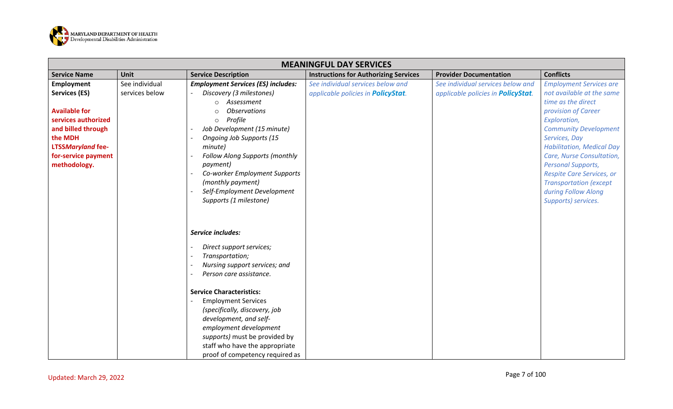

<span id="page-6-1"></span><span id="page-6-0"></span>

|                                                                                                                                                                                | <b>MEANINGFUL DAY SERVICES</b>   |                                                                                                                                                                                                                                                                                                                                                                                          |                                                                                 |                                                                                 |                                                                                                                                                                                                                                                                                                                                                                                     |  |
|--------------------------------------------------------------------------------------------------------------------------------------------------------------------------------|----------------------------------|------------------------------------------------------------------------------------------------------------------------------------------------------------------------------------------------------------------------------------------------------------------------------------------------------------------------------------------------------------------------------------------|---------------------------------------------------------------------------------|---------------------------------------------------------------------------------|-------------------------------------------------------------------------------------------------------------------------------------------------------------------------------------------------------------------------------------------------------------------------------------------------------------------------------------------------------------------------------------|--|
| <b>Service Name</b>                                                                                                                                                            | Unit                             | <b>Service Description</b>                                                                                                                                                                                                                                                                                                                                                               | <b>Instructions for Authorizing Services</b>                                    | <b>Provider Documentation</b>                                                   | <b>Conflicts</b>                                                                                                                                                                                                                                                                                                                                                                    |  |
| Employment<br>Services (ES)<br><b>Available for</b><br>services authorized<br>and billed through<br>the MDH<br><b>LTSSMaryland fee-</b><br>for-service payment<br>methodology. | See individual<br>services below | <b>Employment Services (ES) includes:</b><br>Discovery (3 milestones)<br>Assessment<br><b>Observations</b><br>Profile<br>$\circ$<br>Job Development (15 minute)<br><b>Ongoing Job Supports (15</b><br>minute)<br>Follow Along Supports (monthly<br>payment)<br>Co-worker Employment Supports<br>(monthly payment)<br>Self-Employment Development<br>Supports (1 milestone)               | See individual services below and<br>applicable policies in <b>PolicyStat</b> . | See individual services below and<br>applicable policies in <b>PolicyStat</b> . | <b>Employment Services are</b><br>not available at the same<br>time as the direct<br>provision of Career<br>Exploration,<br><b>Community Development</b><br>Services, Day<br><b>Habilitation, Medical Day</b><br>Care, Nurse Consultation,<br><b>Personal Supports,</b><br>Respite Care Services, or<br><b>Transportation (except</b><br>during Follow Along<br>Supports) services. |  |
|                                                                                                                                                                                |                                  | Service includes:<br>Direct support services;<br>Transportation;<br>Nursing support services; and<br>Person care assistance.<br><b>Service Characteristics:</b><br><b>Employment Services</b><br>(specifically, discovery, job<br>development, and self-<br>employment development<br>supports) must be provided by<br>staff who have the appropriate<br>proof of competency required as |                                                                                 |                                                                                 |                                                                                                                                                                                                                                                                                                                                                                                     |  |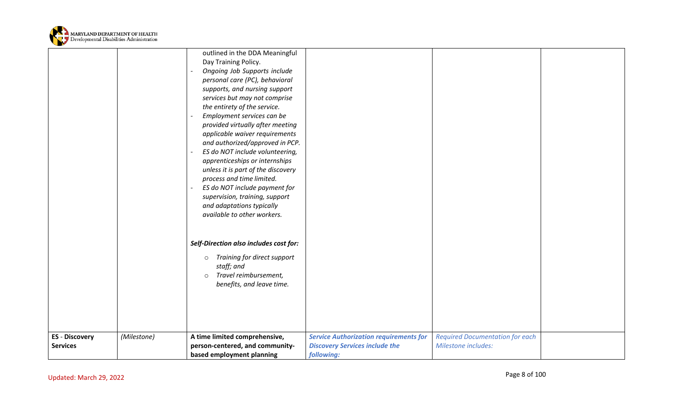

<span id="page-7-0"></span>

|                                          |             | outlined in the DDA Meaningful<br>Day Training Policy.<br>Ongoing Job Supports include<br>personal care (PC), behavioral<br>supports, and nursing support<br>services but may not comprise<br>the entirety of the service.<br>Employment services can be<br>provided virtually after meeting<br>applicable waiver requirements<br>and authorized/approved in PCP.<br>ES do NOT include volunteering,<br>apprenticeships or internships<br>unless it is part of the discovery<br>process and time limited.<br>ES do NOT include payment for<br>supervision, training, support<br>and adaptations typically<br>available to other workers. |                                                                                                      |                                                               |  |
|------------------------------------------|-------------|------------------------------------------------------------------------------------------------------------------------------------------------------------------------------------------------------------------------------------------------------------------------------------------------------------------------------------------------------------------------------------------------------------------------------------------------------------------------------------------------------------------------------------------------------------------------------------------------------------------------------------------|------------------------------------------------------------------------------------------------------|---------------------------------------------------------------|--|
|                                          |             | Self-Direction also includes cost for:<br>Training for direct support<br>$\circ$<br>staff; and<br>Travel reimbursement,<br>$\circ$<br>benefits, and leave time.                                                                                                                                                                                                                                                                                                                                                                                                                                                                          |                                                                                                      |                                                               |  |
| <b>ES</b> - Discovery<br><b>Services</b> | (Milestone) | A time limited comprehensive,<br>person-centered, and community-<br>based employment planning                                                                                                                                                                                                                                                                                                                                                                                                                                                                                                                                            | <b>Service Authorization requirements for</b><br><b>Discovery Services include the</b><br>following: | <b>Required Documentation for each</b><br>Milestone includes: |  |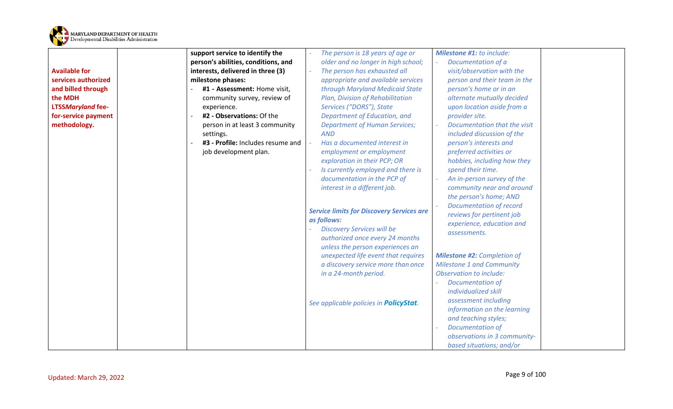

|                          | support service to identify the     | The person is 18 years of age or                 | <b>Milestone #1: to include:</b>   |  |
|--------------------------|-------------------------------------|--------------------------------------------------|------------------------------------|--|
|                          | person's abilities, conditions, and | older and no longer in high school;              | Documentation of a                 |  |
| <b>Available for</b>     | interests, delivered in three (3)   | The person has exhausted all                     | visit/observation with the         |  |
| services authorized      | milestone phases:                   | appropriate and available services               | person and their team in the       |  |
| and billed through       | #1 - Assessment: Home visit,        | through Maryland Medicaid State                  | person's home or in an             |  |
| the MDH                  | community survey, review of         | Plan, Division of Rehabilitation                 | alternate mutually decided         |  |
| <b>LTSSMaryland fee-</b> | experience.                         | Services ("DORS"), State                         | upon location aside from a         |  |
| for-service payment      | #2 - Observations: Of the           | Department of Education, and                     | provider site.                     |  |
| methodology.             | person in at least 3 community      | <b>Department of Human Services;</b>             | Documentation that the visit       |  |
|                          | settings.                           | <b>AND</b>                                       | included discussion of the         |  |
|                          | #3 - Profile: Includes resume and   | Has a documented interest in                     | person's interests and             |  |
|                          | job development plan.               | employment or employment                         | preferred activities or            |  |
|                          |                                     | exploration in their PCP; OR                     | hobbies, including how they        |  |
|                          |                                     | Is currently employed and there is               | spend their time.                  |  |
|                          |                                     | documentation in the PCP of                      | An in-person survey of the         |  |
|                          |                                     | interest in a different job.                     | community near and around          |  |
|                          |                                     |                                                  | the person's home; AND             |  |
|                          |                                     | <b>Service limits for Discovery Services are</b> | <b>Documentation of record</b>     |  |
|                          |                                     | as follows:                                      | reviews for pertinent job          |  |
|                          |                                     | <b>Discovery Services will be</b>                | experience, education and          |  |
|                          |                                     | authorized once every 24 months                  | assessments.                       |  |
|                          |                                     | unless the person experiences an                 |                                    |  |
|                          |                                     | unexpected life event that requires              | <b>Milestone #2: Completion of</b> |  |
|                          |                                     | a discovery service more than once               | <b>Milestone 1 and Community</b>   |  |
|                          |                                     | in a 24-month period.                            | <b>Observation to include:</b>     |  |
|                          |                                     |                                                  | Documentation of                   |  |
|                          |                                     |                                                  | individualized skill               |  |
|                          |                                     | See applicable policies in <b>PolicyStat</b> .   | assessment including               |  |
|                          |                                     |                                                  | information on the learning        |  |
|                          |                                     |                                                  | and teaching styles;               |  |
|                          |                                     |                                                  | <b>Documentation of</b>            |  |
|                          |                                     |                                                  | observations in 3 community-       |  |
|                          |                                     |                                                  | based situations; and/or           |  |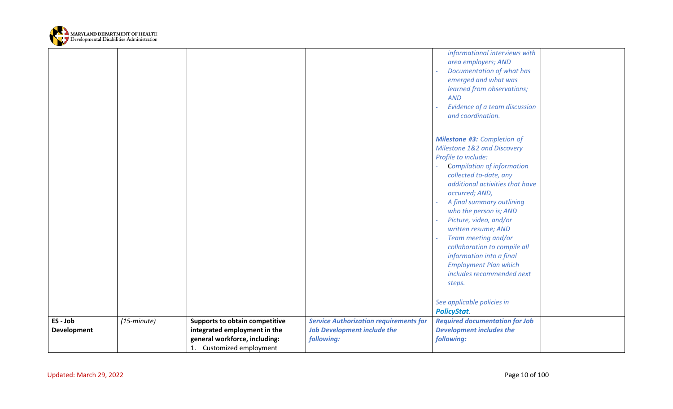

<span id="page-9-0"></span>

|                                |                      |                                                                                                                                    |                                                                                                   | informational interviews with<br>area employers; AND<br>Documentation of what has<br>emerged and what was<br>learned from observations;<br><b>AND</b><br>Evidence of a team discussion<br>and coordination.                                                                                                          |  |
|--------------------------------|----------------------|------------------------------------------------------------------------------------------------------------------------------------|---------------------------------------------------------------------------------------------------|----------------------------------------------------------------------------------------------------------------------------------------------------------------------------------------------------------------------------------------------------------------------------------------------------------------------|--|
|                                |                      |                                                                                                                                    |                                                                                                   | <b>Milestone #3: Completion of</b><br>Milestone 1&2 and Discovery<br>Profile to include:<br><b>Compilation of information</b><br>collected to-date, any<br>additional activities that have<br>occurred; AND,<br>A final summary outlining<br>who the person is; AND<br>Picture, video, and/or<br>written resume; AND |  |
|                                |                      |                                                                                                                                    |                                                                                                   | Team meeting and/or<br>collaboration to compile all<br>information into a final<br><b>Employment Plan which</b><br>includes recommended next<br>steps.<br>See applicable policies in                                                                                                                                 |  |
| ES - Job<br><b>Development</b> | $(15\text{-}minute)$ | <b>Supports to obtain competitive</b><br>integrated employment in the<br>general workforce, including:<br>1. Customized employment | <b>Service Authorization requirements for</b><br><b>Job Development include the</b><br>following: | <b>PolicyStat.</b><br><b>Required documentation for Job</b><br><b>Development includes the</b><br>following:                                                                                                                                                                                                         |  |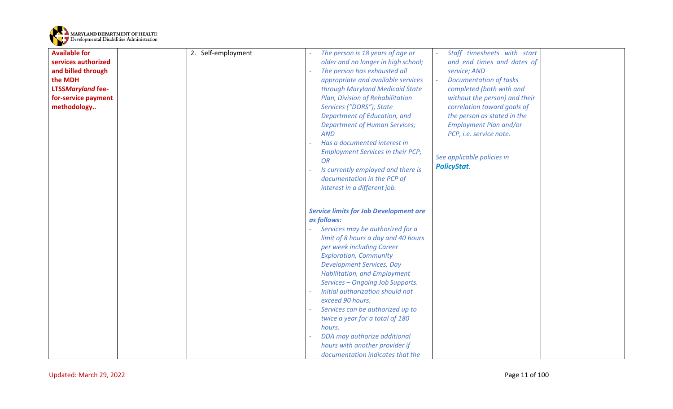

| <b>Available for</b>               | 2. Self-employment | The person is 18 years of age or                                                                                                                                                                                                                                                                                                                                                                                                                                                                                                                                    | Staff timesheets with start                                                                                                                                                                                 |
|------------------------------------|--------------------|---------------------------------------------------------------------------------------------------------------------------------------------------------------------------------------------------------------------------------------------------------------------------------------------------------------------------------------------------------------------------------------------------------------------------------------------------------------------------------------------------------------------------------------------------------------------|-------------------------------------------------------------------------------------------------------------------------------------------------------------------------------------------------------------|
| services authorized                |                    | older and no longer in high school;                                                                                                                                                                                                                                                                                                                                                                                                                                                                                                                                 | and end times and dates of                                                                                                                                                                                  |
| and billed through                 |                    | The person has exhausted all                                                                                                                                                                                                                                                                                                                                                                                                                                                                                                                                        | service; AND                                                                                                                                                                                                |
| the MDH                            |                    | appropriate and available services                                                                                                                                                                                                                                                                                                                                                                                                                                                                                                                                  | <b>Documentation of tasks</b>                                                                                                                                                                               |
| <b>LTSSMaryland fee-</b>           |                    | through Maryland Medicaid State                                                                                                                                                                                                                                                                                                                                                                                                                                                                                                                                     | completed (both with and                                                                                                                                                                                    |
|                                    |                    |                                                                                                                                                                                                                                                                                                                                                                                                                                                                                                                                                                     |                                                                                                                                                                                                             |
| for-service payment<br>methodology |                    | Plan, Division of Rehabilitation<br>Services ("DORS"), State<br>Department of Education, and<br><b>Department of Human Services;</b><br><b>AND</b><br>Has a documented interest in<br><b>Employment Services in their PCP;</b><br><b>OR</b><br>Is currently employed and there is<br>documentation in the PCP of<br>interest in a different job.                                                                                                                                                                                                                    | without the person) and their<br>correlation toward goals of<br>the person as stated in the<br><b>Employment Plan and/or</b><br>PCP, i.e. service note.<br>See applicable policies in<br><b>PolicyStat.</b> |
|                                    |                    | <b>Service limits for Job Development are</b><br>as follows:<br>Services may be authorized for a<br>limit of 8 hours a day and 40 hours<br>per week including Career<br><b>Exploration, Community</b><br><b>Development Services, Day</b><br><b>Habilitation, and Employment</b><br>Services - Ongoing Job Supports.<br>Initial authorization should not<br>exceed 90 hours.<br>Services can be authorized up to<br>twice a year for a total of 180<br>hours.<br>DDA may authorize additional<br>hours with another provider if<br>documentation indicates that the |                                                                                                                                                                                                             |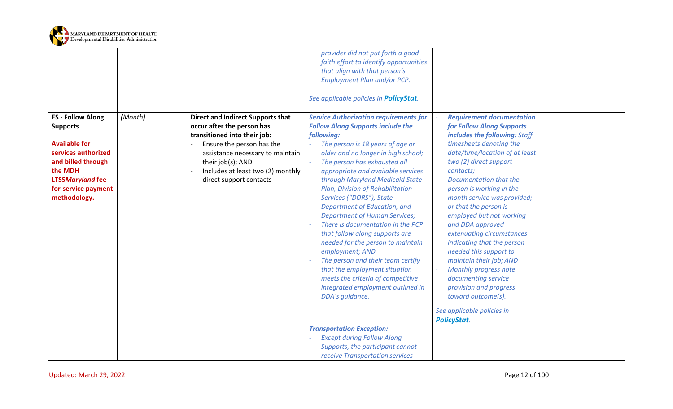

<span id="page-11-0"></span>

|                                                                                                                                                                                                |         |                                                                                                                                                                                                                                                              | provider did not put forth a good<br>faith effort to identify opportunities<br>that align with that person's<br>Employment Plan and/or PCP.<br>See applicable policies in <b>PolicyStat</b> .                                                                                                                                                                                                                                                                                                                                                                                                                                                                                                                                                                                                                                                                                         |                                                                                                                                                                                                                                                                                                                                                                                                                                                                                                                                                                                                                                      |
|------------------------------------------------------------------------------------------------------------------------------------------------------------------------------------------------|---------|--------------------------------------------------------------------------------------------------------------------------------------------------------------------------------------------------------------------------------------------------------------|---------------------------------------------------------------------------------------------------------------------------------------------------------------------------------------------------------------------------------------------------------------------------------------------------------------------------------------------------------------------------------------------------------------------------------------------------------------------------------------------------------------------------------------------------------------------------------------------------------------------------------------------------------------------------------------------------------------------------------------------------------------------------------------------------------------------------------------------------------------------------------------|--------------------------------------------------------------------------------------------------------------------------------------------------------------------------------------------------------------------------------------------------------------------------------------------------------------------------------------------------------------------------------------------------------------------------------------------------------------------------------------------------------------------------------------------------------------------------------------------------------------------------------------|
| <b>ES - Follow Along</b><br><b>Supports</b><br><b>Available for</b><br>services authorized<br>and billed through<br>the MDH<br><b>LTSSMaryland fee-</b><br>for-service payment<br>methodology. | (Month) | <b>Direct and Indirect Supports that</b><br>occur after the person has<br>transitioned into their job:<br>Ensure the person has the<br>assistance necessary to maintain<br>their job(s); AND<br>Includes at least two (2) monthly<br>direct support contacts | <b>Service Authorization requirements for</b><br><b>Follow Along Supports include the</b><br>following:<br>The person is 18 years of age or<br>older and no longer in high school;<br>The person has exhausted all<br>appropriate and available services<br>through Maryland Medicaid State<br>Plan, Division of Rehabilitation<br>Services ("DORS"), State<br>Department of Education, and<br><b>Department of Human Services;</b><br>There is documentation in the PCP<br>that follow along supports are<br>needed for the person to maintain<br>employment; AND<br>The person and their team certify<br>that the employment situation<br>meets the criteria of competitive<br>integrated employment outlined in<br>DDA's guidance.<br><b>Transportation Exception:</b><br><b>Except during Follow Along</b><br>Supports, the participant cannot<br>receive Transportation services | <b>Requirement documentation</b><br>for Follow Along Supports<br>includes the following: Staff<br>timesheets denoting the<br>date/time/location of at least<br>two (2) direct support<br>contacts;<br>Documentation that the<br>person is working in the<br>month service was provided;<br>or that the person is<br>employed but not working<br>and DDA approved<br>extenuating circumstances<br>indicating that the person<br>needed this support to<br>maintain their job; AND<br>Monthly progress note<br>documenting service<br>provision and progress<br>toward outcome(s).<br>See applicable policies in<br><b>PolicyStat.</b> |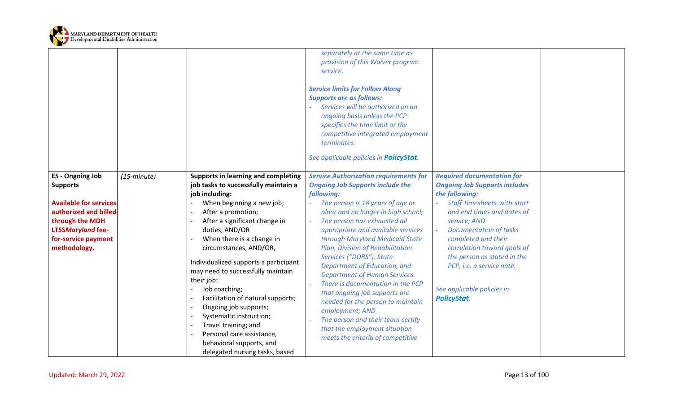

<span id="page-12-0"></span>

|                                                                                                                                                                                            |                      |                                                                                                                                                                                                                                                                                                                                                                                                                                                                                                                                                                                     | separately at the same time as<br>provision of this Waiver program<br>service.<br><b>Service limits for Follow Along</b><br><b>Supports are as follows:</b><br>Services will be authorized on an<br>ongoing basis unless the PCP<br>specifies the time limit or the<br>competitive integrated employment<br>terminates.<br>See applicable policies in <b>PolicyStat</b> .                                                                                                                                                                                                                                                                                                   |                                                                                                                                                                                                                                                                                                                                                                                 |  |
|--------------------------------------------------------------------------------------------------------------------------------------------------------------------------------------------|----------------------|-------------------------------------------------------------------------------------------------------------------------------------------------------------------------------------------------------------------------------------------------------------------------------------------------------------------------------------------------------------------------------------------------------------------------------------------------------------------------------------------------------------------------------------------------------------------------------------|-----------------------------------------------------------------------------------------------------------------------------------------------------------------------------------------------------------------------------------------------------------------------------------------------------------------------------------------------------------------------------------------------------------------------------------------------------------------------------------------------------------------------------------------------------------------------------------------------------------------------------------------------------------------------------|---------------------------------------------------------------------------------------------------------------------------------------------------------------------------------------------------------------------------------------------------------------------------------------------------------------------------------------------------------------------------------|--|
| <b>ES</b> - Ongoing Job<br><b>Supports</b><br><b>Available for services</b><br>authorized and billed<br>through the MDH<br><b>LTSSMaryland fee-</b><br>for-service payment<br>methodology. | $(15\text{-}minute)$ | Supports in learning and completing<br>job tasks to successfully maintain a<br>job including:<br>When beginning a new job;<br>After a promotion;<br>After a significant change in<br>duties; AND/OR<br>When there is a change in<br>circumstances, AND/OR,<br>Individualized supports a participant<br>may need to successfully maintain<br>their job:<br>Job coaching;<br>Facilitation of natural supports;<br>Ongoing job supports;<br>Systematic instruction;<br>Travel training; and<br>Personal care assistance,<br>behavioral supports, and<br>delegated nursing tasks, based | <b>Service Authorization requirements for</b><br><b>Ongoing Job Supports include the</b><br>following:<br>The person is 18 years of age or<br>older and no longer in high school;<br>The person has exhausted all<br>appropriate and available services<br>through Maryland Medicaid State<br>Plan, Division of Rehabilitation<br>Services ("DORS"), State<br>Department of Education, and<br><b>Department of Human Services.</b><br>There is documentation in the PCP<br>that ongoing job supports are<br>needed for the person to maintain<br>employment; AND<br>The person and their team certify<br>that the employment situation<br>meets the criteria of competitive | <b>Required documentation for</b><br><b>Ongoing Job Supports includes</b><br>the following:<br>Staff timesheets with start<br>and end times and dates of<br>service; AND<br><b>Documentation of tasks</b><br>completed and their<br>correlation toward goals of<br>the person as stated in the<br>PCP, i.e. a service note.<br>See applicable policies in<br><b>PolicyStat.</b> |  |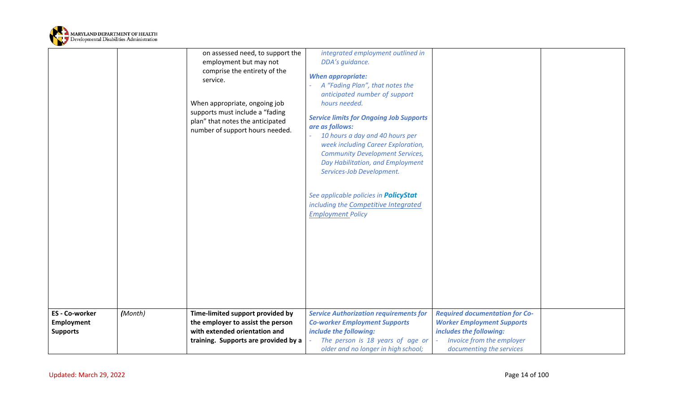

<span id="page-13-0"></span>

|                     |         | on assessed need, to support the     | integrated employment outlined in              |                                       |  |
|---------------------|---------|--------------------------------------|------------------------------------------------|---------------------------------------|--|
|                     |         | employment but may not               | DDA's guidance.                                |                                       |  |
|                     |         | comprise the entirety of the         |                                                |                                       |  |
|                     |         | service.                             | <b>When appropriate:</b>                       |                                       |  |
|                     |         |                                      | A "Fading Plan", that notes the                |                                       |  |
|                     |         |                                      | anticipated number of support                  |                                       |  |
|                     |         | When appropriate, ongoing job        | hours needed.                                  |                                       |  |
|                     |         | supports must include a "fading      | <b>Service limits for Ongoing Job Supports</b> |                                       |  |
|                     |         | plan" that notes the anticipated     | are as follows:                                |                                       |  |
|                     |         | number of support hours needed.      | 10 hours a day and 40 hours per                |                                       |  |
|                     |         |                                      | week including Career Exploration,             |                                       |  |
|                     |         |                                      | <b>Community Development Services,</b>         |                                       |  |
|                     |         |                                      | Day Habilitation, and Employment               |                                       |  |
|                     |         |                                      | Services-Job Development.                      |                                       |  |
|                     |         |                                      |                                                |                                       |  |
|                     |         |                                      | See applicable policies in <b>PolicyStat</b>   |                                       |  |
|                     |         |                                      | including the Competitive Integrated           |                                       |  |
|                     |         |                                      | <b>Employment Policy</b>                       |                                       |  |
|                     |         |                                      |                                                |                                       |  |
|                     |         |                                      |                                                |                                       |  |
|                     |         |                                      |                                                |                                       |  |
|                     |         |                                      |                                                |                                       |  |
|                     |         |                                      |                                                |                                       |  |
|                     |         |                                      |                                                |                                       |  |
|                     |         |                                      |                                                |                                       |  |
|                     |         |                                      |                                                |                                       |  |
|                     |         |                                      |                                                |                                       |  |
|                     |         |                                      |                                                |                                       |  |
| <b>ES-Co-worker</b> | (Month) | Time-limited support provided by     | <b>Service Authorization requirements for</b>  | <b>Required documentation for Co-</b> |  |
| Employment          |         | the employer to assist the person    | <b>Co-worker Employment Supports</b>           | <b>Worker Employment Supports</b>     |  |
| <b>Supports</b>     |         | with extended orientation and        | include the following:                         | includes the following:               |  |
|                     |         | training. Supports are provided by a | The person is 18 years of age or               | Invoice from the employer             |  |
|                     |         |                                      | older and no longer in high school;            | documenting the services              |  |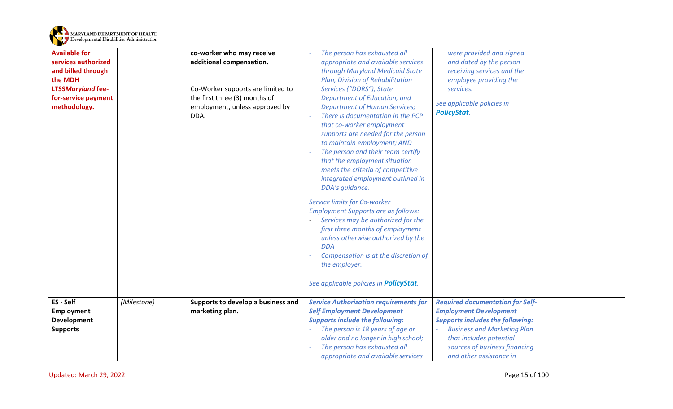

<span id="page-14-0"></span>

| <b>Available for</b><br>services authorized<br>and billed through<br>the MDH<br><b>LTSSMaryland fee-</b><br>for-service payment<br>methodology. |             | co-worker who may receive<br>additional compensation.<br>Co-Worker supports are limited to<br>the first three (3) months of<br>employment, unless approved by<br>DDA. | The person has exhausted all<br>appropriate and available services<br>through Maryland Medicaid State<br>Plan, Division of Rehabilitation<br>Services ("DORS"), State<br>Department of Education, and<br><b>Department of Human Services;</b><br>There is documentation in the PCP<br>that co-worker employment<br>supports are needed for the person<br>to maintain employment; AND<br>The person and their team certify<br>that the employment situation<br>meets the criteria of competitive<br>integrated employment outlined in<br>DDA's guidance.<br>Service limits for Co-worker<br><b>Employment Supports are as follows:</b><br>Services may be authorized for the<br>first three months of employment<br>unless otherwise authorized by the<br><b>DDA</b><br>Compensation is at the discretion of<br>the employer.<br>See applicable policies in <b>PolicyStat</b> . | were provided and signed<br>and dated by the person<br>receiving services and the<br>employee providing the<br>services.<br>See applicable policies in<br><b>PolicyStat.</b>                                                                     |  |
|-------------------------------------------------------------------------------------------------------------------------------------------------|-------------|-----------------------------------------------------------------------------------------------------------------------------------------------------------------------|--------------------------------------------------------------------------------------------------------------------------------------------------------------------------------------------------------------------------------------------------------------------------------------------------------------------------------------------------------------------------------------------------------------------------------------------------------------------------------------------------------------------------------------------------------------------------------------------------------------------------------------------------------------------------------------------------------------------------------------------------------------------------------------------------------------------------------------------------------------------------------|--------------------------------------------------------------------------------------------------------------------------------------------------------------------------------------------------------------------------------------------------|--|
| ES - Self<br><b>Employment</b><br><b>Development</b><br><b>Supports</b>                                                                         | (Milestone) | Supports to develop a business and<br>marketing plan.                                                                                                                 | <b>Service Authorization requirements for</b><br><b>Self Employment Development</b><br><b>Supports include the following:</b><br>The person is 18 years of age or<br>older and no longer in high school;<br>The person has exhausted all<br>appropriate and available services                                                                                                                                                                                                                                                                                                                                                                                                                                                                                                                                                                                                 | <b>Required documentation for Self-</b><br><b>Employment Development</b><br><b>Supports includes the following:</b><br><b>Business and Marketing Plan</b><br>that includes potential<br>sources of business financing<br>and other assistance in |  |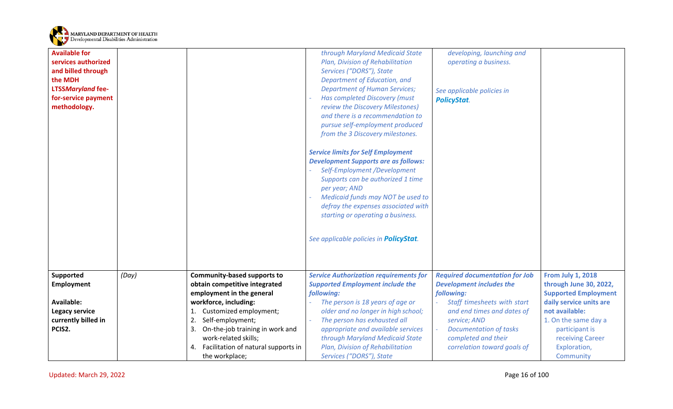

<span id="page-15-0"></span>

| <b>Available for</b><br>services authorized<br>and billed through<br>the MDH<br><b>LTSSMaryland fee-</b><br>for-service payment<br>methodology. |       |                                                                     | through Maryland Medicaid State<br>Plan, Division of Rehabilitation<br>Services ("DORS"), State<br>Department of Education, and<br><b>Department of Human Services;</b><br>Has completed Discovery (must<br>review the Discovery Milestones)<br>and there is a recommendation to<br>pursue self-employment produced<br>from the 3 Discovery milestones.<br><b>Service limits for Self Employment</b><br><b>Development Supports are as follows:</b><br>Self-Employment /Development<br>Supports can be authorized 1 time<br>per year; AND<br>Medicaid funds may NOT be used to<br>defray the expenses associated with<br>starting or operating a business.<br>See applicable policies in <b>PolicyStat</b> . | developing, launching and<br>operating a business.<br>See applicable policies in<br><b>PolicyStat.</b> |                                                    |
|-------------------------------------------------------------------------------------------------------------------------------------------------|-------|---------------------------------------------------------------------|--------------------------------------------------------------------------------------------------------------------------------------------------------------------------------------------------------------------------------------------------------------------------------------------------------------------------------------------------------------------------------------------------------------------------------------------------------------------------------------------------------------------------------------------------------------------------------------------------------------------------------------------------------------------------------------------------------------|--------------------------------------------------------------------------------------------------------|----------------------------------------------------|
| Supported<br><b>Employment</b>                                                                                                                  | (Day) | <b>Community-based supports to</b><br>obtain competitive integrated | <b>Service Authorization requirements for</b><br><b>Supported Employment include the</b>                                                                                                                                                                                                                                                                                                                                                                                                                                                                                                                                                                                                                     | <b>Required documentation for Job</b><br><b>Development includes the</b>                               | <b>From July 1, 2018</b><br>through June 30, 2022, |
|                                                                                                                                                 |       | employment in the general                                           | following:                                                                                                                                                                                                                                                                                                                                                                                                                                                                                                                                                                                                                                                                                                   | following:                                                                                             | <b>Supported Employment</b>                        |
| <b>Available:</b>                                                                                                                               |       | workforce, including:                                               | The person is 18 years of age or                                                                                                                                                                                                                                                                                                                                                                                                                                                                                                                                                                                                                                                                             | Staff timesheets with start                                                                            | daily service units are                            |
| <b>Legacy service</b>                                                                                                                           |       | Customized employment;                                              | older and no longer in high school;                                                                                                                                                                                                                                                                                                                                                                                                                                                                                                                                                                                                                                                                          | and end times and dates of                                                                             | not available:                                     |
| currently billed in                                                                                                                             |       | Self-employment;<br>2.                                              | The person has exhausted all                                                                                                                                                                                                                                                                                                                                                                                                                                                                                                                                                                                                                                                                                 | service; AND                                                                                           | 1. On the same day a                               |
| PCIS2.                                                                                                                                          |       | On-the-job training in work and<br>3.                               | appropriate and available services                                                                                                                                                                                                                                                                                                                                                                                                                                                                                                                                                                                                                                                                           | <b>Documentation of tasks</b>                                                                          | participant is                                     |
|                                                                                                                                                 |       | work-related skills;                                                | through Maryland Medicaid State                                                                                                                                                                                                                                                                                                                                                                                                                                                                                                                                                                                                                                                                              | completed and their                                                                                    | receiving Career                                   |
|                                                                                                                                                 |       | Facilitation of natural supports in<br>4.                           | Plan, Division of Rehabilitation                                                                                                                                                                                                                                                                                                                                                                                                                                                                                                                                                                                                                                                                             | correlation toward goals of                                                                            | Exploration,                                       |
|                                                                                                                                                 |       | the workplace;                                                      | Services ("DORS"), State                                                                                                                                                                                                                                                                                                                                                                                                                                                                                                                                                                                                                                                                                     |                                                                                                        | Community                                          |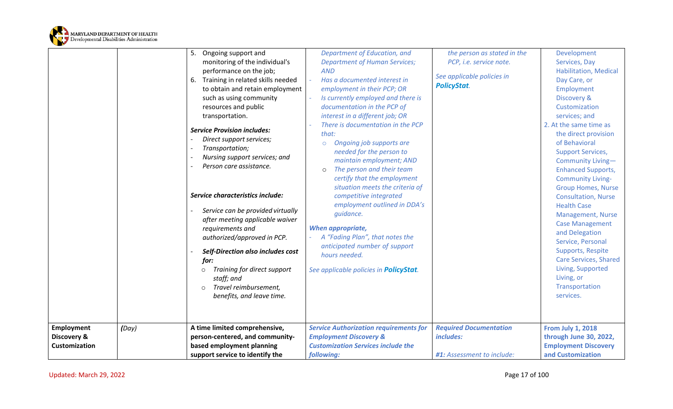

<span id="page-16-0"></span>

|                                                          |       | 5.<br>Ongoing support and<br>monitoring of the individual's<br>performance on the job;<br>Training in related skills needed<br>6.<br>to obtain and retain employment<br>such as using community<br>resources and public<br>transportation.<br><b>Service Provision includes:</b><br>Direct support services;<br>Transportation;<br>Nursing support services; and<br>Person care assistance.<br>Service characteristics include:<br>Service can be provided virtually<br>after meeting applicable waiver<br>requirements and<br>authorized/approved in PCP.<br>Self-Direction also includes cost<br>for:<br>Training for direct support<br>$\circ$<br>staff; and<br>Travel reimbursement,<br>$\Omega$<br>benefits, and leave time. | Department of Education, and<br><b>Department of Human Services;</b><br><b>AND</b><br>Has a documented interest in<br>employment in their PCP; OR<br>Is currently employed and there is<br>documentation in the PCP of<br>interest in a different job; OR<br>There is documentation in the PCP<br>that:<br>Ongoing job supports are<br>$\circ$<br>needed for the person to<br>maintain employment; AND<br>The person and their team<br>$\circ$<br>certify that the employment<br>situation meets the criteria of<br>competitive integrated<br>employment outlined in DDA's<br>quidance.<br><b>When appropriate,</b><br>A "Fading Plan", that notes the<br>anticipated number of support<br>hours needed.<br>See applicable policies in <b>PolicyStat</b> . | the person as stated in the<br>PCP, i.e. service note.<br>See applicable policies in<br><b>PolicyStat.</b> | Development<br>Services, Day<br><b>Habilitation, Medical</b><br>Day Care, or<br>Employment<br>Discovery &<br>Customization<br>services; and<br>2. At the same time as<br>the direct provision<br>of Behavioral<br><b>Support Services,</b><br>Community Living-<br><b>Enhanced Supports,</b><br><b>Community Living-</b><br><b>Group Homes, Nurse</b><br><b>Consultation, Nurse</b><br><b>Health Case</b><br>Management, Nurse<br><b>Case Management</b><br>and Delegation<br>Service, Personal<br>Supports, Respite<br><b>Care Services, Shared</b><br>Living, Supported<br>Living, or<br>Transportation<br>services. |
|----------------------------------------------------------|-------|-----------------------------------------------------------------------------------------------------------------------------------------------------------------------------------------------------------------------------------------------------------------------------------------------------------------------------------------------------------------------------------------------------------------------------------------------------------------------------------------------------------------------------------------------------------------------------------------------------------------------------------------------------------------------------------------------------------------------------------|------------------------------------------------------------------------------------------------------------------------------------------------------------------------------------------------------------------------------------------------------------------------------------------------------------------------------------------------------------------------------------------------------------------------------------------------------------------------------------------------------------------------------------------------------------------------------------------------------------------------------------------------------------------------------------------------------------------------------------------------------------|------------------------------------------------------------------------------------------------------------|------------------------------------------------------------------------------------------------------------------------------------------------------------------------------------------------------------------------------------------------------------------------------------------------------------------------------------------------------------------------------------------------------------------------------------------------------------------------------------------------------------------------------------------------------------------------------------------------------------------------|
| <b>Employment</b><br>Discovery &<br><b>Customization</b> | (Day) | A time limited comprehensive,<br>person-centered, and community-<br>based employment planning<br>support service to identify the                                                                                                                                                                                                                                                                                                                                                                                                                                                                                                                                                                                                  | <b>Service Authorization requirements for</b><br><b>Employment Discovery &amp;</b><br><b>Customization Services include the</b><br>following:                                                                                                                                                                                                                                                                                                                                                                                                                                                                                                                                                                                                              | <b>Required Documentation</b><br>includes:<br>#1: Assessment to include:                                   | <b>From July 1, 2018</b><br>through June 30, 2022,<br><b>Employment Discovery</b><br>and Customization                                                                                                                                                                                                                                                                                                                                                                                                                                                                                                                 |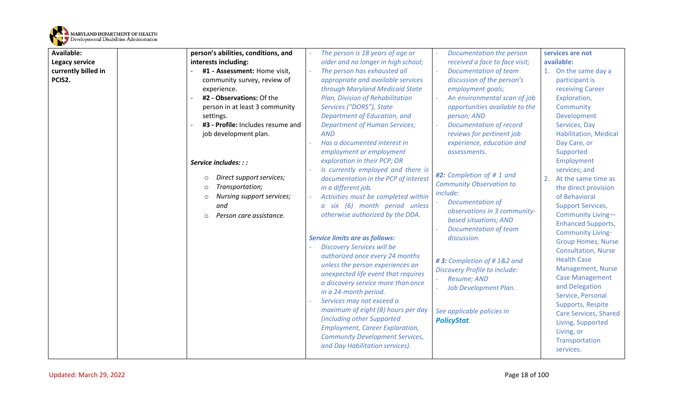

| <b>Available:</b>   | person's abilities, conditions, and  | The person is 18 years of age or       | Documentation the person             | services are not             |
|---------------------|--------------------------------------|----------------------------------------|--------------------------------------|------------------------------|
| Legacy service      | interests including:                 | older and no longer in high school;    | received a face to face visit;       | available:                   |
| currently billed in | #1 - Assessment: Home visit,         | The person has exhausted all           | <b>Documentation of team</b>         | 1. On the same day a         |
| PCIS2.              | community survey, review of          | appropriate and available services     | discussion of the person's           | participant is               |
|                     | experience.                          | through Maryland Medicaid State        | employment goals;                    | receiving Career             |
|                     | #2 - Observations: Of the            | Plan, Division of Rehabilitation       | An environmental scan of job         | Exploration,                 |
|                     | person in at least 3 community       | Services ("DORS"), State               | opportunities available to the       | Community                    |
|                     | settings.                            | Department of Education, and           | person; AND                          | Development                  |
|                     | #3 - Profile: Includes resume and    | <b>Department of Human Services;</b>   | <b>Documentation of record</b>       | Services, Day                |
|                     | job development plan.                | <b>AND</b>                             | reviews for pertinent job            | <b>Habilitation, Medical</b> |
|                     |                                      | Has a documented interest in           | experience, education and            | Day Care, or                 |
|                     |                                      | employment or employment               | assessments.                         | Supported                    |
|                     | Service includes: : :                | exploration in their PCP; OR           |                                      | Employment                   |
|                     |                                      | Is currently employed and there is     | #2: Completion of #1 and             | services; and                |
|                     | Direct support services;<br>$\circ$  | documentation in the PCP of interest   | <b>Community Observation to</b>      | At the same time as<br>2.    |
|                     | Transportation;<br>$\circ$           | in a different job.                    | include:                             | the direct provision         |
|                     | Nursing support services;<br>$\circ$ | Activities must be completed within    | <b>Documentation of</b>              | of Behavioral                |
|                     | and                                  | a six (6) month period unless          | observations in 3 community-         | <b>Support Services,</b>     |
|                     | Person care assistance.<br>$\circ$   | otherwise authorized by the DDA.       | based situations; AND                | Community Living-            |
|                     |                                      |                                        | <b>Documentation of team</b>         | <b>Enhanced Supports,</b>    |
|                     |                                      | <b>Service limits are as follows:</b>  | discussion.                          | <b>Community Living-</b>     |
|                     |                                      | <b>Discovery Services will be</b>      |                                      | <b>Group Homes, Nurse</b>    |
|                     |                                      | authorized once every 24 months        |                                      | <b>Consultation, Nurse</b>   |
|                     |                                      | unless the person experiences an       | #3: Completion of #1&2 and           | <b>Health Case</b>           |
|                     |                                      | unexpected life event that requires    | <b>Discovery Profile to include:</b> | Management, Nurse            |
|                     |                                      | a discovery service more than once     | Resume; AND                          | <b>Case Management</b>       |
|                     |                                      | in a 24-month period.                  | Job Development Plan.                | and Delegation               |
|                     |                                      | Services may not exceed a              |                                      | Service, Personal            |
|                     |                                      | maximum of eight (8) hours per day     | See applicable policies in           | Supports, Respite            |
|                     |                                      | (including other Supported             | <b>PolicyStat.</b>                   | Care Services, Shared        |
|                     |                                      | <b>Employment, Career Exploration,</b> |                                      | Living, Supported            |
|                     |                                      | <b>Community Development Services,</b> |                                      | Living, or                   |
|                     |                                      | and Day Habilitation services).        |                                      | Transportation               |
|                     |                                      |                                        |                                      | services.                    |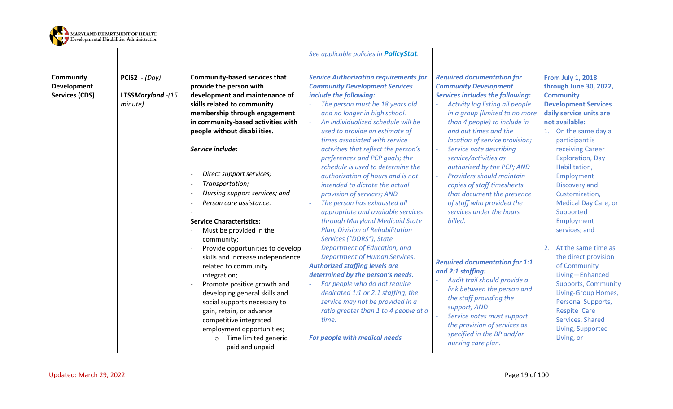

<span id="page-18-0"></span>

|                                                          |                                                        |                                                                                                                                                                                                                                                                                                                                                                                                           | See applicable policies in <b>PolicyStat</b> .                                                                                                                                                                                                                                                                                                                                                                                                                                                                                                                                                                             |                                                                                                                                                                                                                                                                                                                                                                                                                                                                                                                                          |                                                                                                                                                                                                                                                                                                                                                                         |
|----------------------------------------------------------|--------------------------------------------------------|-----------------------------------------------------------------------------------------------------------------------------------------------------------------------------------------------------------------------------------------------------------------------------------------------------------------------------------------------------------------------------------------------------------|----------------------------------------------------------------------------------------------------------------------------------------------------------------------------------------------------------------------------------------------------------------------------------------------------------------------------------------------------------------------------------------------------------------------------------------------------------------------------------------------------------------------------------------------------------------------------------------------------------------------------|------------------------------------------------------------------------------------------------------------------------------------------------------------------------------------------------------------------------------------------------------------------------------------------------------------------------------------------------------------------------------------------------------------------------------------------------------------------------------------------------------------------------------------------|-------------------------------------------------------------------------------------------------------------------------------------------------------------------------------------------------------------------------------------------------------------------------------------------------------------------------------------------------------------------------|
| Community<br><b>Development</b><br><b>Services (CDS)</b> | <b>PCIS2</b> - $(Day)$<br>LTSSMaryland -(15<br>minute) | <b>Community-based services that</b><br>provide the person with<br>development and maintenance of<br>skills related to community<br>membership through engagement<br>in community-based activities with<br>people without disabilities.<br>Service include:<br>Direct support services;<br>Transportation;<br>Nursing support services; and<br>Person care assistance.<br><b>Service Characteristics:</b> | <b>Service Authorization requirements for</b><br><b>Community Development Services</b><br>include the following:<br>The person must be 18 years old<br>and no longer in high school.<br>An individualized schedule will be<br>used to provide an estimate of<br>times associated with service<br>activities that reflect the person's<br>preferences and PCP goals; the<br>schedule is used to determine the<br>authorization of hours and is not<br>intended to dictate the actual<br>provision of services; AND<br>The person has exhausted all<br>appropriate and available services<br>through Maryland Medicaid State | <b>Required documentation for</b><br><b>Community Development</b><br><b>Services includes the following:</b><br>Activity log listing all people<br>in a group (limited to no more<br>than 4 people) to include in<br>and out times and the<br>location of service provision;<br>Service note describing<br>service/activities as<br>authorized by the PCP; AND<br><b>Providers should maintain</b><br>÷.<br>copies of staff timesheets<br>that document the presence<br>of staff who provided the<br>services under the hours<br>billed. | <b>From July 1, 2018</b><br>through June 30, 2022,<br><b>Community</b><br><b>Development Services</b><br>daily service units are<br>not available:<br>1. On the same day a<br>participant is<br>receiving Career<br><b>Exploration, Day</b><br>Habilitation,<br>Employment<br>Discovery and<br>Customization,<br><b>Medical Day Care, or</b><br>Supported<br>Employment |
|                                                          |                                                        | Must be provided in the<br>community;<br>Provide opportunities to develop<br>skills and increase independence<br>related to community<br>integration;<br>Promote positive growth and<br>developing general skills and<br>social supports necessary to<br>gain, retain, or advance<br>competitive integrated<br>employment opportunities;<br>Time limited generic<br>paid and unpaid                       | Plan, Division of Rehabilitation<br>Services ("DORS"), State<br>Department of Education, and<br><b>Department of Human Services.</b><br><b>Authorized staffing levels are</b><br>determined by the person's needs.<br>For people who do not require<br>dedicated 1:1 or 2:1 staffing, the<br>service may not be provided in a<br>ratio greater than 1 to 4 people at a<br>time.<br>For people with medical needs                                                                                                                                                                                                           | <b>Required documentation for 1:1</b><br>and 2:1 staffing:<br>Audit trail should provide a<br>link between the person and<br>the staff providing the<br>support; AND<br>Service notes must support<br>the provision of services as<br>specified in the BP and/or<br>nursing care plan.                                                                                                                                                                                                                                                   | services; and<br>At the same time as<br>the direct provision<br>of Community<br>Living-Enhanced<br><b>Supports, Community</b><br>Living-Group Homes,<br>Personal Supports,<br><b>Respite Care</b><br>Services, Shared<br>Living, Supported<br>Living, or                                                                                                                |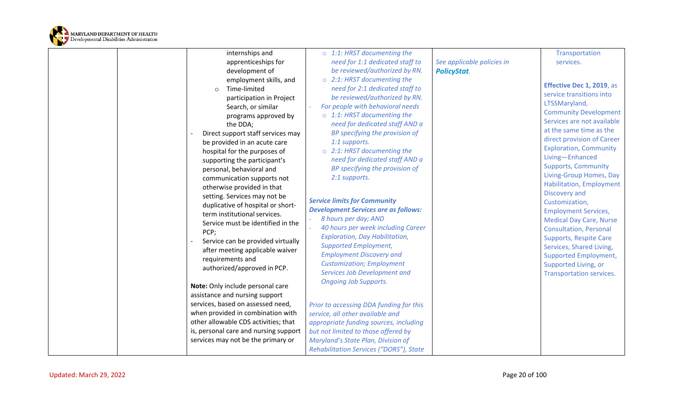

|  | internships and<br>apprenticeships for                                                                                                                                                                                                                                                                                                                                                                                                                                                                                                                           | $\circ$ 1:1: HRST documenting the<br>need for 1:1 dedicated staff to                                                                                                                                                                                                                                                                                                                                                                                                                                                                                                                                              | See applicable policies in | Transportation<br>services.                                                                                                                                                                                                                                                                                                                                                                                                                                                                                                                                                       |
|--|------------------------------------------------------------------------------------------------------------------------------------------------------------------------------------------------------------------------------------------------------------------------------------------------------------------------------------------------------------------------------------------------------------------------------------------------------------------------------------------------------------------------------------------------------------------|-------------------------------------------------------------------------------------------------------------------------------------------------------------------------------------------------------------------------------------------------------------------------------------------------------------------------------------------------------------------------------------------------------------------------------------------------------------------------------------------------------------------------------------------------------------------------------------------------------------------|----------------------------|-----------------------------------------------------------------------------------------------------------------------------------------------------------------------------------------------------------------------------------------------------------------------------------------------------------------------------------------------------------------------------------------------------------------------------------------------------------------------------------------------------------------------------------------------------------------------------------|
|  | development of<br>employment skills, and<br>Time-limited<br>$\circ$<br>participation in Project                                                                                                                                                                                                                                                                                                                                                                                                                                                                  | be reviewed/authorized by RN.<br>$\circ$ 2:1: HRST documenting the<br>need for 2:1 dedicated staff to<br>be reviewed/authorized by RN.                                                                                                                                                                                                                                                                                                                                                                                                                                                                            | <b>PolicyStat.</b>         | Effective Dec 1, 2019, as<br>service transitions into                                                                                                                                                                                                                                                                                                                                                                                                                                                                                                                             |
|  | Search, or similar<br>programs approved by<br>the DDA;<br>Direct support staff services may<br>be provided in an acute care<br>hospital for the purposes of<br>supporting the participant's<br>personal, behavioral and<br>communication supports not<br>otherwise provided in that<br>setting. Services may not be<br>duplicative of hospital or short-<br>term institutional services.<br>Service must be identified in the<br>PCP;<br>Service can be provided virtually<br>after meeting applicable waiver<br>requirements and<br>authorized/approved in PCP. | For people with behavioral needs<br>$\circ$ 1:1: HRST documenting the<br>need for dedicated staff AND a<br>BP specifying the provision of<br>1:1 supports.<br>$\circ$ 2:1: HRST documenting the<br>need for dedicated staff AND a<br>BP specifying the provision of<br>2:1 supports.<br><b>Service limits for Community</b><br><b>Development Services are as follows:</b><br>8 hours per day; AND<br>40 hours per week including Career<br>Exploration, Day Habilitation,<br><b>Supported Employment,</b><br><b>Employment Discovery and</b><br><b>Customization; Employment</b><br>Services Job Development and |                            | LTSSMaryland,<br><b>Community Development</b><br>Services are not available<br>at the same time as the<br>direct provision of Career<br><b>Exploration, Community</b><br>Living-Enhanced<br><b>Supports, Community</b><br>Living-Group Homes, Day<br><b>Habilitation, Employment</b><br>Discovery and<br>Customization,<br><b>Employment Services,</b><br><b>Medical Day Care, Nurse</b><br><b>Consultation, Personal</b><br><b>Supports, Respite Care</b><br>Services, Shared Living,<br><b>Supported Employment,</b><br>Supported Living, or<br><b>Transportation services.</b> |
|  | Note: Only include personal care<br>assistance and nursing support                                                                                                                                                                                                                                                                                                                                                                                                                                                                                               | <b>Ongoing Job Supports.</b>                                                                                                                                                                                                                                                                                                                                                                                                                                                                                                                                                                                      |                            |                                                                                                                                                                                                                                                                                                                                                                                                                                                                                                                                                                                   |
|  | services, based on assessed need,                                                                                                                                                                                                                                                                                                                                                                                                                                                                                                                                | Prior to accessing DDA funding for this                                                                                                                                                                                                                                                                                                                                                                                                                                                                                                                                                                           |                            |                                                                                                                                                                                                                                                                                                                                                                                                                                                                                                                                                                                   |
|  | when provided in combination with                                                                                                                                                                                                                                                                                                                                                                                                                                                                                                                                | service, all other available and                                                                                                                                                                                                                                                                                                                                                                                                                                                                                                                                                                                  |                            |                                                                                                                                                                                                                                                                                                                                                                                                                                                                                                                                                                                   |
|  | other allowable CDS activities; that                                                                                                                                                                                                                                                                                                                                                                                                                                                                                                                             | appropriate funding sources, including                                                                                                                                                                                                                                                                                                                                                                                                                                                                                                                                                                            |                            |                                                                                                                                                                                                                                                                                                                                                                                                                                                                                                                                                                                   |
|  | is, personal care and nursing support                                                                                                                                                                                                                                                                                                                                                                                                                                                                                                                            | but not limited to those offered by                                                                                                                                                                                                                                                                                                                                                                                                                                                                                                                                                                               |                            |                                                                                                                                                                                                                                                                                                                                                                                                                                                                                                                                                                                   |
|  | services may not be the primary or                                                                                                                                                                                                                                                                                                                                                                                                                                                                                                                               | Maryland's State Plan, Division of                                                                                                                                                                                                                                                                                                                                                                                                                                                                                                                                                                                |                            |                                                                                                                                                                                                                                                                                                                                                                                                                                                                                                                                                                                   |
|  |                                                                                                                                                                                                                                                                                                                                                                                                                                                                                                                                                                  | Rehabilitation Services ("DORS"), State                                                                                                                                                                                                                                                                                                                                                                                                                                                                                                                                                                           |                            |                                                                                                                                                                                                                                                                                                                                                                                                                                                                                                                                                                                   |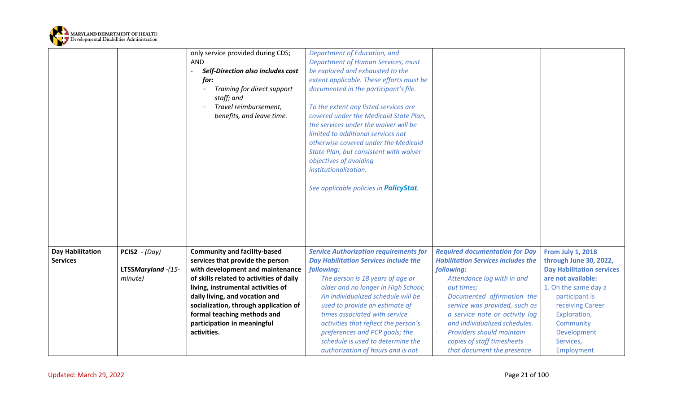

<span id="page-20-0"></span>

|                                            |                                                         | only service provided during CDS;<br><b>AND</b><br>Self-Direction also includes cost<br>for:<br>Training for direct support<br>staff; and<br>Travel reimbursement,<br>benefits, and leave time.                                                                                                                                                       | Department of Education, and<br><b>Department of Human Services, must</b><br>be explored and exhausted to the<br>extent applicable. These efforts must be<br>documented in the participant's file.<br>To the extent any listed services are<br>covered under the Medicaid State Plan,<br>the services under the waiver will be<br>limited to additional services not<br>otherwise covered under the Medicaid<br>State Plan, but consistent with waiver<br>objectives of avoiding<br>institutionalization. |                                                                                                                                                                                                                                                                                                                                                                                     |                                                                                                                                                                                                                                                   |
|--------------------------------------------|---------------------------------------------------------|-------------------------------------------------------------------------------------------------------------------------------------------------------------------------------------------------------------------------------------------------------------------------------------------------------------------------------------------------------|-----------------------------------------------------------------------------------------------------------------------------------------------------------------------------------------------------------------------------------------------------------------------------------------------------------------------------------------------------------------------------------------------------------------------------------------------------------------------------------------------------------|-------------------------------------------------------------------------------------------------------------------------------------------------------------------------------------------------------------------------------------------------------------------------------------------------------------------------------------------------------------------------------------|---------------------------------------------------------------------------------------------------------------------------------------------------------------------------------------------------------------------------------------------------|
|                                            |                                                         |                                                                                                                                                                                                                                                                                                                                                       | See applicable policies in <b>PolicyStat</b> .                                                                                                                                                                                                                                                                                                                                                                                                                                                            |                                                                                                                                                                                                                                                                                                                                                                                     |                                                                                                                                                                                                                                                   |
| <b>Day Habilitation</b><br><b>Services</b> | <b>PCIS2</b> - $(Day)$<br>LTSSMaryland -(15-<br>minute) | <b>Community and facility-based</b><br>services that provide the person<br>with development and maintenance<br>of skills related to activities of daily<br>living, instrumental activities of<br>daily living, and vocation and<br>socialization, through application of<br>formal teaching methods and<br>participation in meaningful<br>activities. | <b>Service Authorization requirements for</b><br><b>Day Habilitation Services include the</b><br>following:<br>The person is 18 years of age or<br>older and no longer in High School;<br>An individualized schedule will be<br>used to provide an estimate of<br>times associated with service<br>activities that reflect the person's<br>preferences and PCP goals; the<br>schedule is used to determine the<br>authorization of hours and is not                                                       | <b>Required documentation for Day</b><br><b>Habilitation Services includes the</b><br>following:<br>Attendance log with in and<br>out times;<br>Documented affirmation the<br>$\omega$<br>service was provided, such as<br>a service note or activity log<br>and individualized schedules.<br>Providers should maintain<br>copies of staff timesheets<br>that document the presence | <b>From July 1, 2018</b><br>through June 30, 2022,<br><b>Day Habilitation services</b><br>are not available:<br>1. On the same day a<br>participant is<br>receiving Career<br>Exploration,<br>Community<br>Development<br>Services,<br>Employment |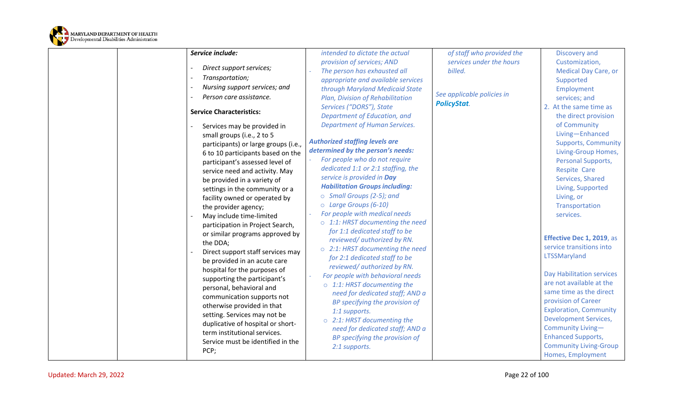

| Service include:                                                  | intended to dictate the actual                                          | of staff who provided the  | Discovery and                    |
|-------------------------------------------------------------------|-------------------------------------------------------------------------|----------------------------|----------------------------------|
|                                                                   | provision of services; AND                                              | services under the hours   | Customization,                   |
| Direct support services;                                          | The person has exhausted all                                            | billed.                    | <b>Medical Day Care, or</b>      |
| Transportation;                                                   | appropriate and available services                                      |                            | Supported                        |
| Nursing support services; and                                     | through Maryland Medicaid State                                         |                            | Employment                       |
| Person care assistance.                                           | Plan, Division of Rehabilitation                                        | See applicable policies in | services; and                    |
| <b>Service Characteristics:</b>                                   | Services ("DORS"), State                                                | <b>PolicyStat.</b>         | 2. At the same time as           |
|                                                                   | Department of Education, and                                            |                            | the direct provision             |
| Services may be provided in                                       | <b>Department of Human Services.</b>                                    |                            | of Community                     |
| small groups (i.e., 2 to 5                                        |                                                                         |                            | Living-Enhanced                  |
| participants) or large groups (i.e.,                              | <b>Authorized staffing levels are</b>                                   |                            | <b>Supports, Community</b>       |
| 6 to 10 participants based on the                                 | determined by the person's needs:                                       |                            | Living-Group Homes,              |
| participant's assessed level of                                   | For people who do not require                                           |                            | Personal Supports,               |
| service need and activity. May                                    | dedicated 1:1 or 2:1 staffing, the                                      |                            | <b>Respite Care</b>              |
| be provided in a variety of                                       | service is provided in Day                                              |                            | Services, Shared                 |
| settings in the community or a                                    | <b>Habilitation Groups including:</b>                                   |                            | Living, Supported                |
| facility owned or operated by                                     | $\circ$ Small Groups (2-5); and                                         |                            | Living, or                       |
| the provider agency;                                              | O Large Groups (6-10)                                                   |                            | Transportation                   |
| May include time-limited                                          | For people with medical needs                                           |                            | services.                        |
| participation in Project Search,                                  | $\circ$ 1:1: HRST documenting the need                                  |                            |                                  |
| or similar programs approved by                                   | for 1:1 dedicated staff to be                                           |                            | Effective Dec 1, 2019, as        |
| the DDA;                                                          | reviewed/authorized by RN.                                              |                            | service transitions into         |
| Direct support staff services may                                 | $\circ$ 2:1: HRST documenting the need<br>for 2:1 dedicated staff to be |                            | LTSSMaryland                     |
| be provided in an acute care                                      | reviewed/authorized by RN.                                              |                            |                                  |
| hospital for the purposes of                                      | For people with behavioral needs                                        |                            | <b>Day Habilitation services</b> |
| supporting the participant's                                      | o 1:1: HRST documenting the                                             |                            | are not available at the         |
| personal, behavioral and                                          | need for dedicated staff; AND a                                         |                            | same time as the direct          |
| communication supports not                                        | BP specifying the provision of                                          |                            | provision of Career              |
| otherwise provided in that                                        | 1:1 supports.                                                           |                            | <b>Exploration, Community</b>    |
| setting. Services may not be                                      | $\circ$ 2:1: HRST documenting the                                       |                            | <b>Development Services,</b>     |
| duplicative of hospital or short-<br>term institutional services. | need for dedicated staff; AND a                                         |                            | Community Living-                |
| Service must be identified in the                                 | BP specifying the provision of                                          |                            | <b>Enhanced Supports,</b>        |
| PCP;                                                              | 2:1 supports.                                                           |                            | <b>Community Living-Group</b>    |
|                                                                   |                                                                         |                            | Homes, Employment                |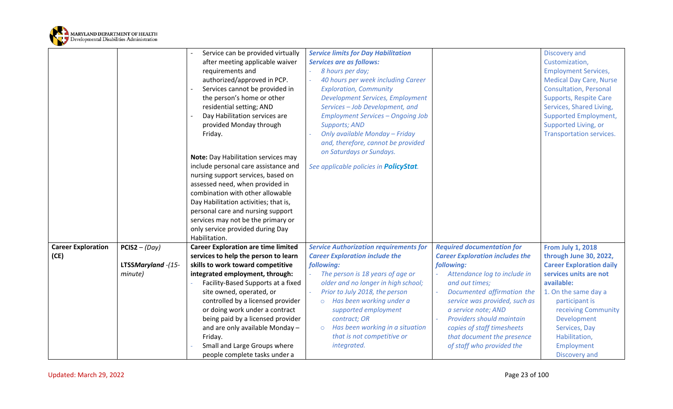

<span id="page-22-0"></span>

|                           |                    | Service can be provided virtually          | <b>Service limits for Day Habilitation</b>     |                                                        | Discovery and                   |
|---------------------------|--------------------|--------------------------------------------|------------------------------------------------|--------------------------------------------------------|---------------------------------|
|                           |                    | after meeting applicable waiver            | <b>Services are as follows:</b>                |                                                        | Customization,                  |
|                           |                    |                                            |                                                |                                                        |                                 |
|                           |                    | requirements and                           | 8 hours per day;                               |                                                        | <b>Employment Services,</b>     |
|                           |                    | authorized/approved in PCP.                | 40 hours per week including Career             |                                                        | <b>Medical Day Care, Nurse</b>  |
|                           |                    | Services cannot be provided in             | <b>Exploration, Community</b>                  |                                                        | <b>Consultation, Personal</b>   |
|                           |                    | the person's home or other                 | <b>Development Services, Employment</b>        |                                                        | <b>Supports, Respite Care</b>   |
|                           |                    | residential setting; AND                   | Services - Job Development, and                |                                                        | Services, Shared Living,        |
|                           |                    | Day Habilitation services are              | <b>Employment Services - Ongoing Job</b>       |                                                        | <b>Supported Employment,</b>    |
|                           |                    | provided Monday through                    | <b>Supports; AND</b>                           |                                                        | Supported Living, or            |
|                           |                    | Friday.                                    | Only available Monday - Friday                 |                                                        | Transportation services.        |
|                           |                    |                                            | and, therefore, cannot be provided             |                                                        |                                 |
|                           |                    |                                            | on Saturdays or Sundays.                       |                                                        |                                 |
|                           |                    | Note: Day Habilitation services may        |                                                |                                                        |                                 |
|                           |                    | include personal care assistance and       | See applicable policies in <b>PolicyStat</b> . |                                                        |                                 |
|                           |                    | nursing support services, based on         |                                                |                                                        |                                 |
|                           |                    | assessed need, when provided in            |                                                |                                                        |                                 |
|                           |                    | combination with other allowable           |                                                |                                                        |                                 |
|                           |                    | Day Habilitation activities; that is,      |                                                |                                                        |                                 |
|                           |                    | personal care and nursing support          |                                                |                                                        |                                 |
|                           |                    | services may not be the primary or         |                                                |                                                        |                                 |
|                           |                    | only service provided during Day           |                                                |                                                        |                                 |
|                           |                    | Habilitation.                              |                                                |                                                        |                                 |
| <b>Career Exploration</b> | $PCIS2 - (Day)$    | <b>Career Exploration are time limited</b> | <b>Service Authorization requirements for</b>  | <b>Required documentation for</b>                      | <b>From July 1, 2018</b>        |
| (CE)                      |                    | services to help the person to learn       | <b>Career Exploration include the</b>          | <b>Career Exploration includes the</b>                 | through June 30, 2022,          |
|                           | LTSSMaryland -(15- | skills to work toward competitive          | following:                                     | following:                                             | <b>Career Exploration daily</b> |
|                           | minute)            | integrated employment, through:            | The person is 18 years of age or               | Attendance log to include in                           | services units are not          |
|                           |                    | Facility-Based Supports at a fixed         | older and no longer in high school;            | and out times;                                         | available:                      |
|                           |                    | site owned, operated, or                   | Prior to July 2018, the person                 | Documented affirmation the<br>$\overline{\phantom{a}}$ | 1. On the same day a            |
|                           |                    | controlled by a licensed provider          | Has been working under a<br>$\circ$            | service was provided, such as                          | participant is                  |
|                           |                    | or doing work under a contract             | supported employment                           | a service note; AND                                    | receiving Community             |
|                           |                    | being paid by a licensed provider          | contract; OR                                   | Providers should maintain                              | Development                     |
|                           |                    | and are only available Monday -            | Has been working in a situation<br>$\circ$     | copies of staff timesheets                             | Services, Day                   |
|                           |                    | Friday.                                    | that is not competitive or                     | that document the presence                             | Habilitation,                   |
|                           |                    | Small and Large Groups where               | integrated.                                    | of staff who provided the                              | Employment                      |
|                           |                    | people complete tasks under a              |                                                |                                                        | Discovery and                   |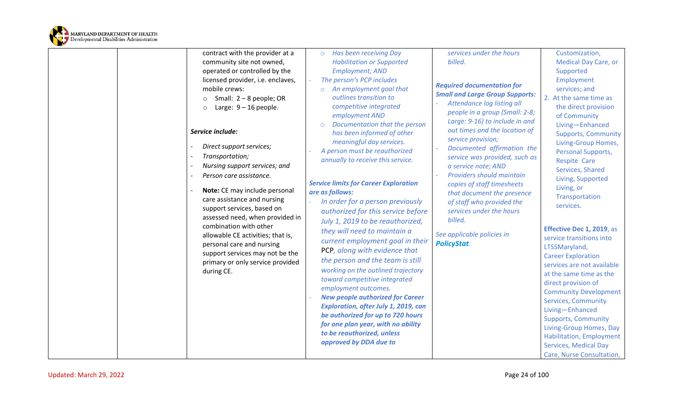

| contract with the provider at a                                                                                                                                                                                                                              | Has been receiving Day<br>$\circ$                                                                                                                                                                                                                                                                                                                                                                                                                          | services under the hours                                                                                                                                                                                                                                                                               | Customization,                                                                                                                                                                                                                                                                                                                                                                                           |
|--------------------------------------------------------------------------------------------------------------------------------------------------------------------------------------------------------------------------------------------------------------|------------------------------------------------------------------------------------------------------------------------------------------------------------------------------------------------------------------------------------------------------------------------------------------------------------------------------------------------------------------------------------------------------------------------------------------------------------|--------------------------------------------------------------------------------------------------------------------------------------------------------------------------------------------------------------------------------------------------------------------------------------------------------|----------------------------------------------------------------------------------------------------------------------------------------------------------------------------------------------------------------------------------------------------------------------------------------------------------------------------------------------------------------------------------------------------------|
| community site not owned,                                                                                                                                                                                                                                    | <b>Habilitation or Supported</b>                                                                                                                                                                                                                                                                                                                                                                                                                           | billed.                                                                                                                                                                                                                                                                                                | <b>Medical Day Care, or</b>                                                                                                                                                                                                                                                                                                                                                                              |
| operated or controlled by the                                                                                                                                                                                                                                | <b>Employment; AND</b>                                                                                                                                                                                                                                                                                                                                                                                                                                     |                                                                                                                                                                                                                                                                                                        | Supported                                                                                                                                                                                                                                                                                                                                                                                                |
| licensed provider, i.e. enclaves,<br>mobile crews:                                                                                                                                                                                                           | The person's PCP includes<br>An employment goal that                                                                                                                                                                                                                                                                                                                                                                                                       | <b>Required documentation for</b>                                                                                                                                                                                                                                                                      | Employment                                                                                                                                                                                                                                                                                                                                                                                               |
|                                                                                                                                                                                                                                                              | $\circ$<br>outlines transition to                                                                                                                                                                                                                                                                                                                                                                                                                          | <b>Small and Large Group Supports:</b>                                                                                                                                                                                                                                                                 | services; and<br>2. At the same time as                                                                                                                                                                                                                                                                                                                                                                  |
| Small: $2 - 8$ people; OR<br>$\circ$<br>Large: $9 - 16$ people.<br>$\circ$                                                                                                                                                                                   | competitive integrated<br>employment AND<br>Documentation that the person<br>$\circ$                                                                                                                                                                                                                                                                                                                                                                       | Attendance log listing all<br>people in a group (Small: 2-8;<br>Large: 9-16) to include in and                                                                                                                                                                                                         | the direct provision<br>of Community<br>Living-Enhanced                                                                                                                                                                                                                                                                                                                                                  |
| Service include:<br>Direct support services;<br>Transportation;<br>Nursing support services; and<br>Person care assistance.<br>Note: CE may include personal<br>care assistance and nursing<br>support services, based on<br>assessed need, when provided in | has been informed of other<br>meaningful day services.<br>A person must be reauthorized<br>annually to receive this service.<br><b>Service limits for Career Exploration</b><br>are as follows:<br>In order for a person previously<br>authorized for this service before<br>July 1, 2019 to be reauthorized,                                                                                                                                              | out times and the location of<br>service provision;<br>Documented affirmation the<br>service was provided, such as<br>a service note; AND<br>Providers should maintain<br>copies of staff timesheets<br>that document the presence<br>of staff who provided the<br>services under the hours<br>billed. | <b>Supports, Community</b><br>Living-Group Homes,<br>Personal Supports,<br><b>Respite Care</b><br>Services, Shared<br>Living, Supported<br>Living, or<br>Transportation<br>services.                                                                                                                                                                                                                     |
| combination with other<br>allowable CE activities; that is,<br>personal care and nursing<br>support services may not be the<br>primary or only service provided<br>during CE.                                                                                | they will need to maintain a<br>current employment goal in their<br>PCP, along with evidence that<br>the person and the team is still<br>working on the outlined trajectory<br>toward competitive integrated<br>employment outcomes.<br><b>New people authorized for Career</b><br>Exploration, after July 1, 2019, can<br>be authorized for up to 720 hours<br>for one plan year, with no ability<br>to be reauthorized, unless<br>approved by DDA due to | See applicable policies in<br><b>PolicyStat.</b>                                                                                                                                                                                                                                                       | Effective Dec 1, 2019, as<br>service transitions into<br>LTSSMaryland,<br><b>Career Exploration</b><br>services are not available<br>at the same time as the<br>direct provision of<br><b>Community Development</b><br>Services, Community<br>Living-Enhanced<br><b>Supports, Community</b><br>Living-Group Homes, Day<br>Habilitation, Employment<br>Services, Medical Day<br>Care, Nurse Consultation, |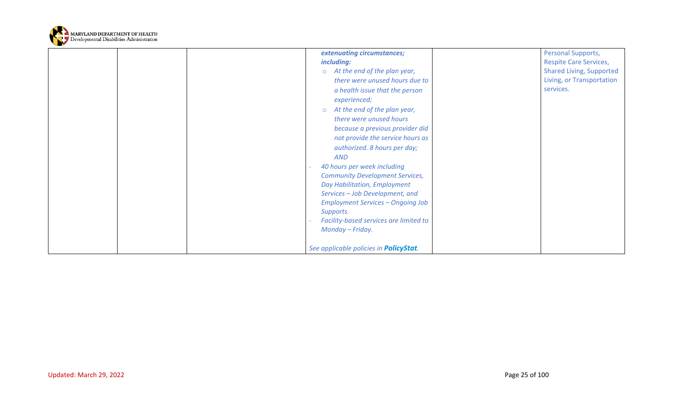

| extenuating circumstances;                     | Personal Supports,              |
|------------------------------------------------|---------------------------------|
| including:                                     | <b>Respite Care Services,</b>   |
| At the end of the plan year,<br>$\circ$        | <b>Shared Living, Supported</b> |
| there were unused hours due to                 | Living, or Transportation       |
| a health issue that the person                 | services.                       |
| experienced;                                   |                                 |
| At the end of the plan year,<br>$\circ$        |                                 |
| there were unused hours                        |                                 |
| because a previous provider did                |                                 |
| not provide the service hours as               |                                 |
| authorized. 8 hours per day;                   |                                 |
| <b>AND</b>                                     |                                 |
| 40 hours per week including                    |                                 |
| <b>Community Development Services,</b>         |                                 |
| Day Habilitation, Employment                   |                                 |
| Services - Job Development, and                |                                 |
| <b>Employment Services - Ongoing Job</b>       |                                 |
| Supports.                                      |                                 |
| Facility-based services are limited to         |                                 |
| Monday - Friday.                               |                                 |
|                                                |                                 |
| See applicable policies in <b>PolicyStat</b> . |                                 |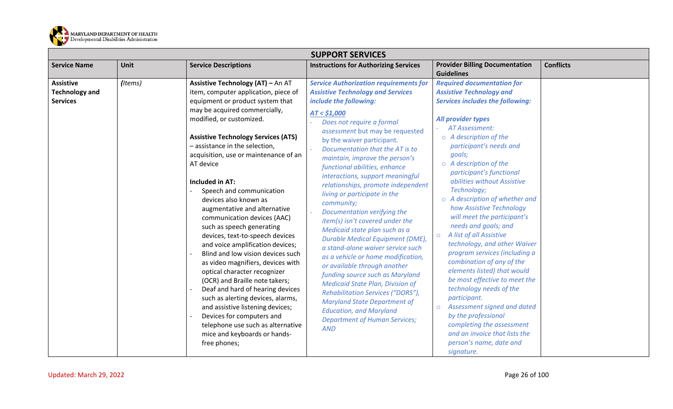

<span id="page-25-1"></span><span id="page-25-0"></span>

|                                                              | <b>SUPPORT SERVICES</b> |                                                                                                                                                                                                                                                                                                                                                                                                                                                                                      |                                                                                                                                                                                                                                                                                                                                                                                                                                                                                                                                   |                                                                                                                                                                                                                                                                                                                                                                                                                                                             |                  |  |
|--------------------------------------------------------------|-------------------------|--------------------------------------------------------------------------------------------------------------------------------------------------------------------------------------------------------------------------------------------------------------------------------------------------------------------------------------------------------------------------------------------------------------------------------------------------------------------------------------|-----------------------------------------------------------------------------------------------------------------------------------------------------------------------------------------------------------------------------------------------------------------------------------------------------------------------------------------------------------------------------------------------------------------------------------------------------------------------------------------------------------------------------------|-------------------------------------------------------------------------------------------------------------------------------------------------------------------------------------------------------------------------------------------------------------------------------------------------------------------------------------------------------------------------------------------------------------------------------------------------------------|------------------|--|
| <b>Service Name</b>                                          | Unit                    | <b>Service Descriptions</b>                                                                                                                                                                                                                                                                                                                                                                                                                                                          | <b>Instructions for Authorizing Services</b>                                                                                                                                                                                                                                                                                                                                                                                                                                                                                      | <b>Provider Billing Documentation</b><br><b>Guidelines</b>                                                                                                                                                                                                                                                                                                                                                                                                  | <b>Conflicts</b> |  |
| <b>Assistive</b><br><b>Technology and</b><br><b>Services</b> | (Items)                 | Assistive Technology (AT) - An AT<br>item, computer application, piece of<br>equipment or product system that<br>may be acquired commercially,<br>modified, or customized.<br><b>Assistive Technology Services (ATS)</b><br>- assistance in the selection,<br>acquisition, use or maintenance of an<br>AT device<br>Included in AT:<br>Speech and communication<br>devices also known as<br>augmentative and alternative<br>communication devices (AAC)<br>such as speech generating | <b>Service Authorization requirements for</b><br><b>Assistive Technology and Services</b><br>include the following:<br>AT < \$1,000<br>Does not require a formal<br>assessment but may be requested<br>by the waiver participant.<br>Documentation that the AT is to<br>maintain, improve the person's<br>functional abilities, enhance<br>interactions, support meaningful<br>relationships, promote independent<br>living or participate in the<br>community;<br>Documentation verifying the<br>item(s) isn't covered under the | <b>Required documentation for</b><br><b>Assistive Technology and</b><br><b>Services includes the following:</b><br>All provider types<br>AT Assessment:<br>$\circ$ A description of the<br>participant's needs and<br>goals;<br>$\circ$ A description of the<br>participant's functional<br>abilities without Assistive<br>Technology;<br>o A description of whether and<br>how Assistive Technology<br>will meet the participant's<br>needs and goals; and |                  |  |
|                                                              |                         | devices, text-to-speech devices<br>and voice amplification devices;<br>Blind and low vision devices such<br>as video magnifiers, devices with<br>optical character recognizer<br>(OCR) and Braille note takers;<br>Deaf and hard of hearing devices<br>such as alerting devices, alarms,<br>and assistive listening devices;<br>Devices for computers and<br>telephone use such as alternative<br>mice and keyboards or hands-<br>free phones;                                       | Durable Medical Equipment (DME),<br>a stand-alone waiver service such<br>as a vehicle or home modification,<br>or available through another<br>funding source such as Maryland<br><b>Medicaid State Plan, Division of</b><br>Rehabilitation Services ("DORS"),<br><b>Maryland State Department of</b><br><b>Education, and Maryland</b><br><b>Department of Human Services;</b><br><b>AND</b>                                                                                                                                     | Medicaid state plan such as a<br>A list of all Assistive<br>$\circ$<br>technology, and other Waiver<br>program services (including a<br>combination of any of the<br>elements listed) that would<br>be most effective to meet the<br>technology needs of the<br>participant.<br>Assessment signed and dated<br>$\circ$<br>by the professional<br>completing the assessment<br>and an invoice that lists the<br>person's name, date and<br>signature.        |                  |  |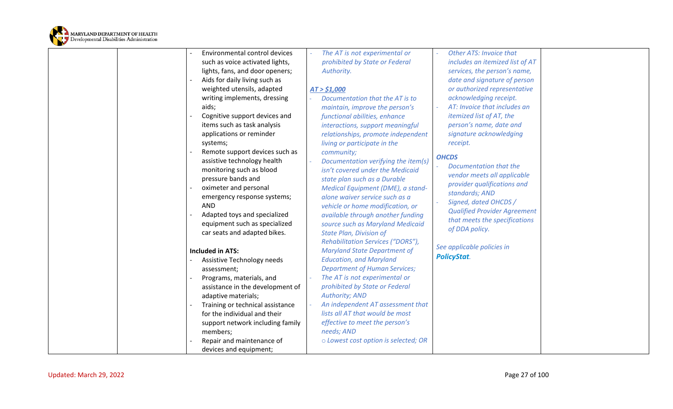

| Environmental control devices    | The AT is not experimental or        | <b>Other ATS: Invoice that</b>      |
|----------------------------------|--------------------------------------|-------------------------------------|
| such as voice activated lights,  | prohibited by State or Federal       | includes an itemized list of AT     |
| lights, fans, and door openers;  | Authority.                           | services, the person's name,        |
| Aids for daily living such as    |                                      | date and signature of person        |
| weighted utensils, adapted       | AT > \$1,000                         | or authorized representative        |
| writing implements, dressing     | Documentation that the AT is to      | acknowledging receipt.              |
| aids;                            | maintain, improve the person's       | AT: Invoice that includes an        |
| Cognitive support devices and    | functional abilities, enhance        | itemized list of AT, the            |
| items such as task analysis      | interactions, support meaningful     | person's name, date and             |
| applications or reminder         | relationships, promote independent   | signature acknowledging             |
| systems;                         | living or participate in the         | receipt.                            |
| Remote support devices such as   | community;                           |                                     |
| assistive technology health      | Documentation verifying the item(s)  | <b>OHCDS</b>                        |
| monitoring such as blood         | isn't covered under the Medicaid     | Documentation that the              |
| pressure bands and               | state plan such as a Durable         | vendor meets all applicable         |
| oximeter and personal            | Medical Equipment (DME), a stand-    | provider qualifications and         |
| emergency response systems;      | alone waiver service such as a       | standards; AND                      |
| <b>AND</b>                       | vehicle or home modification, or     | Signed, dated OHCDS /               |
| Adapted toys and specialized     | available through another funding    | <b>Qualified Provider Agreement</b> |
| equipment such as specialized    | source such as Maryland Medicaid     | that meets the specifications       |
| car seats and adapted bikes.     | <b>State Plan, Division of</b>       | of DDA policy.                      |
|                                  | Rehabilitation Services ("DORS"),    |                                     |
| <b>Included in ATS:</b>          | <b>Maryland State Department of</b>  | See applicable policies in          |
| Assistive Technology needs       | <b>Education, and Maryland</b>       | <b>PolicyStat.</b>                  |
| assessment;                      | <b>Department of Human Services;</b> |                                     |
| Programs, materials, and         | The AT is not experimental or        |                                     |
| assistance in the development of | prohibited by State or Federal       |                                     |
| adaptive materials;              | <b>Authority; AND</b>                |                                     |
| Training or technical assistance | An independent AT assessment that    |                                     |
| for the individual and their     | lists all AT that would be most      |                                     |
| support network including family | effective to meet the person's       |                                     |
| members;                         | needs; AND                           |                                     |
| Repair and maintenance of        | o Lowest cost option is selected; OR |                                     |
| devices and equipment;           |                                      |                                     |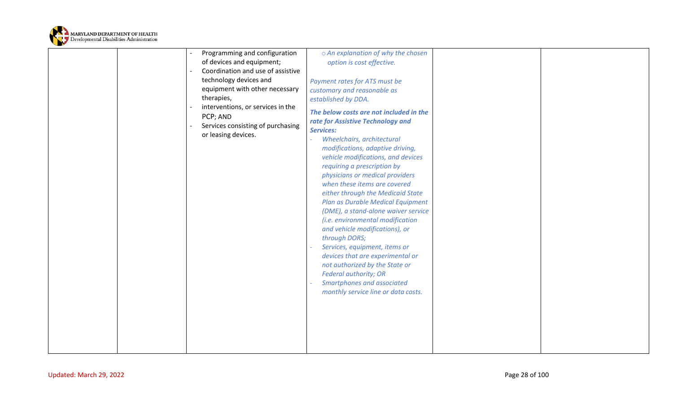

|  | Programming and configuration     | o An explanation of why the chosen      |  |
|--|-----------------------------------|-----------------------------------------|--|
|  | of devices and equipment;         | option is cost effective.               |  |
|  | Coordination and use of assistive |                                         |  |
|  | technology devices and            | Payment rates for ATS must be           |  |
|  | equipment with other necessary    | customary and reasonable as             |  |
|  | therapies,                        | established by DDA.                     |  |
|  | interventions, or services in the |                                         |  |
|  | PCP; AND                          | The below costs are not included in the |  |
|  | Services consisting of purchasing | rate for Assistive Technology and       |  |
|  | or leasing devices.               | <b>Services:</b>                        |  |
|  |                                   | Wheelchairs, architectural              |  |
|  |                                   | modifications, adaptive driving,        |  |
|  |                                   | vehicle modifications, and devices      |  |
|  |                                   | requiring a prescription by             |  |
|  |                                   | physicians or medical providers         |  |
|  |                                   | when these items are covered            |  |
|  |                                   | either through the Medicaid State       |  |
|  |                                   | Plan as Durable Medical Equipment       |  |
|  |                                   | (DME), a stand-alone waiver service     |  |
|  |                                   | (i.e. environmental modification        |  |
|  |                                   | and vehicle modifications), or          |  |
|  |                                   | through DORS;                           |  |
|  |                                   | Services, equipment, items or           |  |
|  |                                   | devices that are experimental or        |  |
|  |                                   | not authorized by the State or          |  |
|  |                                   | <b>Federal authority; OR</b>            |  |
|  |                                   | Smartphones and associated              |  |
|  |                                   | monthly service line or data costs.     |  |
|  |                                   |                                         |  |
|  |                                   |                                         |  |
|  |                                   |                                         |  |
|  |                                   |                                         |  |
|  |                                   |                                         |  |
|  |                                   |                                         |  |
|  |                                   |                                         |  |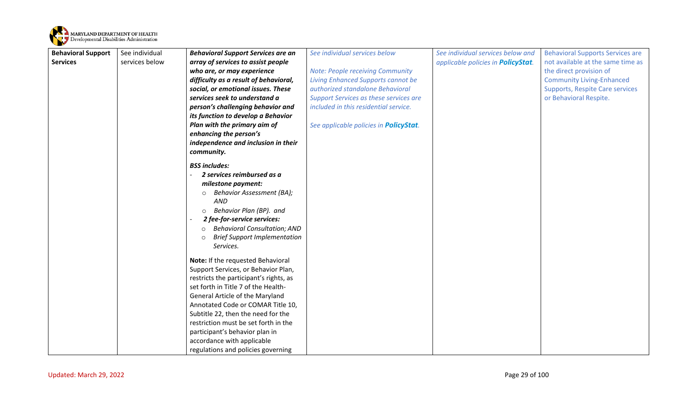

<span id="page-28-0"></span>

| <b>Behavioral Support</b> | See individual | <b>Behavioral Support Services are an</b>      | See individual services below                  | See individual services below and          | <b>Behavioral Supports Services are</b> |
|---------------------------|----------------|------------------------------------------------|------------------------------------------------|--------------------------------------------|-----------------------------------------|
| <b>Services</b>           | services below | array of services to assist people             |                                                | applicable policies in <b>PolicyStat</b> . | not available at the same time as       |
|                           |                | who are, or may experience                     | <b>Note: People receiving Community</b>        |                                            | the direct provision of                 |
|                           |                | difficulty as a result of behavioral,          | <b>Living Enhanced Supports cannot be</b>      |                                            | <b>Community Living-Enhanced</b>        |
|                           |                | social, or emotional issues. These             | authorized standalone Behavioral               |                                            | <b>Supports, Respite Care services</b>  |
|                           |                | services seek to understand a                  | <b>Support Services as these services are</b>  |                                            | or Behavioral Respite.                  |
|                           |                | person's challenging behavior and              | included in this residential service.          |                                            |                                         |
|                           |                | its function to develop a Behavior             |                                                |                                            |                                         |
|                           |                | Plan with the primary aim of                   | See applicable policies in <b>PolicyStat</b> . |                                            |                                         |
|                           |                | enhancing the person's                         |                                                |                                            |                                         |
|                           |                | independence and inclusion in their            |                                                |                                            |                                         |
|                           |                | community.                                     |                                                |                                            |                                         |
|                           |                | <b>BSS includes:</b>                           |                                                |                                            |                                         |
|                           |                | 2 services reimbursed as a                     |                                                |                                            |                                         |
|                           |                | milestone payment:                             |                                                |                                            |                                         |
|                           |                | <b>Behavior Assessment (BA);</b><br>$\circ$    |                                                |                                            |                                         |
|                           |                | <b>AND</b>                                     |                                                |                                            |                                         |
|                           |                | Behavior Plan (BP). and<br>$\circ$             |                                                |                                            |                                         |
|                           |                | 2 fee-for-service services:                    |                                                |                                            |                                         |
|                           |                | <b>Behavioral Consultation; AND</b><br>$\circ$ |                                                |                                            |                                         |
|                           |                | <b>Brief Support Implementation</b><br>$\circ$ |                                                |                                            |                                         |
|                           |                | Services.                                      |                                                |                                            |                                         |
|                           |                | Note: If the requested Behavioral              |                                                |                                            |                                         |
|                           |                | Support Services, or Behavior Plan,            |                                                |                                            |                                         |
|                           |                | restricts the participant's rights, as         |                                                |                                            |                                         |
|                           |                | set forth in Title 7 of the Health-            |                                                |                                            |                                         |
|                           |                | General Article of the Maryland                |                                                |                                            |                                         |
|                           |                | Annotated Code or COMAR Title 10,              |                                                |                                            |                                         |
|                           |                | Subtitle 22, then the need for the             |                                                |                                            |                                         |
|                           |                | restriction must be set forth in the           |                                                |                                            |                                         |
|                           |                | participant's behavior plan in                 |                                                |                                            |                                         |
|                           |                | accordance with applicable                     |                                                |                                            |                                         |
|                           |                | regulations and policies governing             |                                                |                                            |                                         |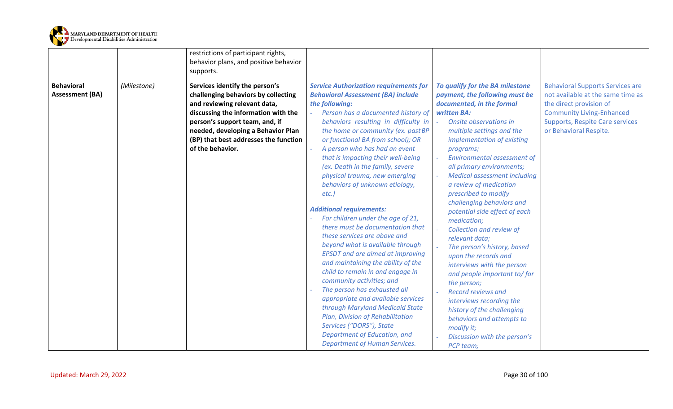

<span id="page-29-0"></span>

|                                             |             | restrictions of participant rights,<br>behavior plans, and positive behavior<br>supports.                                                                                                                                                                                         |                                                                                                                                                                                                                                                                                                                                                                                                                                                                                                                                                                                                                                                                                                                                                                                                                                                                                                                                                                                                                                                    |                                                                                                                                                                                                                                                                                                                                                                                                                                                                                                                                                                                                                                                                                                                                                                                                                          |                                                                                                                                                                                                                 |
|---------------------------------------------|-------------|-----------------------------------------------------------------------------------------------------------------------------------------------------------------------------------------------------------------------------------------------------------------------------------|----------------------------------------------------------------------------------------------------------------------------------------------------------------------------------------------------------------------------------------------------------------------------------------------------------------------------------------------------------------------------------------------------------------------------------------------------------------------------------------------------------------------------------------------------------------------------------------------------------------------------------------------------------------------------------------------------------------------------------------------------------------------------------------------------------------------------------------------------------------------------------------------------------------------------------------------------------------------------------------------------------------------------------------------------|--------------------------------------------------------------------------------------------------------------------------------------------------------------------------------------------------------------------------------------------------------------------------------------------------------------------------------------------------------------------------------------------------------------------------------------------------------------------------------------------------------------------------------------------------------------------------------------------------------------------------------------------------------------------------------------------------------------------------------------------------------------------------------------------------------------------------|-----------------------------------------------------------------------------------------------------------------------------------------------------------------------------------------------------------------|
| <b>Behavioral</b><br><b>Assessment (BA)</b> | (Milestone) | Services identify the person's<br>challenging behaviors by collecting<br>and reviewing relevant data,<br>discussing the information with the<br>person's support team, and, if<br>needed, developing a Behavior Plan<br>(BP) that best addresses the function<br>of the behavior. | <b>Service Authorization requirements for</b><br><b>Behavioral Assessment (BA) include</b><br>the following:<br>Person has a documented history of<br>behaviors resulting in difficulty in<br>the home or community (ex. past BP<br>or functional BA from school); OR<br>A person who has had an event<br>that is impacting their well-being<br>(ex. Death in the family, severe<br>physical trauma, new emerging<br>behaviors of unknown etiology,<br>$etc.$ )<br><b>Additional requirements:</b><br>For children under the age of 21,<br>there must be documentation that<br>these services are above and<br>beyond what is available through<br><b>EPSDT</b> and are aimed at improving<br>and maintaining the ability of the<br>child to remain in and engage in<br>community activities; and<br>The person has exhausted all<br>appropriate and available services<br>through Maryland Medicaid State<br>Plan, Division of Rehabilitation<br>Services ("DORS"), State<br>Department of Education, and<br><b>Department of Human Services.</b> | To qualify for the BA milestone<br>payment, the following must be<br>documented, in the formal<br>written BA:<br>Onsite observations in<br>multiple settings and the<br>implementation of existing<br>programs;<br><b>Environmental assessment of</b><br>all primary environments;<br><b>Medical assessment including</b><br>a review of medication<br>prescribed to modify<br>challenging behaviors and<br>potential side effect of each<br>medication;<br>Collection and review of<br>relevant data;<br>The person's history, based<br>upon the records and<br>interviews with the person<br>and people important to/for<br>the person;<br><b>Record reviews and</b><br>interviews recording the<br>history of the challenging<br>behaviors and attempts to<br>modify it;<br>Discussion with the person's<br>PCP team; | <b>Behavioral Supports Services are</b><br>not available at the same time as<br>the direct provision of<br><b>Community Living-Enhanced</b><br><b>Supports, Respite Care services</b><br>or Behavioral Respite. |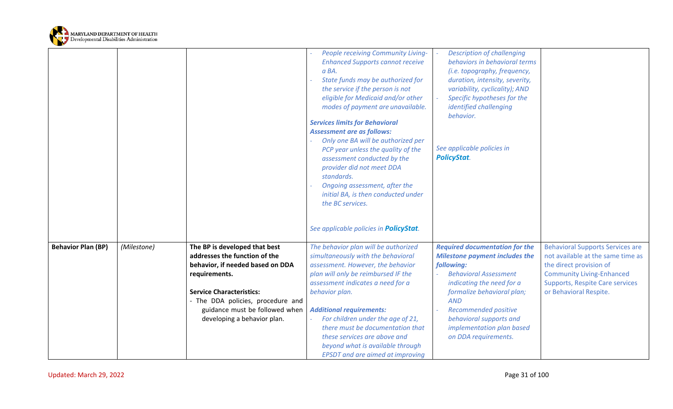

<span id="page-30-0"></span>

|                           |             |                                   | People receiving Community Living-             | <b>Description of challenging</b>     |                                         |
|---------------------------|-------------|-----------------------------------|------------------------------------------------|---------------------------------------|-----------------------------------------|
|                           |             |                                   | <b>Enhanced Supports cannot receive</b>        | behaviors in behavioral terms         |                                         |
|                           |             |                                   | a BA.                                          | (i.e. topography, frequency,          |                                         |
|                           |             |                                   | State funds may be authorized for              | duration, intensity, severity,        |                                         |
|                           |             |                                   | the service if the person is not               | variability, cyclicality); AND        |                                         |
|                           |             |                                   | eligible for Medicaid and/or other             | Specific hypotheses for the           |                                         |
|                           |             |                                   | modes of payment are unavailable.              | identified challenging                |                                         |
|                           |             |                                   |                                                | behavior.                             |                                         |
|                           |             |                                   | <b>Services limits for Behavioral</b>          |                                       |                                         |
|                           |             |                                   | <b>Assessment are as follows:</b>              |                                       |                                         |
|                           |             |                                   | Only one BA will be authorized per             |                                       |                                         |
|                           |             |                                   | PCP year unless the quality of the             | See applicable policies in            |                                         |
|                           |             |                                   | assessment conducted by the                    | <b>PolicyStat.</b>                    |                                         |
|                           |             |                                   | provider did not meet DDA                      |                                       |                                         |
|                           |             |                                   | standards.                                     |                                       |                                         |
|                           |             |                                   | Ongoing assessment, after the                  |                                       |                                         |
|                           |             |                                   | initial BA, is then conducted under            |                                       |                                         |
|                           |             |                                   | the BC services.                               |                                       |                                         |
|                           |             |                                   |                                                |                                       |                                         |
|                           |             |                                   |                                                |                                       |                                         |
|                           |             |                                   | See applicable policies in <b>PolicyStat</b> . |                                       |                                         |
|                           |             |                                   |                                                |                                       |                                         |
| <b>Behavior Plan (BP)</b> | (Milestone) | The BP is developed that best     | The behavior plan will be authorized           | <b>Required documentation for the</b> | <b>Behavioral Supports Services are</b> |
|                           |             | addresses the function of the     | simultaneously with the behavioral             | <b>Milestone payment includes the</b> | not available at the same time as       |
|                           |             | behavior, if needed based on DDA  | assessment. However, the behavior              | following:                            | the direct provision of                 |
|                           |             | requirements.                     | plan will only be reimbursed IF the            | <b>Behavioral Assessment</b>          | <b>Community Living-Enhanced</b>        |
|                           |             |                                   | assessment indicates a need for a              | indicating the need for a             | <b>Supports, Respite Care services</b>  |
|                           |             | <b>Service Characteristics:</b>   | behavior plan.                                 | formalize behavioral plan;            | or Behavioral Respite.                  |
|                           |             | - The DDA policies, procedure and |                                                | <b>AND</b>                            |                                         |
|                           |             | guidance must be followed when    | <b>Additional requirements:</b>                | <b>Recommended positive</b>           |                                         |
|                           |             | developing a behavior plan.       | For children under the age of 21,              | behavioral supports and               |                                         |
|                           |             |                                   | there must be documentation that               | implementation plan based             |                                         |
|                           |             |                                   | these services are above and                   | on DDA requirements.                  |                                         |
|                           |             |                                   | beyond what is available through               |                                       |                                         |
|                           |             |                                   | <b>EPSDT</b> and are aimed at improving        |                                       |                                         |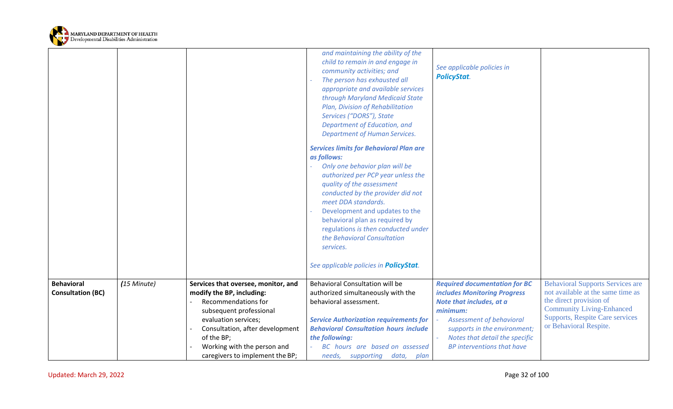

<span id="page-31-0"></span>

|                          |             |                                     | and maintaining the ability of the<br>child to remain in and engage in<br>community activities; and<br>The person has exhausted all<br>appropriate and available services<br>through Maryland Medicaid State<br>Plan, Division of Rehabilitation<br>Services ("DORS"), State<br>Department of Education, and<br><b>Department of Human Services.</b>                                  | See applicable policies in<br><b>PolicyStat.</b> |                                                                  |
|--------------------------|-------------|-------------------------------------|---------------------------------------------------------------------------------------------------------------------------------------------------------------------------------------------------------------------------------------------------------------------------------------------------------------------------------------------------------------------------------------|--------------------------------------------------|------------------------------------------------------------------|
|                          |             |                                     | <b>Services limits for Behavioral Plan are</b>                                                                                                                                                                                                                                                                                                                                        |                                                  |                                                                  |
|                          |             |                                     | as follows:<br>Only one behavior plan will be<br>authorized per PCP year unless the<br>quality of the assessment<br>conducted by the provider did not<br>meet DDA standards.<br>Development and updates to the<br>behavioral plan as required by<br>regulations is then conducted under<br>the Behavioral Consultation<br>services.<br>See applicable policies in <b>PolicyStat</b> . |                                                  |                                                                  |
| <b>Behavioral</b>        | (15 Minute) | Services that oversee, monitor, and | Behavioral Consultation will be                                                                                                                                                                                                                                                                                                                                                       | <b>Required documentation for BC</b>             | <b>Behavioral Supports Services are</b>                          |
| <b>Consultation (BC)</b> |             | modify the BP, including:           | authorized simultaneously with the                                                                                                                                                                                                                                                                                                                                                    | <b>includes Monitoring Progress</b>              | not available at the same time as                                |
|                          |             | <b>Recommendations for</b>          | behavioral assessment.                                                                                                                                                                                                                                                                                                                                                                | Note that includes, at a                         | the direct provision of                                          |
|                          |             | subsequent professional             |                                                                                                                                                                                                                                                                                                                                                                                       | minimum:                                         | <b>Community Living-Enhanced</b>                                 |
|                          |             | evaluation services;                | <b>Service Authorization requirements for</b>                                                                                                                                                                                                                                                                                                                                         | <b>Assessment of behavioral</b>                  | <b>Supports, Respite Care services</b><br>or Behavioral Respite. |
|                          |             | Consultation, after development     | <b>Behavioral Consultation hours include</b>                                                                                                                                                                                                                                                                                                                                          | supports in the environment;                     |                                                                  |
|                          |             | of the BP;                          | the following:                                                                                                                                                                                                                                                                                                                                                                        | Notes that detail the specific                   |                                                                  |
|                          |             | Working with the person and         | BC hours are based on assessed                                                                                                                                                                                                                                                                                                                                                        | <b>BP</b> interventions that have                |                                                                  |
|                          |             | caregivers to implement the BP;     | needs, supporting data,<br>plan                                                                                                                                                                                                                                                                                                                                                       |                                                  |                                                                  |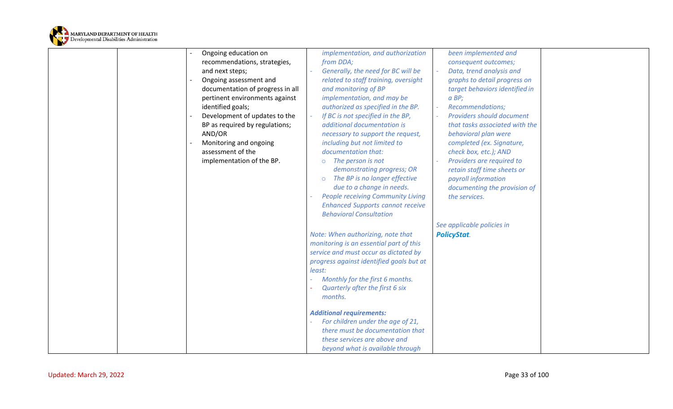

|  | Ongoing education on             |        | implementation, and authorization        | been implemented and           |  |
|--|----------------------------------|--------|------------------------------------------|--------------------------------|--|
|  | recommendations, strategies,     |        | from DDA;                                | consequent outcomes;           |  |
|  | and next steps;                  |        | Generally, the need for BC will be       | Data, trend analysis and       |  |
|  | Ongoing assessment and           |        | related to staff training, oversight     | graphs to detail progress on   |  |
|  | documentation of progress in all |        | and monitoring of BP                     | target behaviors identified in |  |
|  | pertinent environments against   |        | implementation, and may be               | $a$ BP;                        |  |
|  | identified goals;                |        | authorized as specified in the BP.       | <b>Recommendations;</b>        |  |
|  | Development of updates to the    |        | If BC is not specified in the BP,        | Providers should document      |  |
|  | BP as required by regulations;   |        | additional documentation is              | that tasks associated with the |  |
|  | AND/OR                           |        | necessary to support the request,        | behavioral plan were           |  |
|  | Monitoring and ongoing           |        | including but not limited to             | completed (ex. Signature,      |  |
|  | assessment of the                |        | documentation that:                      | check box, etc.); AND          |  |
|  | implementation of the BP.        |        | $\circ$ The person is not                | Providers are required to      |  |
|  |                                  |        | demonstrating progress; OR               | retain staff time sheets or    |  |
|  |                                  |        | The BP is no longer effective<br>$\circ$ | payroll information            |  |
|  |                                  |        | due to a change in needs.                | documenting the provision of   |  |
|  |                                  |        | <b>People receiving Community Living</b> | the services.                  |  |
|  |                                  |        | <b>Enhanced Supports cannot receive</b>  |                                |  |
|  |                                  |        | <b>Behavioral Consultation</b>           |                                |  |
|  |                                  |        |                                          | See applicable policies in     |  |
|  |                                  |        | Note: When authorizing, note that        | <b>PolicyStat.</b>             |  |
|  |                                  |        | monitoring is an essential part of this  |                                |  |
|  |                                  |        | service and must occur as dictated by    |                                |  |
|  |                                  |        | progress against identified goals but at |                                |  |
|  |                                  | least: |                                          |                                |  |
|  |                                  |        | Monthly for the first 6 months.          |                                |  |
|  |                                  |        | Quarterly after the first 6 six          |                                |  |
|  |                                  |        | months.                                  |                                |  |
|  |                                  |        |                                          |                                |  |
|  |                                  |        | <b>Additional requirements:</b>          |                                |  |
|  |                                  |        | For children under the age of 21,        |                                |  |
|  |                                  |        | there must be documentation that         |                                |  |
|  |                                  |        | these services are above and             |                                |  |
|  |                                  |        | beyond what is available through         |                                |  |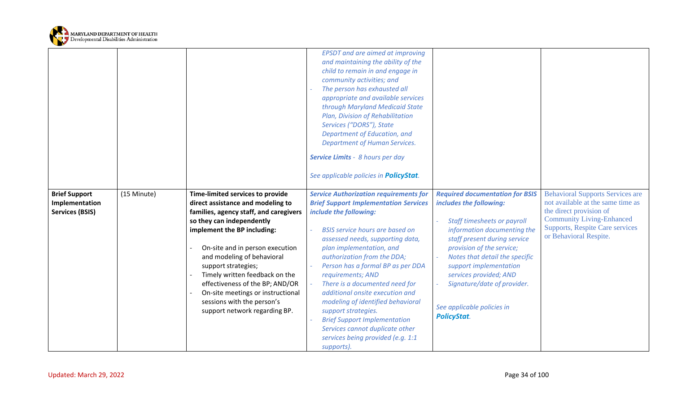

<span id="page-33-0"></span>

|                                        |             |                                                                                                                                                                                                                                                                                                                           | <b>EPSDT</b> and are aimed at improving<br>and maintaining the ability of the<br>child to remain in and engage in<br>community activities; and<br>The person has exhausted all<br>appropriate and available services<br>through Maryland Medicaid State<br>Plan, Division of Rehabilitation<br>Services ("DORS"), State<br>Department of Education, and<br><b>Department of Human Services.</b><br><b>Service Limits - 8 hours per day</b><br>See applicable policies in PolicyStat. |                                                                                                                                                                                                                                                                                                         |                                                                                                      |
|----------------------------------------|-------------|---------------------------------------------------------------------------------------------------------------------------------------------------------------------------------------------------------------------------------------------------------------------------------------------------------------------------|--------------------------------------------------------------------------------------------------------------------------------------------------------------------------------------------------------------------------------------------------------------------------------------------------------------------------------------------------------------------------------------------------------------------------------------------------------------------------------------|---------------------------------------------------------------------------------------------------------------------------------------------------------------------------------------------------------------------------------------------------------------------------------------------------------|------------------------------------------------------------------------------------------------------|
| <b>Brief Support</b><br>Implementation | (15 Minute) | Time-limited services to provide<br>direct assistance and modeling to                                                                                                                                                                                                                                                     | <b>Service Authorization requirements for</b><br><b>Brief Support Implementation Services</b>                                                                                                                                                                                                                                                                                                                                                                                        | <b>Required documentation for BSIS</b><br>includes the following:                                                                                                                                                                                                                                       | <b>Behavioral Supports Services are</b><br>not available at the same time as                         |
| <b>Services (BSIS)</b>                 |             | families, agency staff, and caregivers                                                                                                                                                                                                                                                                                    | include the following:                                                                                                                                                                                                                                                                                                                                                                                                                                                               |                                                                                                                                                                                                                                                                                                         | the direct provision of                                                                              |
|                                        |             | so they can independently<br>implement the BP including:<br>On-site and in person execution<br>and modeling of behavioral<br>support strategies;<br>Timely written feedback on the<br>effectiveness of the BP; AND/OR<br>On-site meetings or instructional<br>sessions with the person's<br>support network regarding BP. | <b>BSIS service hours are based on</b><br>assessed needs, supporting data,<br>plan implementation, and<br>authorization from the DDA;<br>Person has a formal BP as per DDA<br>requirements; AND<br>There is a documented need for<br>additional onsite execution and<br>modeling of identified behavioral<br>support strategies.<br><b>Brief Support Implementation</b><br>Services cannot duplicate other<br>services being provided (e.g. 1:1<br>supports).                        | <b>Staff timesheets or payroll</b><br>information documenting the<br>staff present during service<br>provision of the service;<br>Notes that detail the specific<br>support implementation<br>services provided; AND<br>Signature/date of provider.<br>See applicable policies in<br><b>PolicyStat.</b> | <b>Community Living-Enhanced</b><br><b>Supports, Respite Care services</b><br>or Behavioral Respite. |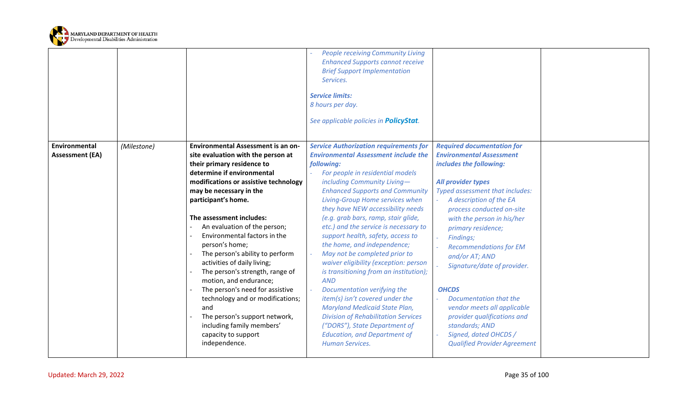

<span id="page-34-0"></span>

|                                         |             |                                                                                                                                                                                                                                                                                                                                                                                                                                                                                                                                                                                                                                                                         | <b>People receiving Community Living</b><br><b>Enhanced Supports cannot receive</b><br><b>Brief Support Implementation</b><br>Services.<br><b>Service limits:</b><br>8 hours per day.<br>See applicable policies in <b>PolicyStat</b> .                                                                                                                                                                                                                                                                                                                                                                                                                                                                                                                                                                                                         |                                                                                                                                                                                                                                                                                                                                                                                                                                                                                                                                                               |
|-----------------------------------------|-------------|-------------------------------------------------------------------------------------------------------------------------------------------------------------------------------------------------------------------------------------------------------------------------------------------------------------------------------------------------------------------------------------------------------------------------------------------------------------------------------------------------------------------------------------------------------------------------------------------------------------------------------------------------------------------------|-------------------------------------------------------------------------------------------------------------------------------------------------------------------------------------------------------------------------------------------------------------------------------------------------------------------------------------------------------------------------------------------------------------------------------------------------------------------------------------------------------------------------------------------------------------------------------------------------------------------------------------------------------------------------------------------------------------------------------------------------------------------------------------------------------------------------------------------------|---------------------------------------------------------------------------------------------------------------------------------------------------------------------------------------------------------------------------------------------------------------------------------------------------------------------------------------------------------------------------------------------------------------------------------------------------------------------------------------------------------------------------------------------------------------|
| Environmental<br><b>Assessment (EA)</b> | (Milestone) | <b>Environmental Assessment is an on-</b><br>site evaluation with the person at<br>their primary residence to<br>determine if environmental<br>modifications or assistive technology<br>may be necessary in the<br>participant's home.<br>The assessment includes:<br>An evaluation of the person;<br>Environmental factors in the<br>person's home;<br>The person's ability to perform<br>activities of daily living;<br>The person's strength, range of<br>motion, and endurance;<br>The person's need for assistive<br>technology and or modifications;<br>and<br>The person's support network,<br>including family members'<br>capacity to support<br>independence. | <b>Service Authorization requirements for</b><br><b>Environmental Assessment include the</b><br>following:<br>For people in residential models<br>including Community Living-<br><b>Enhanced Supports and Community</b><br>Living-Group Home services when<br>they have NEW accessibility needs<br>(e.g. grab bars, ramp, stair glide,<br>etc.) and the service is necessary to<br>support health, safety, access to<br>the home, and independence;<br>May not be completed prior to<br>waiver eligibility (exception: person<br>is transitioning from an institution);<br><b>AND</b><br>Documentation verifying the<br>item(s) isn't covered under the<br><b>Maryland Medicaid State Plan,</b><br><b>Division of Rehabilitation Services</b><br>("DORS"), State Department of<br><b>Education, and Department of</b><br><b>Human Services.</b> | <b>Required documentation for</b><br><b>Environmental Assessment</b><br>includes the following:<br>All provider types<br>Typed assessment that includes:<br>A description of the EA<br>process conducted on-site<br>with the person in his/her<br>primary residence;<br>Findings;<br><b>Recommendations for EM</b><br>and/or AT; AND<br>Signature/date of provider.<br><b>OHCDS</b><br>Documentation that the<br>vendor meets all applicable<br>provider qualifications and<br>standards; AND<br>Signed, dated OHCDS /<br><b>Qualified Provider Agreement</b> |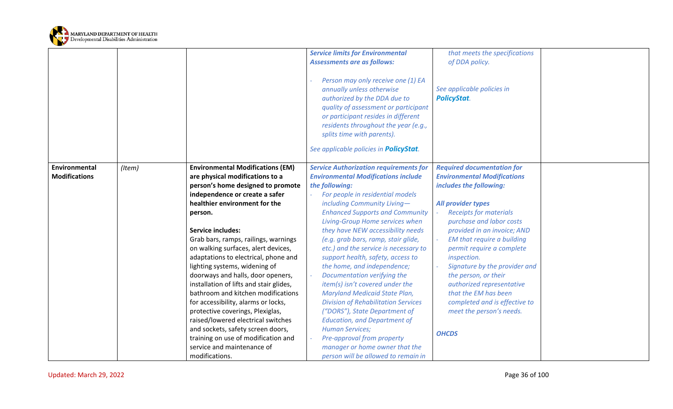

<span id="page-35-0"></span>

|                      |        |                                         | <b>Service limits for Environmental</b>       | that meets the specifications      |  |
|----------------------|--------|-----------------------------------------|-----------------------------------------------|------------------------------------|--|
|                      |        |                                         | <b>Assessments are as follows:</b>            | of DDA policy.                     |  |
|                      |        |                                         |                                               |                                    |  |
|                      |        |                                         | Person may only receive one (1) EA            |                                    |  |
|                      |        |                                         | annually unless otherwise                     | See applicable policies in         |  |
|                      |        |                                         | authorized by the DDA due to                  | <b>PolicyStat.</b>                 |  |
|                      |        |                                         | quality of assessment or participant          |                                    |  |
|                      |        |                                         | or participant resides in different           |                                    |  |
|                      |        |                                         | residents throughout the year (e.g.,          |                                    |  |
|                      |        |                                         | splits time with parents).                    |                                    |  |
|                      |        |                                         |                                               |                                    |  |
|                      |        |                                         | See applicable policies in PolicyStat.        |                                    |  |
|                      |        |                                         |                                               |                                    |  |
| Environmental        | (Item) | <b>Environmental Modifications (EM)</b> | <b>Service Authorization requirements for</b> | <b>Required documentation for</b>  |  |
| <b>Modifications</b> |        | are physical modifications to a         | <b>Environmental Modifications include</b>    | <b>Environmental Modifications</b> |  |
|                      |        | person's home designed to promote       | the following:                                | includes the following:            |  |
|                      |        | independence or create a safer          | For people in residential models              |                                    |  |
|                      |        | healthier environment for the           | including Community Living-                   | All provider types                 |  |
|                      |        | person.                                 | <b>Enhanced Supports and Community</b>        | <b>Receipts for materials</b>      |  |
|                      |        |                                         | Living-Group Home services when               | purchase and labor costs           |  |
|                      |        | <b>Service includes:</b>                | they have NEW accessibility needs             | provided in an invoice; AND        |  |
|                      |        | Grab bars, ramps, railings, warnings    | (e.g. grab bars, ramp, stair glide,           | EM that require a building         |  |
|                      |        | on walking surfaces, alert devices,     | etc.) and the service is necessary to         | permit require a complete          |  |
|                      |        | adaptations to electrical, phone and    | support health, safety, access to             | inspection.                        |  |
|                      |        | lighting systems, widening of           | the home, and independence;                   | Signature by the provider and      |  |
|                      |        | doorways and halls, door openers,       | Documentation verifying the                   | the person, or their               |  |
|                      |        | installation of lifts and stair glides, | item(s) isn't covered under the               | authorized representative          |  |
|                      |        | bathroom and kitchen modifications      | Maryland Medicaid State Plan,                 | that the EM has been               |  |
|                      |        | for accessibility, alarms or locks,     | <b>Division of Rehabilitation Services</b>    | completed and is effective to      |  |
|                      |        | protective coverings, Plexiglas,        | ("DORS"), State Department of                 | meet the person's needs.           |  |
|                      |        | raised/lowered electrical switches      | <b>Education, and Department of</b>           |                                    |  |
|                      |        | and sockets, safety screen doors,       | <b>Human Services;</b>                        | <b>OHCDS</b>                       |  |
|                      |        | training on use of modification and     | Pre-approval from property                    |                                    |  |
|                      |        | service and maintenance of              | manager or home owner that the                |                                    |  |
|                      |        | modifications.                          | person will be allowed to remain in           |                                    |  |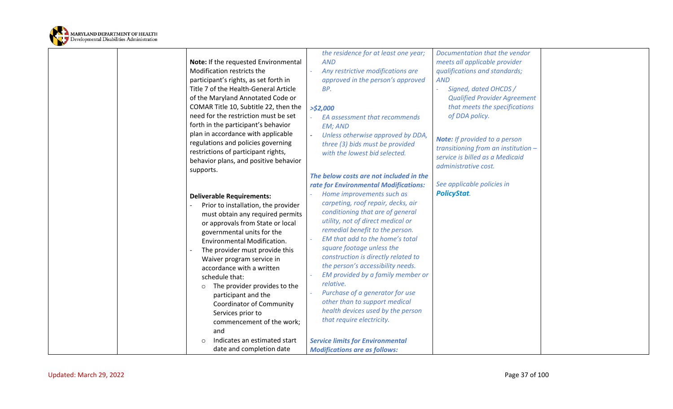

| Note: If the requested Environmental                                                                                                                                                                                                                                                                                                                                                                                                                                                                                                                            | the residence for at least one year;                                                                                                                                                                                                                                                                                                                                                                                                                                                                                                                                                               | Documentation that the vendor        |
|-----------------------------------------------------------------------------------------------------------------------------------------------------------------------------------------------------------------------------------------------------------------------------------------------------------------------------------------------------------------------------------------------------------------------------------------------------------------------------------------------------------------------------------------------------------------|----------------------------------------------------------------------------------------------------------------------------------------------------------------------------------------------------------------------------------------------------------------------------------------------------------------------------------------------------------------------------------------------------------------------------------------------------------------------------------------------------------------------------------------------------------------------------------------------------|--------------------------------------|
| Modification restricts the                                                                                                                                                                                                                                                                                                                                                                                                                                                                                                                                      | <b>AND</b>                                                                                                                                                                                                                                                                                                                                                                                                                                                                                                                                                                                         | meets all applicable provider        |
| participant's rights, as set forth in                                                                                                                                                                                                                                                                                                                                                                                                                                                                                                                           | Any restrictive modifications are                                                                                                                                                                                                                                                                                                                                                                                                                                                                                                                                                                  | qualifications and standards;        |
| Title 7 of the Health-General Article                                                                                                                                                                                                                                                                                                                                                                                                                                                                                                                           | approved in the person's approved                                                                                                                                                                                                                                                                                                                                                                                                                                                                                                                                                                  | <b>AND</b>                           |
| of the Maryland Annotated Code or                                                                                                                                                                                                                                                                                                                                                                                                                                                                                                                               | BP.                                                                                                                                                                                                                                                                                                                                                                                                                                                                                                                                                                                                | Signed, dated OHCDS /                |
| COMAR Title 10, Subtitle 22, then the                                                                                                                                                                                                                                                                                                                                                                                                                                                                                                                           | >52,000                                                                                                                                                                                                                                                                                                                                                                                                                                                                                                                                                                                            | <b>Qualified Provider Agreement</b>  |
| need for the restriction must be set                                                                                                                                                                                                                                                                                                                                                                                                                                                                                                                            | EA assessment that recommends                                                                                                                                                                                                                                                                                                                                                                                                                                                                                                                                                                      | that meets the specifications        |
| forth in the participant's behavior                                                                                                                                                                                                                                                                                                                                                                                                                                                                                                                             | <b>EM; AND</b>                                                                                                                                                                                                                                                                                                                                                                                                                                                                                                                                                                                     | of DDA policy.                       |
| plan in accordance with applicable                                                                                                                                                                                                                                                                                                                                                                                                                                                                                                                              | Unless otherwise approved by DDA,                                                                                                                                                                                                                                                                                                                                                                                                                                                                                                                                                                  | <b>Note:</b> If provided to a person |
| regulations and policies governing                                                                                                                                                                                                                                                                                                                                                                                                                                                                                                                              | three (3) bids must be provided                                                                                                                                                                                                                                                                                                                                                                                                                                                                                                                                                                    | transitioning from an institution -  |
| restrictions of participant rights,                                                                                                                                                                                                                                                                                                                                                                                                                                                                                                                             | with the lowest bid selected.                                                                                                                                                                                                                                                                                                                                                                                                                                                                                                                                                                      | service is billed as a Medicaid      |
| behavior plans, and positive behavior                                                                                                                                                                                                                                                                                                                                                                                                                                                                                                                           | The below costs are not included in the                                                                                                                                                                                                                                                                                                                                                                                                                                                                                                                                                            | administrative cost.                 |
| supports.                                                                                                                                                                                                                                                                                                                                                                                                                                                                                                                                                       | rate for Environmental Modifications:                                                                                                                                                                                                                                                                                                                                                                                                                                                                                                                                                              | See applicable policies in           |
| <b>Deliverable Requirements:</b><br>Prior to installation, the provider<br>must obtain any required permits<br>or approvals from State or local<br>governmental units for the<br>Environmental Modification.<br>The provider must provide this<br>Waiver program service in<br>accordance with a written<br>schedule that:<br>The provider provides to the<br>$\circ$<br>participant and the<br><b>Coordinator of Community</b><br>Services prior to<br>commencement of the work;<br>and<br>Indicates an estimated start<br>$\circ$<br>date and completion date | Home improvements such as<br>carpeting, roof repair, decks, air<br>conditioning that are of general<br>utility, not of direct medical or<br>remedial benefit to the person.<br>EM that add to the home's total<br>square footage unless the<br>construction is directly related to<br>the person's accessibility needs.<br>EM provided by a family member or<br>relative.<br>Purchase of a generator for use<br>other than to support medical<br>health devices used by the person<br>that require electricity.<br><b>Service limits for Environmental</b><br><b>Modifications are as follows:</b> | <b>PolicyStat.</b>                   |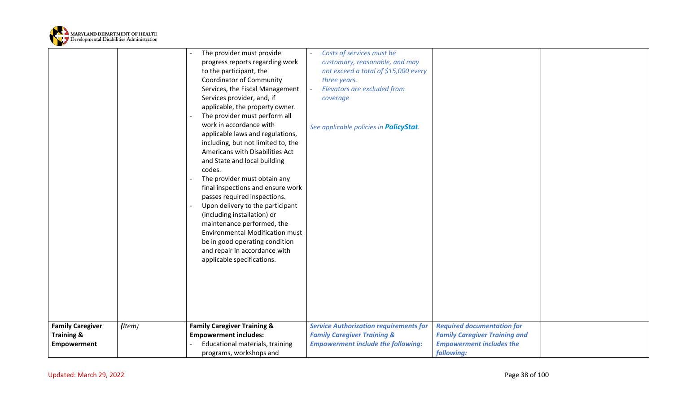

|                         |        | The provider must provide              | Costs of services must be                      |                                      |  |
|-------------------------|--------|----------------------------------------|------------------------------------------------|--------------------------------------|--|
|                         |        | progress reports regarding work        | customary, reasonable, and may                 |                                      |  |
|                         |        | to the participant, the                | not exceed a total of \$15,000 every           |                                      |  |
|                         |        | <b>Coordinator of Community</b>        | three years.                                   |                                      |  |
|                         |        | Services, the Fiscal Management        | Elevators are excluded from                    |                                      |  |
|                         |        | Services provider, and, if             | coverage                                       |                                      |  |
|                         |        | applicable, the property owner.        |                                                |                                      |  |
|                         |        | The provider must perform all          |                                                |                                      |  |
|                         |        | work in accordance with                | See applicable policies in <b>PolicyStat</b> . |                                      |  |
|                         |        | applicable laws and regulations,       |                                                |                                      |  |
|                         |        | including, but not limited to, the     |                                                |                                      |  |
|                         |        | Americans with Disabilities Act        |                                                |                                      |  |
|                         |        | and State and local building           |                                                |                                      |  |
|                         |        | codes.                                 |                                                |                                      |  |
|                         |        | The provider must obtain any           |                                                |                                      |  |
|                         |        | final inspections and ensure work      |                                                |                                      |  |
|                         |        | passes required inspections.           |                                                |                                      |  |
|                         |        | Upon delivery to the participant       |                                                |                                      |  |
|                         |        | (including installation) or            |                                                |                                      |  |
|                         |        | maintenance performed, the             |                                                |                                      |  |
|                         |        | <b>Environmental Modification must</b> |                                                |                                      |  |
|                         |        | be in good operating condition         |                                                |                                      |  |
|                         |        | and repair in accordance with          |                                                |                                      |  |
|                         |        | applicable specifications.             |                                                |                                      |  |
|                         |        |                                        |                                                |                                      |  |
|                         |        |                                        |                                                |                                      |  |
|                         |        |                                        |                                                |                                      |  |
|                         |        |                                        |                                                |                                      |  |
|                         |        |                                        |                                                |                                      |  |
|                         |        |                                        |                                                |                                      |  |
| <b>Family Caregiver</b> | (Item) | <b>Family Caregiver Training &amp;</b> | <b>Service Authorization requirements for</b>  | <b>Required documentation for</b>    |  |
| <b>Training &amp;</b>   |        | <b>Empowerment includes:</b>           | <b>Family Caregiver Training &amp;</b>         | <b>Family Caregiver Training and</b> |  |
| <b>Empowerment</b>      |        | Educational materials, training        | <b>Empowerment include the following:</b>      | <b>Empowerment includes the</b>      |  |
|                         |        | programs, workshops and                |                                                | following:                           |  |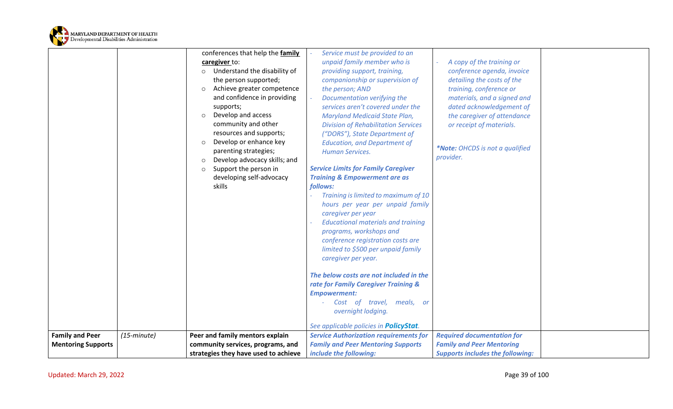

|                           |                      | conferences that help the family        | Service must be provided to an                 |                                         |  |
|---------------------------|----------------------|-----------------------------------------|------------------------------------------------|-----------------------------------------|--|
|                           |                      | caregiver to:                           | unpaid family member who is                    | A copy of the training or               |  |
|                           |                      | Understand the disability of<br>$\circ$ | providing support, training,                   | conference agenda, invoice              |  |
|                           |                      | the person supported;                   | companionship or supervision of                | detailing the costs of the              |  |
|                           |                      | Achieve greater competence<br>$\circ$   | the person; AND                                | training, conference or                 |  |
|                           |                      | and confidence in providing             | Documentation verifying the                    | materials, and a signed and             |  |
|                           |                      | supports;                               | services aren't covered under the              | dated acknowledgement of                |  |
|                           |                      | Develop and access<br>$\circ$           | <b>Maryland Medicaid State Plan,</b>           | the caregiver of attendance             |  |
|                           |                      | community and other                     | <b>Division of Rehabilitation Services</b>     | or receipt of materials.                |  |
|                           |                      | resources and supports;                 | ("DORS"), State Department of                  |                                         |  |
|                           |                      | Develop or enhance key<br>$\circ$       | <b>Education, and Department of</b>            |                                         |  |
|                           |                      | parenting strategies;                   | <b>Human Services.</b>                         | *Note: OHCDS is not a qualified         |  |
|                           |                      | Develop advocacy skills; and<br>$\circ$ |                                                | provider.                               |  |
|                           |                      | Support the person in<br>$\circ$        | <b>Service Limits for Family Caregiver</b>     |                                         |  |
|                           |                      | developing self-advocacy                | <b>Training &amp; Empowerment are as</b>       |                                         |  |
|                           |                      | skills                                  | follows:                                       |                                         |  |
|                           |                      |                                         | Training is limited to maximum of 10           |                                         |  |
|                           |                      |                                         | hours per year per unpaid family               |                                         |  |
|                           |                      |                                         | caregiver per year                             |                                         |  |
|                           |                      |                                         | <b>Educational materials and training</b>      |                                         |  |
|                           |                      |                                         | programs, workshops and                        |                                         |  |
|                           |                      |                                         | conference registration costs are              |                                         |  |
|                           |                      |                                         | limited to \$500 per unpaid family             |                                         |  |
|                           |                      |                                         | caregiver per year.                            |                                         |  |
|                           |                      |                                         | The below costs are not included in the        |                                         |  |
|                           |                      |                                         | rate for Family Caregiver Training &           |                                         |  |
|                           |                      |                                         | <b>Empowerment:</b>                            |                                         |  |
|                           |                      |                                         | Cost of travel, meals, or                      |                                         |  |
|                           |                      |                                         | overnight lodging.                             |                                         |  |
|                           |                      |                                         |                                                |                                         |  |
|                           |                      |                                         | See applicable policies in <b>PolicyStat</b> . |                                         |  |
| <b>Family and Peer</b>    | $(15\text{-}minute)$ | Peer and family mentors explain         | <b>Service Authorization requirements for</b>  | <b>Required documentation for</b>       |  |
| <b>Mentoring Supports</b> |                      | community services, programs, and       | <b>Family and Peer Mentoring Supports</b>      | <b>Family and Peer Mentoring</b>        |  |
|                           |                      | strategies they have used to achieve    | include the following:                         | <b>Supports includes the following:</b> |  |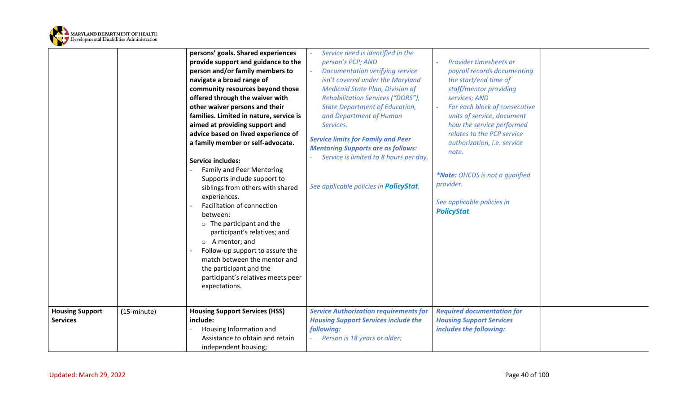

|                                           |                      | persons' goals. Shared experiences<br>provide support and guidance to the<br>person and/or family members to<br>navigate a broad range of<br>community resources beyond those<br>offered through the waiver with<br>other waiver persons and their<br>families. Limited in nature, service is<br>aimed at providing support and<br>advice based on lived experience of<br>a family member or self-advocate.<br><b>Service includes:</b><br><b>Family and Peer Mentoring</b><br>Supports include support to<br>siblings from others with shared<br>experiences.<br>Facilitation of connection<br>between:<br>$\circ$ The participant and the<br>participant's relatives; and<br>$\circ$ A mentor; and<br>Follow-up support to assure the<br>match between the mentor and<br>the participant and the<br>participant's relatives meets peer<br>expectations. | Service need is identified in the<br>person's PCP; AND<br><b>Documentation verifying service</b><br>$\omega$<br>isn't covered under the Maryland<br><b>Medicaid State Plan, Division of</b><br>Rehabilitation Services ("DORS"),<br><b>State Department of Education,</b><br>and Department of Human<br>Services.<br><b>Service limits for Family and Peer</b><br><b>Mentoring Supports are as follows:</b><br>Service is limited to 8 hours per day.<br>See applicable policies in <b>PolicyStat</b> . | Provider timesheets or<br>payroll records documenting<br>the start/end time of<br>staff/mentor providing<br>services; AND<br>For each block of consecutive<br>units of service, document<br>how the service performed<br>relates to the PCP service<br>authorization, i.e. service<br>note.<br>*Note: OHCDS is not a qualified<br>provider.<br>See applicable policies in<br><b>PolicyStat.</b> |  |
|-------------------------------------------|----------------------|-----------------------------------------------------------------------------------------------------------------------------------------------------------------------------------------------------------------------------------------------------------------------------------------------------------------------------------------------------------------------------------------------------------------------------------------------------------------------------------------------------------------------------------------------------------------------------------------------------------------------------------------------------------------------------------------------------------------------------------------------------------------------------------------------------------------------------------------------------------|---------------------------------------------------------------------------------------------------------------------------------------------------------------------------------------------------------------------------------------------------------------------------------------------------------------------------------------------------------------------------------------------------------------------------------------------------------------------------------------------------------|-------------------------------------------------------------------------------------------------------------------------------------------------------------------------------------------------------------------------------------------------------------------------------------------------------------------------------------------------------------------------------------------------|--|
| <b>Housing Support</b><br><b>Services</b> | $(15\text{-minute})$ | <b>Housing Support Services (HSS)</b><br>include:<br>Housing Information and<br>Assistance to obtain and retain<br>independent housing;                                                                                                                                                                                                                                                                                                                                                                                                                                                                                                                                                                                                                                                                                                                   | <b>Service Authorization requirements for</b><br><b>Housing Support Services include the</b><br>following:<br>Person is 18 years or older;                                                                                                                                                                                                                                                                                                                                                              | <b>Required documentation for</b><br><b>Housing Support Services</b><br>includes the following:                                                                                                                                                                                                                                                                                                 |  |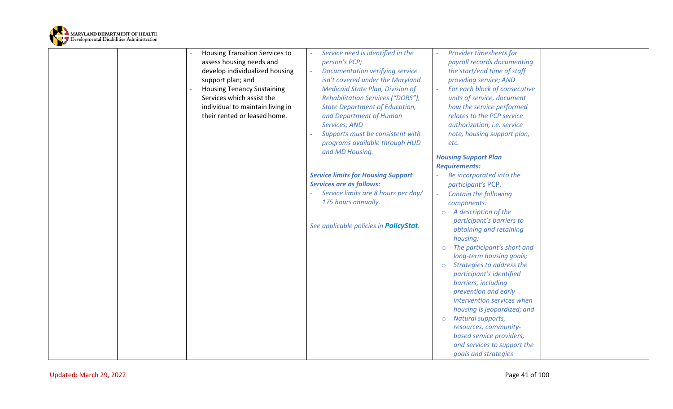

|  | <b>Housing Transition Services to</b> | Service need is identified in the              | Provider timesheets for                     |  |
|--|---------------------------------------|------------------------------------------------|---------------------------------------------|--|
|  | assess housing needs and              | person's PCP;                                  | payroll records documenting                 |  |
|  | develop individualized housing        | Documentation verifying service                | the start/end time of staff                 |  |
|  | support plan; and                     | isn't covered under the Maryland               | providing service; AND                      |  |
|  | <b>Housing Tenancy Sustaining</b>     | <b>Medicaid State Plan, Division of</b>        | For each block of consecutive               |  |
|  | Services which assist the             |                                                |                                             |  |
|  |                                       | Rehabilitation Services ("DORS"),              | units of service, document                  |  |
|  | individual to maintain living in      | <b>State Department of Education,</b>          | how the service performed                   |  |
|  | their rented or leased home.          | and Department of Human                        | relates to the PCP service                  |  |
|  |                                       | <b>Services; AND</b>                           | authorization, i.e. service                 |  |
|  |                                       | Supports must be consistent with               | note, housing support plan,                 |  |
|  |                                       | programs available through HUD                 | etc.                                        |  |
|  |                                       | and MD Housing.                                | <b>Housing Support Plan</b>                 |  |
|  |                                       |                                                | <b>Requirements:</b>                        |  |
|  |                                       | <b>Service limits for Housing Support</b>      | Be incorporated into the                    |  |
|  |                                       | <b>Services are as follows:</b>                | participant's PCP.                          |  |
|  |                                       | Service limits are 8 hours per day/            | <b>Contain the following</b>                |  |
|  |                                       | 175 hours annually.                            | components:                                 |  |
|  |                                       |                                                | $\circ$ A description of the                |  |
|  |                                       |                                                | participant's barriers to                   |  |
|  |                                       | See applicable policies in <b>PolicyStat</b> . | obtaining and retaining                     |  |
|  |                                       |                                                | housing;                                    |  |
|  |                                       |                                                | The participant's short and                 |  |
|  |                                       |                                                | long-term housing goals;                    |  |
|  |                                       |                                                |                                             |  |
|  |                                       |                                                | Strategies to address the<br>$\circ$        |  |
|  |                                       |                                                | participant's identified                    |  |
|  |                                       |                                                | barriers, including<br>prevention and early |  |
|  |                                       |                                                | intervention services when                  |  |
|  |                                       |                                                | housing is jeopardized; and                 |  |
|  |                                       |                                                | Natural supports,                           |  |
|  |                                       |                                                | $\circ$<br>resources, community-            |  |
|  |                                       |                                                |                                             |  |
|  |                                       |                                                | based service providers,                    |  |
|  |                                       |                                                | and services to support the                 |  |
|  |                                       |                                                | goals and strategies                        |  |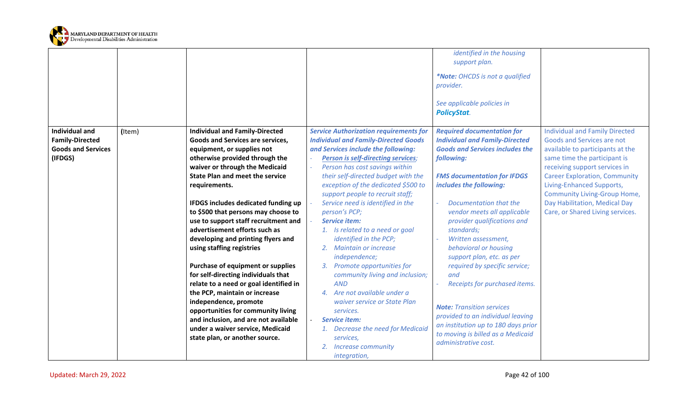

|                                                                                                   |                                                                                                                                                                                                                                                                                                                                                                                                                                                                                                                                                                                                                                                                                                                                                                                                             |                                                                                                                                                                                                                                                                                                                                                                                                                                                                                                                                                                                                                                                                                                                                                                                                              | identified in the housing<br>support plan.<br>*Note: OHCDS is not a qualified<br>provider.<br>See applicable policies in<br><b>PolicyStat.</b>                                                                                                                                                                                                                                                                                                                                                                                                                                                                                               |                                                                                                                                                                                                                                                                                                                                                           |
|---------------------------------------------------------------------------------------------------|-------------------------------------------------------------------------------------------------------------------------------------------------------------------------------------------------------------------------------------------------------------------------------------------------------------------------------------------------------------------------------------------------------------------------------------------------------------------------------------------------------------------------------------------------------------------------------------------------------------------------------------------------------------------------------------------------------------------------------------------------------------------------------------------------------------|--------------------------------------------------------------------------------------------------------------------------------------------------------------------------------------------------------------------------------------------------------------------------------------------------------------------------------------------------------------------------------------------------------------------------------------------------------------------------------------------------------------------------------------------------------------------------------------------------------------------------------------------------------------------------------------------------------------------------------------------------------------------------------------------------------------|----------------------------------------------------------------------------------------------------------------------------------------------------------------------------------------------------------------------------------------------------------------------------------------------------------------------------------------------------------------------------------------------------------------------------------------------------------------------------------------------------------------------------------------------------------------------------------------------------------------------------------------------|-----------------------------------------------------------------------------------------------------------------------------------------------------------------------------------------------------------------------------------------------------------------------------------------------------------------------------------------------------------|
| <b>Individual and</b><br>(Item)<br><b>Family-Directed</b><br><b>Goods and Services</b><br>(IFDGS) | <b>Individual and Family-Directed</b><br>Goods and Services are services,<br>equipment, or supplies not<br>otherwise provided through the<br>waiver or through the Medicaid<br><b>State Plan and meet the service</b><br>requirements.<br><b>IFDGS includes dedicated funding up</b><br>to \$500 that persons may choose to<br>use to support staff recruitment and<br>advertisement efforts such as<br>developing and printing flyers and<br>using staffing registries<br>Purchase of equipment or supplies<br>for self-directing individuals that<br>relate to a need or goal identified in<br>the PCP, maintain or increase<br>independence, promote<br>opportunities for community living<br>and inclusion, and are not available<br>under a waiver service, Medicaid<br>state plan, or another source. | <b>Service Authorization requirements for</b><br><b>Individual and Family-Directed Goods</b><br>and Services include the following:<br><b>Person is self-directing services;</b><br>Person has cost savings within<br>their self-directed budget with the<br>exception of the dedicated \$500 to<br>support people to recruit staff;<br>Service need is identified in the<br>person's PCP;<br><b>Service item:</b><br>1. Is related to a need or goal<br>identified in the PCP;<br>2. Maintain or increase<br>independence;<br>3. Promote opportunities for<br>community living and inclusion;<br><b>AND</b><br>4. Are not available under a<br>waiver service or State Plan<br>services.<br><b>Service item:</b><br>1. Decrease the need for Medicaid<br>services,<br>2. Increase community<br>integration, | <b>Required documentation for</b><br><b>Individual and Family-Directed</b><br><b>Goods and Services includes the</b><br>following:<br><b>FMS documentation for IFDGS</b><br>includes the following:<br>Documentation that the<br>vendor meets all applicable<br>provider qualifications and<br>standards;<br>Written assessment,<br>behavioral or housing<br>support plan, etc. as per<br>required by specific service;<br>and<br>Receipts for purchased items.<br><b>Note: Transition services</b><br>provided to an individual leaving<br>an institution up to 180 days prior<br>to moving is billed as a Medicaid<br>administrative cost. | <b>Individual and Family Directed</b><br>Goods and Services are not<br>available to participants at the<br>same time the participant is<br>receiving support services in<br><b>Career Exploration, Community</b><br>Living-Enhanced Supports,<br><b>Community Living-Group Home,</b><br>Day Habilitation, Medical Day<br>Care, or Shared Living services. |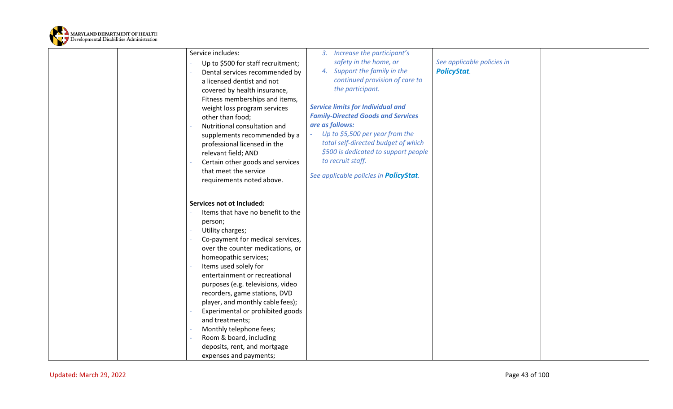

| Service includes:<br>Up to \$500 for staff recruitment;<br>Dental services recommended by<br>a licensed dentist and not<br>covered by health insurance,<br>Fitness memberships and items,<br>weight loss program services<br>other than food;<br>Nutritional consultation and<br>supplements recommended by a<br>professional licensed in the<br>relevant field; AND<br>Certain other goods and services<br>that meet the service<br>requirements noted above.                                                                            | 3. Increase the participant's<br>safety in the home, or<br>4. Support the family in the<br>continued provision of care to<br>the participant.<br><b>Service limits for Individual and</b><br><b>Family-Directed Goods and Services</b><br>are as follows:<br>Up to \$5,500 per year from the<br>total self-directed budget of which<br>\$500 is dedicated to support people<br>to recruit staff.<br>See applicable policies in <b>PolicyStat</b> . | See applicable policies in<br><b>PolicyStat.</b> |  |
|-------------------------------------------------------------------------------------------------------------------------------------------------------------------------------------------------------------------------------------------------------------------------------------------------------------------------------------------------------------------------------------------------------------------------------------------------------------------------------------------------------------------------------------------|----------------------------------------------------------------------------------------------------------------------------------------------------------------------------------------------------------------------------------------------------------------------------------------------------------------------------------------------------------------------------------------------------------------------------------------------------|--------------------------------------------------|--|
| Services not ot Included:<br>Items that have no benefit to the<br>person;<br>Utility charges;<br>Co-payment for medical services,<br>over the counter medications, or<br>homeopathic services;<br>Items used solely for<br>entertainment or recreational<br>purposes (e.g. televisions, video<br>recorders, game stations, DVD<br>player, and monthly cable fees);<br>Experimental or prohibited goods<br>and treatments;<br>Monthly telephone fees;<br>Room & board, including<br>deposits, rent, and mortgage<br>expenses and payments; |                                                                                                                                                                                                                                                                                                                                                                                                                                                    |                                                  |  |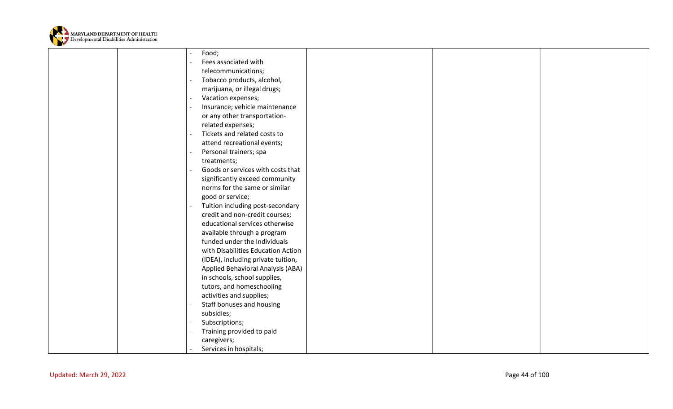

|                         | Food;                                                     |                |  |
|-------------------------|-----------------------------------------------------------|----------------|--|
|                         | Fees associated with                                      |                |  |
|                         | telecommunications;                                       |                |  |
|                         | Tobacco products, alcohol,                                |                |  |
|                         | marijuana, or illegal drugs;                              |                |  |
|                         | Vacation expenses;                                        |                |  |
|                         | Insurance; vehicle maintenance                            |                |  |
|                         | or any other transportation-                              |                |  |
|                         | related expenses;                                         |                |  |
|                         | Tickets and related costs to                              |                |  |
|                         | attend recreational events;                               |                |  |
|                         | Personal trainers; spa                                    |                |  |
|                         | treatments;                                               |                |  |
|                         | Goods or services with costs that                         |                |  |
|                         | significantly exceed community                            |                |  |
|                         | norms for the same or similar                             |                |  |
|                         | good or service;                                          |                |  |
|                         | Tuition including post-secondary                          |                |  |
|                         | credit and non-credit courses;                            |                |  |
|                         | educational services otherwise                            |                |  |
|                         | available through a program                               |                |  |
|                         | funded under the Individuals                              |                |  |
|                         | with Disabilities Education Action                        |                |  |
|                         | (IDEA), including private tuition,                        |                |  |
|                         | Applied Behavioral Analysis (ABA)                         |                |  |
|                         | in schools, school supplies,<br>tutors, and homeschooling |                |  |
|                         | activities and supplies;                                  |                |  |
|                         | Staff bonuses and housing                                 |                |  |
|                         | subsidies;                                                |                |  |
|                         | Subscriptions;                                            |                |  |
|                         | Training provided to paid                                 |                |  |
|                         | caregivers;                                               |                |  |
|                         | Services in hospitals;                                    |                |  |
|                         |                                                           |                |  |
|                         |                                                           |                |  |
| Updated: March 29, 2022 |                                                           | Page 44 of 100 |  |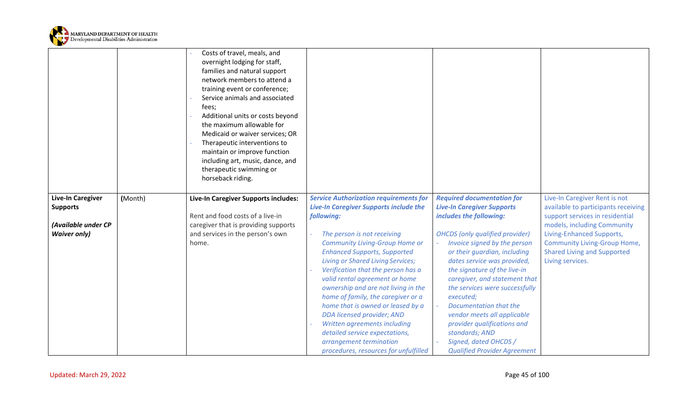

|                          |         | Costs of travel, meals, and<br>overnight lodging for staff,<br>families and natural support<br>network members to attend a<br>training event or conference;<br>Service animals and associated<br>fees;<br>Additional units or costs beyond<br>the maximum allowable for<br>Medicaid or waiver services; OR<br>Therapeutic interventions to<br>maintain or improve function<br>including art, music, dance, and<br>therapeutic swimming or<br>horseback riding. |                                                                                                |                                                                        |                                                                      |
|--------------------------|---------|----------------------------------------------------------------------------------------------------------------------------------------------------------------------------------------------------------------------------------------------------------------------------------------------------------------------------------------------------------------------------------------------------------------------------------------------------------------|------------------------------------------------------------------------------------------------|------------------------------------------------------------------------|----------------------------------------------------------------------|
| <b>Live-In Caregiver</b> | (Month) | Live-In Caregiver Supports includes:                                                                                                                                                                                                                                                                                                                                                                                                                           | <b>Service Authorization requirements for</b><br><b>Live-In Caregiver Supports include the</b> | <b>Required documentation for</b><br><b>Live-In Caregiver Supports</b> | Live-In Caregiver Rent is not<br>available to participants receiving |
| <b>Supports</b>          |         | Rent and food costs of a live-in                                                                                                                                                                                                                                                                                                                                                                                                                               | following:                                                                                     | includes the following:                                                | support services in residential                                      |
| (Available under CP      |         | caregiver that is providing supports                                                                                                                                                                                                                                                                                                                                                                                                                           |                                                                                                |                                                                        | models, including Community                                          |
| <b>Waiver only)</b>      |         | and services in the person's own                                                                                                                                                                                                                                                                                                                                                                                                                               | The person is not receiving                                                                    | <b>OHCDS</b> (only qualified provider)                                 | Living-Enhanced Supports,                                            |
|                          |         | home.                                                                                                                                                                                                                                                                                                                                                                                                                                                          | <b>Community Living-Group Home or</b>                                                          | Invoice signed by the person                                           | <b>Community Living-Group Home,</b>                                  |
|                          |         |                                                                                                                                                                                                                                                                                                                                                                                                                                                                | <b>Enhanced Supports, Supported</b>                                                            | or their guardian, including                                           | <b>Shared Living and Supported</b>                                   |
|                          |         |                                                                                                                                                                                                                                                                                                                                                                                                                                                                | <b>Living or Shared Living Services;</b>                                                       | dates service was provided,                                            | Living services.                                                     |
|                          |         |                                                                                                                                                                                                                                                                                                                                                                                                                                                                | Verification that the person has a<br>valid rental agreement or home                           | the signature of the live-in<br>caregiver, and statement that          |                                                                      |
|                          |         |                                                                                                                                                                                                                                                                                                                                                                                                                                                                | ownership and are not living in the                                                            | the services were successfully                                         |                                                                      |
|                          |         |                                                                                                                                                                                                                                                                                                                                                                                                                                                                | home of family, the caregiver or a                                                             | executed;                                                              |                                                                      |
|                          |         |                                                                                                                                                                                                                                                                                                                                                                                                                                                                | home that is owned or leased by a                                                              | Documentation that the                                                 |                                                                      |
|                          |         |                                                                                                                                                                                                                                                                                                                                                                                                                                                                | DDA licensed provider; AND                                                                     | vendor meets all applicable                                            |                                                                      |
|                          |         |                                                                                                                                                                                                                                                                                                                                                                                                                                                                | Written agreements including                                                                   | provider qualifications and                                            |                                                                      |
|                          |         |                                                                                                                                                                                                                                                                                                                                                                                                                                                                | detailed service expectations,<br>arrangement termination                                      | standards; AND<br>Signed, dated OHCDS /                                |                                                                      |
|                          |         |                                                                                                                                                                                                                                                                                                                                                                                                                                                                |                                                                                                |                                                                        |                                                                      |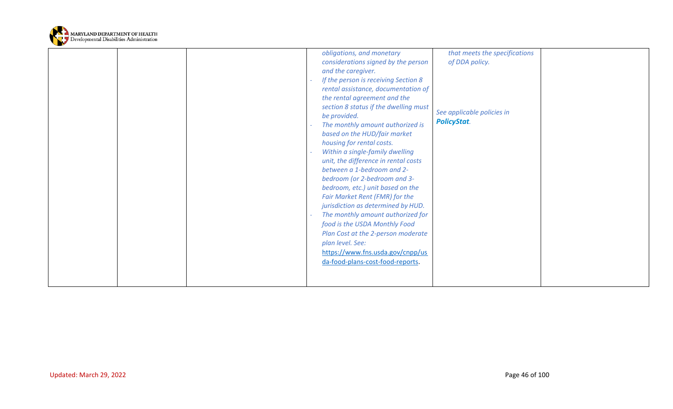

|  | obligations, and monetary<br>considerations signed by the person<br>and the caregiver.<br>If the person is receiving Section 8<br>rental assistance, documentation of<br>the rental agreement and the<br>section 8 status if the dwelling must<br>be provided.<br>The monthly amount authorized is<br>based on the HUD/fair market                                                                                                                                                     | that meets the specifications<br>of DDA policy.<br>See applicable policies in<br><b>PolicyStat.</b> |
|--|----------------------------------------------------------------------------------------------------------------------------------------------------------------------------------------------------------------------------------------------------------------------------------------------------------------------------------------------------------------------------------------------------------------------------------------------------------------------------------------|-----------------------------------------------------------------------------------------------------|
|  | housing for rental costs.<br>Within a single-family dwelling<br>unit, the difference in rental costs<br>between a 1-bedroom and 2-<br>bedroom (or 2-bedroom and 3-<br>bedroom, etc.) unit based on the<br>Fair Market Rent (FMR) for the<br>jurisdiction as determined by HUD.<br>The monthly amount authorized for<br>food is the USDA Monthly Food<br>Plan Cost at the 2-person moderate<br>plan level. See:<br>https://www.fns.usda.gov/cnpp/us<br>da-food-plans-cost-food-reports. |                                                                                                     |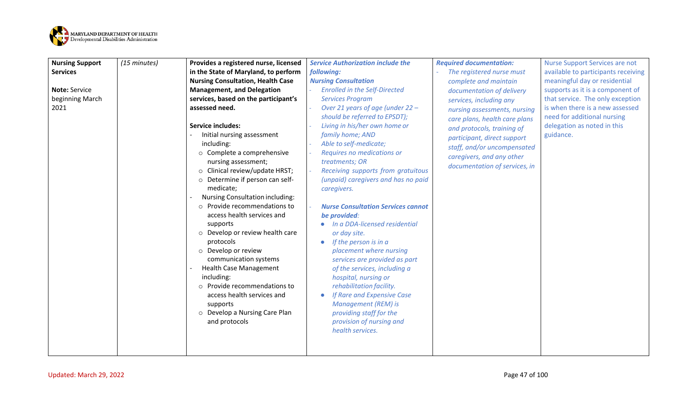

| <b>Nursing Support</b> | (15 minutes) | Provides a registered nurse, licensed                                                                                                                                                                                                                                                                                                                                                            | <b>Service Authorization include the</b>                                                                                                                                                                                                                                                                                                                                                                                                           | <b>Required documentation:</b>                                                                                                                                                                                          | <b>Nurse Support Services are not</b>                                                                      |
|------------------------|--------------|--------------------------------------------------------------------------------------------------------------------------------------------------------------------------------------------------------------------------------------------------------------------------------------------------------------------------------------------------------------------------------------------------|----------------------------------------------------------------------------------------------------------------------------------------------------------------------------------------------------------------------------------------------------------------------------------------------------------------------------------------------------------------------------------------------------------------------------------------------------|-------------------------------------------------------------------------------------------------------------------------------------------------------------------------------------------------------------------------|------------------------------------------------------------------------------------------------------------|
| <b>Services</b>        |              | in the State of Maryland, to perform                                                                                                                                                                                                                                                                                                                                                             | following:                                                                                                                                                                                                                                                                                                                                                                                                                                         | The registered nurse must                                                                                                                                                                                               | available to participants receiving                                                                        |
|                        |              | <b>Nursing Consultation, Health Case</b>                                                                                                                                                                                                                                                                                                                                                         | <b>Nursing Consultation</b>                                                                                                                                                                                                                                                                                                                                                                                                                        | complete and maintain                                                                                                                                                                                                   | meaningful day or residential                                                                              |
| Note: Service          |              | <b>Management, and Delegation</b>                                                                                                                                                                                                                                                                                                                                                                | <b>Enrolled in the Self-Directed</b>                                                                                                                                                                                                                                                                                                                                                                                                               | documentation of delivery                                                                                                                                                                                               | supports as it is a component of                                                                           |
| beginning March        |              | services, based on the participant's                                                                                                                                                                                                                                                                                                                                                             | <b>Services Program</b>                                                                                                                                                                                                                                                                                                                                                                                                                            | services, including any                                                                                                                                                                                                 | that service. The only exception                                                                           |
| 2021                   |              | assessed need.<br><b>Service includes:</b><br>Initial nursing assessment<br>including:<br>o Complete a comprehensive<br>nursing assessment;<br>$\circ$ Clinical review/update HRST;<br>o Determine if person can self-<br>medicate;<br>Nursing Consultation including:<br>o Provide recommendations to<br>access health services and<br>supports<br>o Develop or review health care<br>protocols | Over 21 years of age (under 22 -<br>should be referred to EPSDT);<br>Living in his/her own home or<br>family home; AND<br>Able to self-medicate;<br>Requires no medications or<br>treatments; OR<br>Receiving supports from gratuitous<br>(unpaid) caregivers and has no paid<br>caregivers.<br><b>Nurse Consultation Services cannot</b><br>be provided:<br>• In a DDA-licensed residential<br>or day site.<br>If the person is in a<br>$\bullet$ | nursing assessments, nursing<br>care plans, health care plans<br>and protocols, training of<br>participant, direct support<br>staff, and/or uncompensated<br>caregivers, and any other<br>documentation of services, in | is when there is a new assessed<br>need for additional nursing<br>delegation as noted in this<br>guidance. |
|                        |              | o Develop or review<br>communication systems<br><b>Health Case Management</b><br>including:<br>o Provide recommendations to<br>access health services and<br>supports<br>o Develop a Nursing Care Plan<br>and protocols                                                                                                                                                                          | placement where nursing<br>services are provided as part<br>of the services, including a<br>hospital, nursing or<br>rehabilitation facility.<br>If Rare and Expensive Case<br><b>Management (REM) is</b><br>providing staff for the<br>provision of nursing and<br>health services.                                                                                                                                                                |                                                                                                                                                                                                                         |                                                                                                            |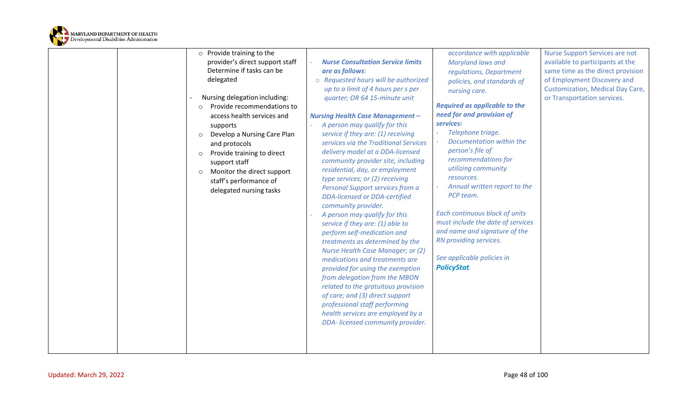

|  | $\circ$ Provide training to the        |                                                                          | accordance with applicable              | <b>Nurse Support Services are not</b> |
|--|----------------------------------------|--------------------------------------------------------------------------|-----------------------------------------|---------------------------------------|
|  | provider's direct support staff        | <b>Nurse Consultation Service limits</b>                                 | Maryland laws and                       | available to participants at the      |
|  | Determine if tasks can be              | are as follows:                                                          | regulations, Department                 | same time as the direct provision     |
|  | delegated                              | o Requested hours will be authorized                                     | policies, and standards of              | of Employment Discovery and           |
|  |                                        | up to a limit of 4 hours per s per                                       | nursing care.                           | Customization, Medical Day Care,      |
|  | Nursing delegation including:          | quarter; OR 64 15-minute unit                                            |                                         | or Transportation services.           |
|  | Provide recommendations to<br>$\circ$  |                                                                          | <b>Required as applicable to the</b>    |                                       |
|  | access health services and             | <b>Nursing Health Case Management -</b>                                  | need for and provision of               |                                       |
|  | supports                               | A person may qualify for this                                            | services:                               |                                       |
|  | Develop a Nursing Care Plan<br>$\circ$ | service if they are: (1) receiving                                       | Telephone triage.                       |                                       |
|  | and protocols                          | services via the Traditional Services                                    | Documentation within the                |                                       |
|  | Provide training to direct<br>$\circ$  | delivery model at a DDA-licensed                                         | person's file of<br>recommendations for |                                       |
|  | support staff                          | community provider site, including                                       | utilizing community                     |                                       |
|  | Monitor the direct support<br>$\circ$  | residential, day, or employment                                          | resources.                              |                                       |
|  | staff's performance of                 | type services; or (2) receiving                                          | Annual written report to the            |                                       |
|  | delegated nursing tasks                | Personal Support services from a<br><b>DDA-licensed or DDA-certified</b> | PCP team.                               |                                       |
|  |                                        | community provider.                                                      |                                         |                                       |
|  |                                        | A person may qualify for this                                            | Each continuous block of units          |                                       |
|  |                                        | service if they are: (1) able to                                         | must include the date of services       |                                       |
|  |                                        | perform self-medication and                                              | and name and signature of the           |                                       |
|  |                                        | treatments as determined by the                                          | RN providing services.                  |                                       |
|  |                                        | Nurse Health Case Manager; or (2)                                        |                                         |                                       |
|  |                                        | medications and treatments are                                           | See applicable policies in              |                                       |
|  |                                        | provided for using the exemption                                         | <b>PolicyStat.</b>                      |                                       |
|  |                                        | from delegation from the MBON                                            |                                         |                                       |
|  |                                        | related to the gratuitous provision                                      |                                         |                                       |
|  |                                        | of care; and (3) direct support                                          |                                         |                                       |
|  |                                        | professional staff performing                                            |                                         |                                       |
|  |                                        | health services are employed by a                                        |                                         |                                       |
|  |                                        | DDA- licensed community provider.                                        |                                         |                                       |
|  |                                        |                                                                          |                                         |                                       |
|  |                                        |                                                                          |                                         |                                       |
|  |                                        |                                                                          |                                         |                                       |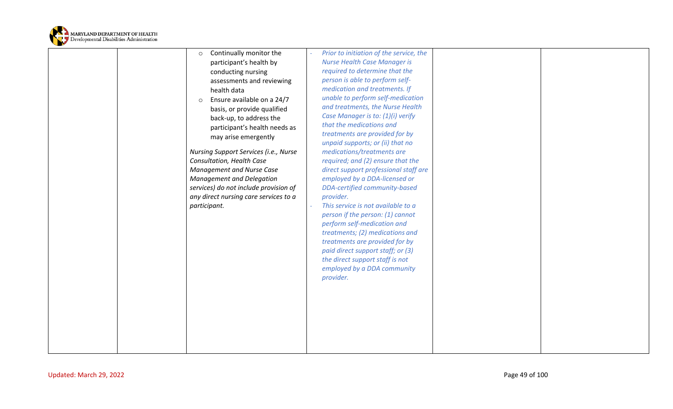

| Continually monitor the<br>$\circ$    | Prior to initiation of the service, the                           |  |
|---------------------------------------|-------------------------------------------------------------------|--|
| participant's health by               | <b>Nurse Health Case Manager is</b>                               |  |
| conducting nursing                    | required to determine that the                                    |  |
| assessments and reviewing             | person is able to perform self-                                   |  |
| health data                           | medication and treatments. If                                     |  |
| Ensure available on a 24/7<br>$\circ$ | unable to perform self-medication                                 |  |
| basis, or provide qualified           | and treatments, the Nurse Health                                  |  |
| back-up, to address the               | Case Manager is to: (1)(i) verify                                 |  |
| participant's health needs as         | that the medications and                                          |  |
| may arise emergently                  | treatments are provided for by                                    |  |
|                                       | unpaid supports; or (ii) that no                                  |  |
| Nursing Support Services (i.e., Nurse | medications/treatments are                                        |  |
| Consultation, Health Case             | required; and (2) ensure that the                                 |  |
| Management and Nurse Case             | direct support professional staff are                             |  |
| Management and Delegation             | employed by a DDA-licensed or                                     |  |
| services) do not include provision of | DDA-certified community-based                                     |  |
| any direct nursing care services to a | provider.                                                         |  |
| participant.                          | This service is not available to a                                |  |
|                                       | person if the person: (1) cannot                                  |  |
|                                       | perform self-medication and                                       |  |
|                                       | treatments; (2) medications and<br>treatments are provided for by |  |
|                                       | paid direct support staff; or (3)                                 |  |
|                                       | the direct support staff is not                                   |  |
|                                       | employed by a DDA community                                       |  |
|                                       | provider.                                                         |  |
|                                       |                                                                   |  |
|                                       |                                                                   |  |
|                                       |                                                                   |  |
|                                       |                                                                   |  |
|                                       |                                                                   |  |
|                                       |                                                                   |  |
|                                       |                                                                   |  |
|                                       |                                                                   |  |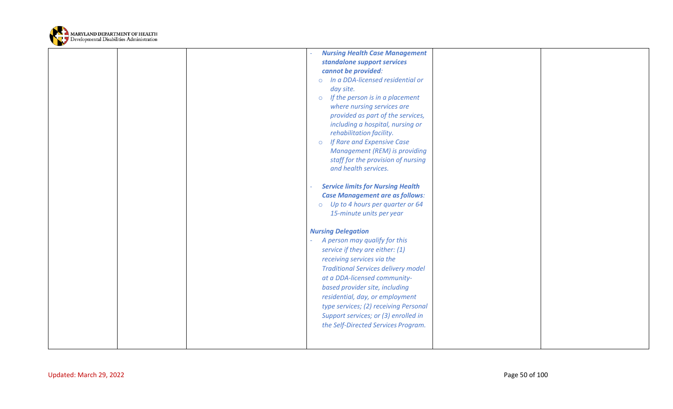

|                         | <b>Nursing Health Case Management</b>                      |  |
|-------------------------|------------------------------------------------------------|--|
|                         | standalone support services                                |  |
|                         | cannot be provided:                                        |  |
|                         | In a DDA-licensed residential or<br>$\circ$                |  |
|                         | day site.                                                  |  |
|                         | If the person is in a placement<br>$\circ$                 |  |
|                         | where nursing services are                                 |  |
|                         | provided as part of the services,                          |  |
|                         | including a hospital, nursing or                           |  |
|                         | rehabilitation facility.                                   |  |
|                         | If Rare and Expensive Case<br>$\circ$                      |  |
|                         | Management (REM) is providing                              |  |
|                         | staff for the provision of nursing<br>and health services. |  |
|                         |                                                            |  |
|                         | <b>Service limits for Nursing Health</b>                   |  |
|                         | <b>Case Management are as follows:</b>                     |  |
|                         | o Up to 4 hours per quarter or 64                          |  |
|                         | 15-minute units per year                                   |  |
|                         |                                                            |  |
|                         | <b>Nursing Delegation</b>                                  |  |
|                         | A person may qualify for this                              |  |
|                         | service if they are either: (1)                            |  |
|                         | receiving services via the                                 |  |
|                         | <b>Traditional Services delivery model</b>                 |  |
|                         | at a DDA-licensed community-                               |  |
|                         | based provider site, including                             |  |
|                         | residential, day, or employment                            |  |
|                         | type services; (2) receiving Personal                      |  |
|                         | Support services; or (3) enrolled in                       |  |
|                         | the Self-Directed Services Program.                        |  |
|                         |                                                            |  |
|                         |                                                            |  |
|                         |                                                            |  |
|                         |                                                            |  |
| Updated: March 29, 2022 | Page 50 of 100                                             |  |
|                         |                                                            |  |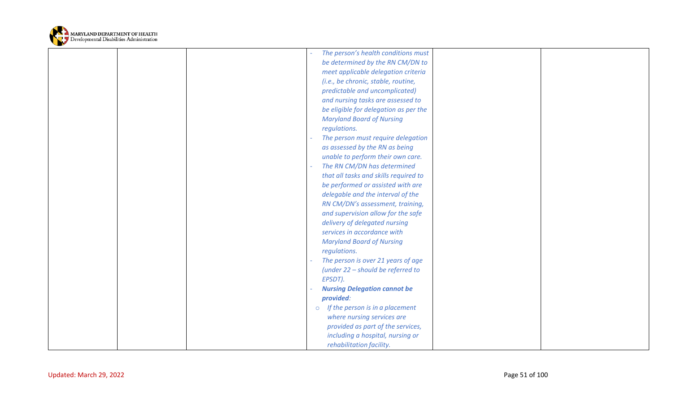

|                         |  | The person's health conditions must        |                |  |
|-------------------------|--|--------------------------------------------|----------------|--|
|                         |  | be determined by the RN CM/DN to           |                |  |
|                         |  | meet applicable delegation criteria        |                |  |
|                         |  | (i.e., be chronic, stable, routine,        |                |  |
|                         |  | predictable and uncomplicated)             |                |  |
|                         |  | and nursing tasks are assessed to          |                |  |
|                         |  | be eligible for delegation as per the      |                |  |
|                         |  | <b>Maryland Board of Nursing</b>           |                |  |
|                         |  | regulations.                               |                |  |
|                         |  | The person must require delegation         |                |  |
|                         |  | as assessed by the RN as being             |                |  |
|                         |  | unable to perform their own care.          |                |  |
|                         |  | The RN CM/DN has determined                |                |  |
|                         |  | that all tasks and skills required to      |                |  |
|                         |  | be performed or assisted with are          |                |  |
|                         |  | delegable and the interval of the          |                |  |
|                         |  | RN CM/DN's assessment, training,           |                |  |
|                         |  | and supervision allow for the safe         |                |  |
|                         |  | delivery of delegated nursing              |                |  |
|                         |  | services in accordance with                |                |  |
|                         |  | <b>Maryland Board of Nursing</b>           |                |  |
|                         |  | regulations.                               |                |  |
|                         |  | The person is over 21 years of age         |                |  |
|                         |  | (under 22 - should be referred to          |                |  |
|                         |  | EPSDT).                                    |                |  |
|                         |  | <b>Nursing Delegation cannot be</b>        |                |  |
|                         |  | provided:                                  |                |  |
|                         |  | If the person is in a placement<br>$\circ$ |                |  |
|                         |  | where nursing services are                 |                |  |
|                         |  | provided as part of the services,          |                |  |
|                         |  | including a hospital, nursing or           |                |  |
|                         |  | rehabilitation facility.                   |                |  |
|                         |  |                                            |                |  |
|                         |  |                                            |                |  |
| Updated: March 29, 2022 |  |                                            | Page 51 of 100 |  |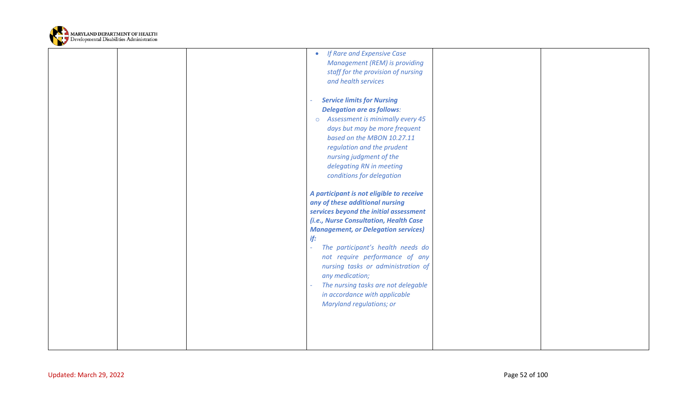

|                         | <b>Management (REM) is providing</b><br>staff for the provision of nursing<br>and health services<br><b>Service limits for Nursing</b><br><b>Delegation are as follows:</b><br>Assessment is minimally every 45<br>$\circ$<br>days but may be more frequent<br>based on the MBON 10.27.11<br>regulation and the prudent<br>nursing judgment of the<br>delegating RN in meeting<br>conditions for delegation<br>A participant is not eligible to receive<br>any of these additional nursing<br>services beyond the initial assessment<br>(i.e., Nurse Consultation, Health Case<br><b>Management, or Delegation services)</b><br>if:<br>The participant's health needs do<br>$\omega$<br>not require performance of any<br>nursing tasks or administration of<br>any medication; |
|-------------------------|---------------------------------------------------------------------------------------------------------------------------------------------------------------------------------------------------------------------------------------------------------------------------------------------------------------------------------------------------------------------------------------------------------------------------------------------------------------------------------------------------------------------------------------------------------------------------------------------------------------------------------------------------------------------------------------------------------------------------------------------------------------------------------|
|                         | The nursing tasks are not delegable<br>$\equiv$<br>in accordance with applicable<br><b>Maryland regulations; or</b>                                                                                                                                                                                                                                                                                                                                                                                                                                                                                                                                                                                                                                                             |
| Updated: March 29, 2022 | Page 52 of 100                                                                                                                                                                                                                                                                                                                                                                                                                                                                                                                                                                                                                                                                                                                                                                  |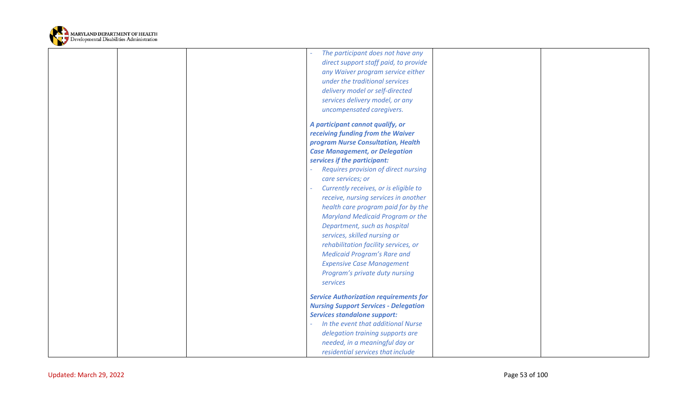

|                         | The participant does not have any             |                |  |
|-------------------------|-----------------------------------------------|----------------|--|
|                         | direct support staff paid, to provide         |                |  |
|                         | any Waiver program service either             |                |  |
|                         | under the traditional services                |                |  |
|                         | delivery model or self-directed               |                |  |
|                         | services delivery model, or any               |                |  |
|                         | uncompensated caregivers.                     |                |  |
|                         |                                               |                |  |
|                         | A participant cannot qualify, or              |                |  |
|                         | receiving funding from the Waiver             |                |  |
|                         | program Nurse Consultation, Health            |                |  |
|                         | <b>Case Management, or Delegation</b>         |                |  |
|                         | services if the participant:                  |                |  |
|                         | Requires provision of direct nursing          |                |  |
|                         | care services; or                             |                |  |
|                         | Currently receives, or is eligible to         |                |  |
|                         | receive, nursing services in another          |                |  |
|                         | health care program paid for by the           |                |  |
|                         | <b>Maryland Medicaid Program or the</b>       |                |  |
|                         | Department, such as hospital                  |                |  |
|                         | services, skilled nursing or                  |                |  |
|                         | rehabilitation facility services, or          |                |  |
|                         | <b>Medicaid Program's Rare and</b>            |                |  |
|                         | <b>Expensive Case Management</b>              |                |  |
|                         | Program's private duty nursing                |                |  |
|                         | services                                      |                |  |
|                         |                                               |                |  |
|                         | <b>Service Authorization requirements for</b> |                |  |
|                         | <b>Nursing Support Services - Delegation</b>  |                |  |
|                         | <b>Services standalone support:</b>           |                |  |
|                         | In the event that additional Nurse            |                |  |
|                         | delegation training supports are              |                |  |
|                         | needed, in a meaningful day or                |                |  |
|                         | residential services that include             |                |  |
|                         |                                               |                |  |
| Updated: March 29, 2022 |                                               | Page 53 of 100 |  |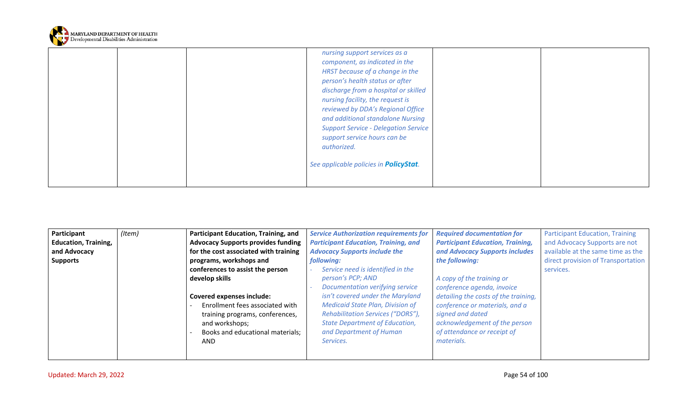

|  | nursing support services as a<br>component, as indicated in the<br>HRST because of a change in the<br>person's health status or after<br>discharge from a hospital or skilled<br>nursing facility, the request is<br>reviewed by DDA's Regional Office<br>and additional standalone Nursing<br><b>Support Service - Delegation Service</b><br>support service hours can be<br>authorized. |  |
|--|-------------------------------------------------------------------------------------------------------------------------------------------------------------------------------------------------------------------------------------------------------------------------------------------------------------------------------------------------------------------------------------------|--|
|  | See applicable policies in <b>PolicyStat</b> .                                                                                                                                                                                                                                                                                                                                            |  |

| <b>Education, Training,</b><br><b>Advocacy Supports provides funding</b><br><b>Participant Education, Training, and</b><br><b>Participant Education, Training,</b><br>and Advocacy Supports are not<br>for the cost associated with training<br>and Advocacy Supports includes<br>available at the same time as the<br>and Advocacy<br><b>Advocacy Supports include the</b><br>the following:<br>direct provision of Transportation<br>programs, workshops and<br>following:<br><b>Supports</b><br>conferences to assist the person<br>Service need is identified in the<br>services.<br>develop skills<br>A copy of the training or<br>person's PCP; AND<br>Documentation verifying service<br>conference agenda, invoice<br>isn't covered under the Maryland<br>detailing the costs of the training,<br><b>Covered expenses include:</b><br><b>Medicaid State Plan, Division of</b><br>conference or materials, and a<br>Enrollment fees associated with<br><b>Rehabilitation Services ("DORS"),</b><br>signed and dated<br>training programs, conferences,<br>acknowledgement of the person<br><b>State Department of Education,</b><br>and workshops;<br>and Department of Human<br>of attendance or receipt of<br>Books and educational materials;<br>materials.<br>Services.<br>AND |
|-------------------------------------------------------------------------------------------------------------------------------------------------------------------------------------------------------------------------------------------------------------------------------------------------------------------------------------------------------------------------------------------------------------------------------------------------------------------------------------------------------------------------------------------------------------------------------------------------------------------------------------------------------------------------------------------------------------------------------------------------------------------------------------------------------------------------------------------------------------------------------------------------------------------------------------------------------------------------------------------------------------------------------------------------------------------------------------------------------------------------------------------------------------------------------------------------------------------------------------------------------------------------------------------|
|-------------------------------------------------------------------------------------------------------------------------------------------------------------------------------------------------------------------------------------------------------------------------------------------------------------------------------------------------------------------------------------------------------------------------------------------------------------------------------------------------------------------------------------------------------------------------------------------------------------------------------------------------------------------------------------------------------------------------------------------------------------------------------------------------------------------------------------------------------------------------------------------------------------------------------------------------------------------------------------------------------------------------------------------------------------------------------------------------------------------------------------------------------------------------------------------------------------------------------------------------------------------------------------------|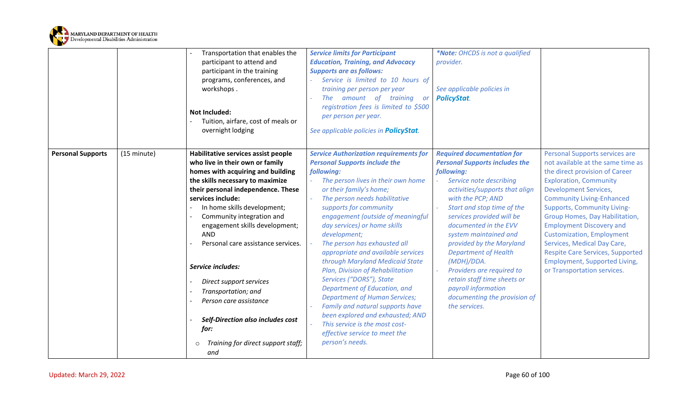

|                          |             | Transportation that enables the<br>participant to attend and<br>participant in the training<br>programs, conferences, and<br>workshops.<br><b>Not Included:</b><br>Tuition, airfare, cost of meals or<br>overnight lodging                                                                                                                                                                                                                                                                                                                                         | <b>Service limits for Participant</b><br><b>Education, Training, and Advocacy</b><br><b>Supports are as follows:</b><br>Service is limited to 10 hours of<br>training per person per year<br>amount of training<br>The<br><b>or</b><br>registration fees is limited to \$500<br>per person per year.<br>See applicable policies in PolicyStat.                                                                                                                                                                                                                                                                                                                                                                                      | *Note: OHCDS is not a qualified<br>provider.<br>See applicable policies in<br><b>PolicyStat.</b>                                                                                                                                                                                                                                                                                                                                                                                                     |                                                                                                                                                                                                                                                                                                                                                                                                                                                                                                            |
|--------------------------|-------------|--------------------------------------------------------------------------------------------------------------------------------------------------------------------------------------------------------------------------------------------------------------------------------------------------------------------------------------------------------------------------------------------------------------------------------------------------------------------------------------------------------------------------------------------------------------------|-------------------------------------------------------------------------------------------------------------------------------------------------------------------------------------------------------------------------------------------------------------------------------------------------------------------------------------------------------------------------------------------------------------------------------------------------------------------------------------------------------------------------------------------------------------------------------------------------------------------------------------------------------------------------------------------------------------------------------------|------------------------------------------------------------------------------------------------------------------------------------------------------------------------------------------------------------------------------------------------------------------------------------------------------------------------------------------------------------------------------------------------------------------------------------------------------------------------------------------------------|------------------------------------------------------------------------------------------------------------------------------------------------------------------------------------------------------------------------------------------------------------------------------------------------------------------------------------------------------------------------------------------------------------------------------------------------------------------------------------------------------------|
| <b>Personal Supports</b> | (15 minute) | Habilitative services assist people<br>who live in their own or family<br>homes with acquiring and building<br>the skills necessary to maximize<br>their personal independence. These<br>services include:<br>In home skills development;<br>Community integration and<br>engagement skills development;<br><b>AND</b><br>Personal care assistance services.<br>Service includes:<br>Direct support services<br>Transportation; and<br>Person care assistance<br>Self-Direction also includes cost<br>for:<br>Training for direct support staff;<br>$\circ$<br>and | <b>Service Authorization requirements for</b><br><b>Personal Supports include the</b><br>following:<br>The person lives in their own home<br>or their family's home;<br>The person needs habilitative<br>supports for community<br>engagement (outside of meaningful<br>day services) or home skills<br>development;<br>The person has exhausted all<br>appropriate and available services<br>through Maryland Medicaid State<br>Plan, Division of Rehabilitation<br>Services ("DORS"), State<br>Department of Education, and<br><b>Department of Human Services;</b><br>Family and natural supports have<br>been explored and exhausted; AND<br>This service is the most cost-<br>effective service to meet the<br>person's needs. | <b>Required documentation for</b><br><b>Personal Supports includes the</b><br>following:<br>Service note describing<br>activities/supports that align<br>with the PCP; AND<br>Start and stop time of the<br>services provided will be<br>documented in the EVV<br>system maintained and<br>provided by the Maryland<br><b>Department of Health</b><br>(MDH)/DDA.<br>Providers are required to<br>retain staff time sheets or<br>payroll information<br>documenting the provision of<br>the services. | Personal Supports services are<br>not available at the same time as<br>the direct provision of Career<br><b>Exploration, Community</b><br><b>Development Services,</b><br><b>Community Living-Enhanced</b><br><b>Supports, Community Living-</b><br>Group Homes, Day Habilitation,<br><b>Employment Discovery and</b><br><b>Customization, Employment</b><br>Services, Medical Day Care,<br><b>Respite Care Services, Supported</b><br><b>Employment, Supported Living,</b><br>or Transportation services. |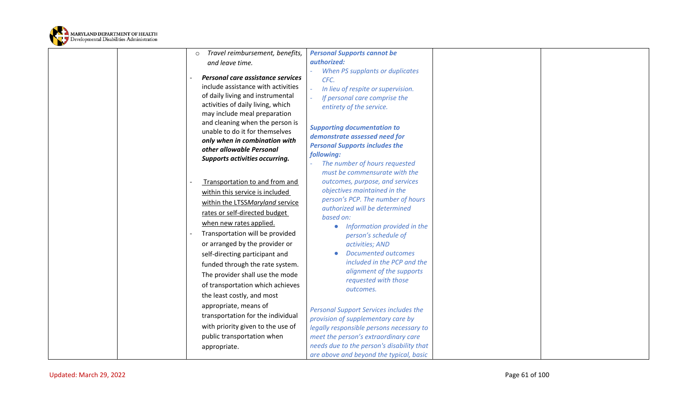

|                         | Travel reimbursement, benefits,<br>$\circ$ | <b>Personal Supports cannot be</b>            |                |  |
|-------------------------|--------------------------------------------|-----------------------------------------------|----------------|--|
|                         | and leave time.                            | authorized:                                   |                |  |
|                         |                                            | When PS supplants or duplicates               |                |  |
|                         | Personal care assistance services          | CFC.                                          |                |  |
|                         | include assistance with activities         | In lieu of respite or supervision.            |                |  |
|                         | of daily living and instrumental           | If personal care comprise the                 |                |  |
|                         | activities of daily living, which          | entirety of the service.                      |                |  |
|                         | may include meal preparation               |                                               |                |  |
|                         | and cleaning when the person is            | <b>Supporting documentation to</b>            |                |  |
|                         | unable to do it for themselves             | demonstrate assessed need for                 |                |  |
|                         | only when in combination with              | <b>Personal Supports includes the</b>         |                |  |
|                         | other allowable Personal                   | following:                                    |                |  |
|                         | Supports activities occurring.             | The number of hours requested                 |                |  |
|                         |                                            | must be commensurate with the                 |                |  |
|                         | Transportation to and from and             | outcomes, purpose, and services               |                |  |
|                         | within this service is included            | objectives maintained in the                  |                |  |
|                         | within the LTSSMaryland service            | person's PCP. The number of hours             |                |  |
|                         | rates or self-directed budget              | authorized will be determined                 |                |  |
|                         |                                            | based on:                                     |                |  |
|                         | when new rates applied.                    | Information provided in the                   |                |  |
|                         | Transportation will be provided            | person's schedule of                          |                |  |
|                         | or arranged by the provider or             | activities; AND                               |                |  |
|                         | self-directing participant and             | <b>Documented outcomes</b>                    |                |  |
|                         | funded through the rate system.            | included in the PCP and the                   |                |  |
|                         | The provider shall use the mode            | alignment of the supports                     |                |  |
|                         | of transportation which achieves           | requested with those                          |                |  |
|                         | the least costly, and most                 | outcomes.                                     |                |  |
|                         | appropriate, means of                      |                                               |                |  |
|                         | transportation for the individual          | <b>Personal Support Services includes the</b> |                |  |
|                         |                                            | provision of supplementary care by            |                |  |
|                         | with priority given to the use of          | legally responsible persons necessary to      |                |  |
|                         | public transportation when                 | meet the person's extraordinary care          |                |  |
|                         | appropriate.                               | needs due to the person's disability that     |                |  |
|                         |                                            | are above and beyond the typical, basic       |                |  |
|                         |                                            |                                               |                |  |
| Updated: March 29, 2022 |                                            |                                               | Page 61 of 100 |  |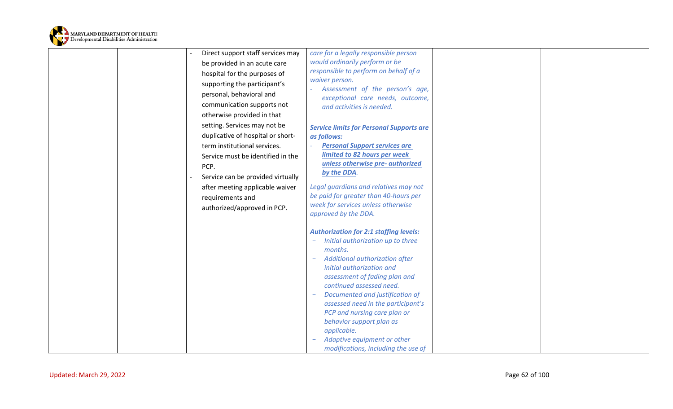

| Direct support staff services may<br>be provided in an acute care<br>hospital for the purposes of<br>supporting the participant's<br>personal, behavioral and<br>communication supports not<br>otherwise provided in that<br>setting. Services may not be<br>duplicative of hospital or short-<br>term institutional services.<br>Service must be identified in the<br>PCP.<br>Service can be provided virtually<br>after meeting applicable waiver<br>requirements and<br>authorized/approved in PCP. | care for a legally responsible person<br>would ordinarily perform or be<br>responsible to perform on behalf of a<br>waiver person.<br>Assessment of the person's age,<br>exceptional care needs, outcome,<br>and activities is needed.<br><b>Service limits for Personal Supports are</b><br>as follows:<br><b>Personal Support services are</b><br>limited to 82 hours per week<br>unless otherwise pre- authorized<br>by the DDA.<br>Legal guardians and relatives may not<br>be paid for greater than 40-hours per<br>week for services unless otherwise<br>approved by the DDA.<br><b>Authorization for 2:1 staffing levels:</b><br>Initial authorization up to three<br>months.<br>Additional authorization after<br>initial authorization and<br>assessment of fading plan and<br>continued assessed need.<br>Documented and justification of<br>assessed need in the participant's<br>PCP and nursing care plan or |  |
|--------------------------------------------------------------------------------------------------------------------------------------------------------------------------------------------------------------------------------------------------------------------------------------------------------------------------------------------------------------------------------------------------------------------------------------------------------------------------------------------------------|---------------------------------------------------------------------------------------------------------------------------------------------------------------------------------------------------------------------------------------------------------------------------------------------------------------------------------------------------------------------------------------------------------------------------------------------------------------------------------------------------------------------------------------------------------------------------------------------------------------------------------------------------------------------------------------------------------------------------------------------------------------------------------------------------------------------------------------------------------------------------------------------------------------------------|--|
|                                                                                                                                                                                                                                                                                                                                                                                                                                                                                                        | behavior support plan as<br>applicable.<br>Adaptive equipment or other<br>modifications, including the use of                                                                                                                                                                                                                                                                                                                                                                                                                                                                                                                                                                                                                                                                                                                                                                                                             |  |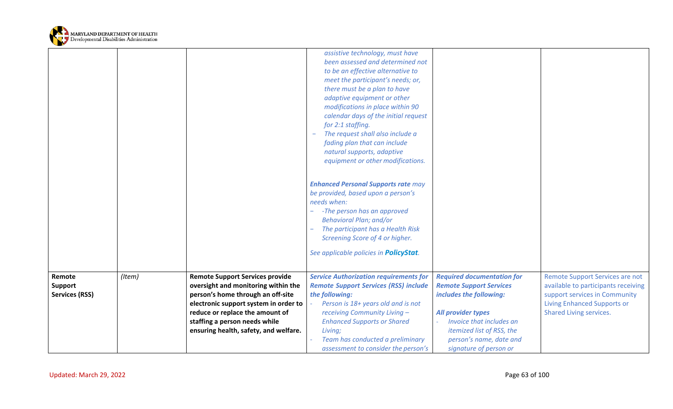

|                       |        |                                                                          | assistive technology, must have<br>been assessed and determined not<br>to be an effective alternative to<br>meet the participant's needs; or,<br>there must be a plan to have<br>adaptive equipment or other<br>modifications in place within 90<br>calendar days of the initial request<br>for 2:1 staffing.<br>The request shall also include a<br>fading plan that can include<br>natural supports, adaptive<br>equipment or other modifications. |                                   |                                                               |
|-----------------------|--------|--------------------------------------------------------------------------|------------------------------------------------------------------------------------------------------------------------------------------------------------------------------------------------------------------------------------------------------------------------------------------------------------------------------------------------------------------------------------------------------------------------------------------------------|-----------------------------------|---------------------------------------------------------------|
|                       |        |                                                                          | <b>Enhanced Personal Supports rate may</b>                                                                                                                                                                                                                                                                                                                                                                                                           |                                   |                                                               |
|                       |        |                                                                          | be provided, based upon a person's<br>needs when:                                                                                                                                                                                                                                                                                                                                                                                                    |                                   |                                                               |
|                       |        |                                                                          | -The person has an approved<br><b>Behavioral Plan; and/or</b>                                                                                                                                                                                                                                                                                                                                                                                        |                                   |                                                               |
|                       |        |                                                                          | The participant has a Health Risk<br>Screening Score of 4 or higher.                                                                                                                                                                                                                                                                                                                                                                                 |                                   |                                                               |
|                       |        |                                                                          | See applicable policies in <b>PolicyStat</b> .                                                                                                                                                                                                                                                                                                                                                                                                       |                                   |                                                               |
| Remote                | (Item) | <b>Remote Support Services provide</b>                                   | <b>Service Authorization requirements for</b>                                                                                                                                                                                                                                                                                                                                                                                                        | <b>Required documentation for</b> | Remote Support Services are not                               |
| <b>Support</b>        |        | oversight and monitoring within the                                      | <b>Remote Support Services (RSS) include</b>                                                                                                                                                                                                                                                                                                                                                                                                         | <b>Remote Support Services</b>    | available to participants receiving                           |
| <b>Services (RSS)</b> |        | person's home through an off-site                                        | the following:                                                                                                                                                                                                                                                                                                                                                                                                                                       | includes the following:           | support services in Community                                 |
|                       |        | electronic support system in order to<br>reduce or replace the amount of | Person is 18+ years old and is not<br>receiving Community Living -                                                                                                                                                                                                                                                                                                                                                                                   | All provider types                | <b>Living Enhanced Supports or</b><br>Shared Living services. |
|                       |        | staffing a person needs while                                            | <b>Enhanced Supports or Shared</b>                                                                                                                                                                                                                                                                                                                                                                                                                   | Invoice that includes an          |                                                               |
|                       |        | ensuring health, safety, and welfare.                                    | Living;                                                                                                                                                                                                                                                                                                                                                                                                                                              | itemized list of RSS, the         |                                                               |
|                       |        |                                                                          | Team has conducted a preliminary                                                                                                                                                                                                                                                                                                                                                                                                                     | person's name, date and           |                                                               |
|                       |        |                                                                          | assessment to consider the person's                                                                                                                                                                                                                                                                                                                                                                                                                  | signature of person or            |                                                               |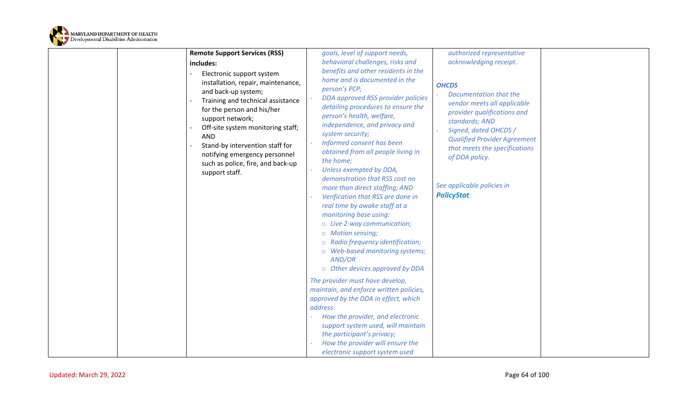

| <b>Remote Support Services (RSS)</b>                                                                                                                                                                                                                                                                                                                        | goals, level of support needs,                                                                                                                                                                                                                                                                                                                                                                                                                                                                                                                                                                                                                                                                                                                                                                                                                                                                                                                                                            | authorized representative                                                                                                                                                                                                                                                                     |  |
|-------------------------------------------------------------------------------------------------------------------------------------------------------------------------------------------------------------------------------------------------------------------------------------------------------------------------------------------------------------|-------------------------------------------------------------------------------------------------------------------------------------------------------------------------------------------------------------------------------------------------------------------------------------------------------------------------------------------------------------------------------------------------------------------------------------------------------------------------------------------------------------------------------------------------------------------------------------------------------------------------------------------------------------------------------------------------------------------------------------------------------------------------------------------------------------------------------------------------------------------------------------------------------------------------------------------------------------------------------------------|-----------------------------------------------------------------------------------------------------------------------------------------------------------------------------------------------------------------------------------------------------------------------------------------------|--|
| includes:                                                                                                                                                                                                                                                                                                                                                   | behavioral challenges, risks and                                                                                                                                                                                                                                                                                                                                                                                                                                                                                                                                                                                                                                                                                                                                                                                                                                                                                                                                                          | acknowledging receipt.                                                                                                                                                                                                                                                                        |  |
| Electronic support system<br>installation, repair, maintenance,<br>and back-up system;<br>Training and technical assistance<br>for the person and his/her<br>support network;<br>Off-site system monitoring staff;<br><b>AND</b><br>Stand-by intervention staff for<br>notifying emergency personnel<br>such as police, fire, and back-up<br>support staff. | benefits and other residents in the<br>home and is documented in the<br>person's PCP;<br>DDA approved RSS provider policies<br>detailing procedures to ensure the<br>person's health, welfare,<br>independence, and privacy and<br>system security;<br>Informed consent has been<br>obtained from all people living in<br>the home;<br>Unless exempted by DDA,<br>demonstration that RSS cost no<br>more than direct staffing; AND<br>Verification that RSS are done in<br>real time by awake staff at a<br>monitoring base using:<br>o Live 2-way communication;<br>o Motion sensing;<br>o Radio frequency identification;<br>o Web-based monitoring systems;<br>AND/OR<br>o Other devices approved by DDA<br>The provider must have develop,<br>maintain, and enforce written policies,<br>approved by the DDA in effect, which<br>address:<br>How the provider, and electronic<br>support system used, will maintain<br>the participant's privacy;<br>How the provider will ensure the | <b>OHCDS</b><br>Documentation that the<br>vendor meets all applicable<br>provider qualifications and<br>standards; AND<br>Signed, dated OHCDS /<br><b>Qualified Provider Agreement</b><br>that meets the specifications<br>of DDA policy.<br>See applicable policies in<br><b>PolicyStat.</b> |  |
|                                                                                                                                                                                                                                                                                                                                                             | electronic support system used                                                                                                                                                                                                                                                                                                                                                                                                                                                                                                                                                                                                                                                                                                                                                                                                                                                                                                                                                            |                                                                                                                                                                                                                                                                                               |  |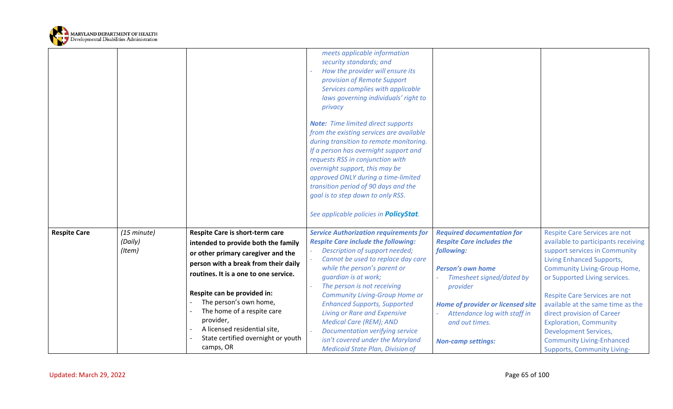

|                     |                                  |                                                                                                                                                                                                                                                                                                                                                                                      | meets applicable information<br>security standards; and<br>How the provider will ensure its<br>provision of Remote Support<br>Services complies with applicable<br>laws governing individuals' right to<br>privacy<br><b>Note:</b> Time limited direct supports<br>from the existing services are available<br>during transition to remote monitoring.<br>If a person has overnight support and<br>requests RSS in conjunction with<br>overnight support, this may be<br>approved ONLY during a time-limited<br>transition period of 90 days and the<br>goal is to step down to only RSS.<br>See applicable policies in PolicyStat. |                                                                                                                                                                                                                                                                              |                                                                                                                                                                                                                                                                                                                                                                                                                                                           |
|---------------------|----------------------------------|--------------------------------------------------------------------------------------------------------------------------------------------------------------------------------------------------------------------------------------------------------------------------------------------------------------------------------------------------------------------------------------|-------------------------------------------------------------------------------------------------------------------------------------------------------------------------------------------------------------------------------------------------------------------------------------------------------------------------------------------------------------------------------------------------------------------------------------------------------------------------------------------------------------------------------------------------------------------------------------------------------------------------------------|------------------------------------------------------------------------------------------------------------------------------------------------------------------------------------------------------------------------------------------------------------------------------|-----------------------------------------------------------------------------------------------------------------------------------------------------------------------------------------------------------------------------------------------------------------------------------------------------------------------------------------------------------------------------------------------------------------------------------------------------------|
| <b>Respite Care</b> | (15 minute)<br>(Daily)<br>(Item) | Respite Care is short-term care<br>intended to provide both the family<br>or other primary caregiver and the<br>person with a break from their daily<br>routines. It is a one to one service.<br>Respite can be provided in:<br>The person's own home,<br>The home of a respite care<br>provider,<br>A licensed residential site,<br>State certified overnight or youth<br>camps, OR | <b>Service Authorization requirements for</b><br><b>Respite Care include the following:</b><br>Description of support needed;<br>Cannot be used to replace day care<br>while the person's parent or<br>guardian is at work;<br>The person is not receiving<br><b>Community Living-Group Home or</b><br><b>Enhanced Supports, Supported</b><br><b>Living or Rare and Expensive</b><br><b>Medical Care (REM); AND</b><br>Documentation verifying service<br>isn't covered under the Maryland<br><b>Medicaid State Plan, Division of</b>                                                                                               | <b>Required documentation for</b><br><b>Respite Care includes the</b><br>following:<br><b>Person's own home</b><br>Timesheet signed/dated by<br>provider<br>Home of provider or licensed site<br>Attendance log with staff in<br>and out times.<br><b>Non-camp settings:</b> | Respite Care Services are not<br>available to participants receiving<br>support services in Community<br>Living Enhanced Supports,<br><b>Community Living-Group Home,</b><br>or Supported Living services.<br>Respite Care Services are not<br>available at the same time as the<br>direct provision of Career<br><b>Exploration, Community</b><br><b>Development Services,</b><br><b>Community Living-Enhanced</b><br><b>Supports, Community Living-</b> |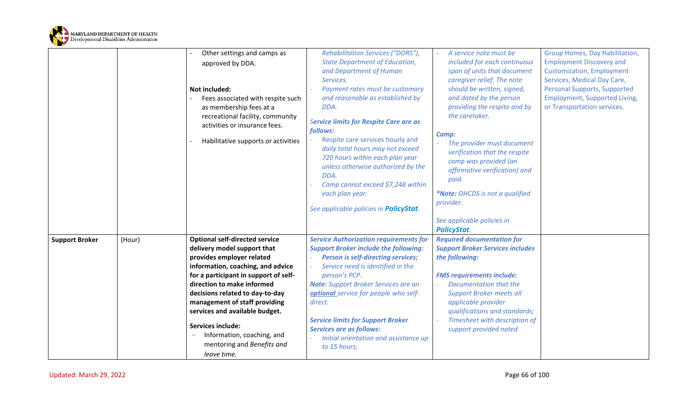

|                       | Other settings and camps as                                                    | Rehabilitation Services ("DORS"),                                                             | A service note must be                                                       | Group Homes, Day Habilitation,                                       |
|-----------------------|--------------------------------------------------------------------------------|-----------------------------------------------------------------------------------------------|------------------------------------------------------------------------------|----------------------------------------------------------------------|
|                       | approved by DDA.                                                               | <b>State Department of Education,</b>                                                         | included for each continuous                                                 | <b>Employment Discovery and</b>                                      |
|                       |                                                                                | and Department of Human                                                                       | span of units that document                                                  | <b>Customization, Employment</b>                                     |
|                       |                                                                                | Services.                                                                                     | caregiver relief. The note                                                   | Services, Medical Day Care,                                          |
|                       | <b>Not included:</b>                                                           | Payment rates must be customary<br>and reasonable as established by                           | should be written, signed,<br>and dated by the person                        | Personal Supports, Supported<br><b>Employment, Supported Living,</b> |
|                       | Fees associated with respite such<br>as membership fees at a                   | DDA.                                                                                          | providing the respite and by                                                 | or Transportation services.                                          |
|                       | recreational facility, community                                               |                                                                                               | the caretaker.                                                               |                                                                      |
|                       | activities or insurance fees.                                                  | <b>Service limits for Respite Care are as</b>                                                 |                                                                              |                                                                      |
|                       |                                                                                | follows:                                                                                      | Camp:                                                                        |                                                                      |
|                       | Habilitative supports or activities                                            | Respite care services hourly and<br>daily total hours may not exceed                          | The provider must document                                                   |                                                                      |
|                       |                                                                                | 720 hours within each plan year                                                               | verification that the respite<br>camp was provided (an                       |                                                                      |
|                       |                                                                                | unless otherwise authorized by the<br>DDA.                                                    | affirmative verification) and                                                |                                                                      |
|                       |                                                                                | Camp cannot exceed \$7,248 within                                                             | paid.                                                                        |                                                                      |
|                       |                                                                                | each plan year.                                                                               | *Note: OHCDS is not a qualified                                              |                                                                      |
|                       |                                                                                |                                                                                               | provider.                                                                    |                                                                      |
|                       |                                                                                | See applicable policies in <b>PolicyStat</b> .                                                |                                                                              |                                                                      |
|                       |                                                                                |                                                                                               | See applicable policies in                                                   |                                                                      |
|                       |                                                                                |                                                                                               | <b>PolicyStat.</b>                                                           |                                                                      |
| <b>Support Broker</b> | <b>Optional self-directed service</b><br>(Hour)<br>delivery model support that | <b>Service Authorization requirements for</b><br><b>Support Broker include the following:</b> | <b>Required documentation for</b><br><b>Support Broker Services includes</b> |                                                                      |
|                       | provides employer related                                                      | <b>Person is self-directing services;</b>                                                     | the following:                                                               |                                                                      |
|                       | information, coaching, and advice                                              | Service need is identified in the                                                             |                                                                              |                                                                      |
|                       | for a participant in support of self-                                          | person's PCP.                                                                                 | <b>FMS requirements include:</b>                                             |                                                                      |
|                       | direction to make informed                                                     | <b>Note:</b> Support Broker Services are an                                                   | Documentation that the                                                       |                                                                      |
|                       | decisions related to day-to-day                                                | optional service for people who self-                                                         | <b>Support Broker meets all</b>                                              |                                                                      |
|                       | management of staff providing                                                  | direct.                                                                                       | applicable provider                                                          |                                                                      |
|                       | services and available budget.                                                 |                                                                                               | qualifications and standards;                                                |                                                                      |
|                       | <b>Services include:</b>                                                       | <b>Service limits for Support Broker</b><br><b>Services are as follows:</b>                   | Timesheet with description of<br>support provided noted                      |                                                                      |
|                       | Information, coaching, and                                                     | Initial orientation and assistance up                                                         |                                                                              |                                                                      |
|                       | mentoring and Benefits and                                                     | to 15 hours;                                                                                  |                                                                              |                                                                      |
|                       | leave time.                                                                    |                                                                                               |                                                                              |                                                                      |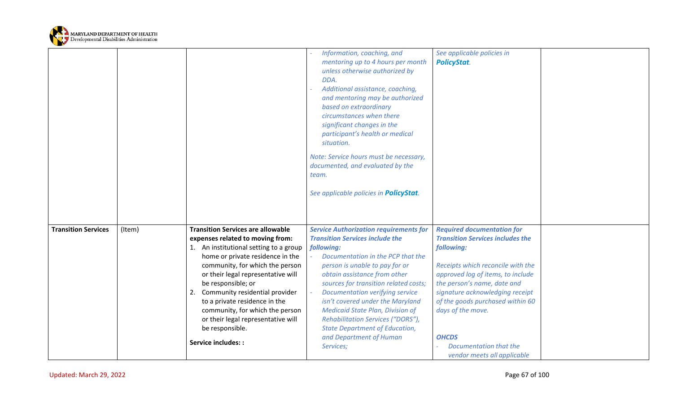

|                            |        |                                                                                                                                                                                                                                                                                                                                                                                                                                                          | Information, coaching, and<br>mentoring up to 4 hours per month<br>unless otherwise authorized by<br>DDA.<br>Additional assistance, coaching,<br>and mentoring may be authorized<br>based on extraordinary<br>circumstances when there<br>significant changes in the<br>participant's health or medical<br>situation.<br>Note: Service hours must be necessary,<br>documented, and evaluated by the<br>team.<br>See applicable policies in <b>PolicyStat</b> .                                       | See applicable policies in<br><b>PolicyStat.</b>                                                                                                                                                                                                                                                                                                                         |  |
|----------------------------|--------|----------------------------------------------------------------------------------------------------------------------------------------------------------------------------------------------------------------------------------------------------------------------------------------------------------------------------------------------------------------------------------------------------------------------------------------------------------|------------------------------------------------------------------------------------------------------------------------------------------------------------------------------------------------------------------------------------------------------------------------------------------------------------------------------------------------------------------------------------------------------------------------------------------------------------------------------------------------------|--------------------------------------------------------------------------------------------------------------------------------------------------------------------------------------------------------------------------------------------------------------------------------------------------------------------------------------------------------------------------|--|
| <b>Transition Services</b> | (Item) | <b>Transition Services are allowable</b><br>expenses related to moving from:<br>1. An institutional setting to a group<br>home or private residence in the<br>community, for which the person<br>or their legal representative will<br>be responsible; or<br>2. Community residential provider<br>to a private residence in the<br>community, for which the person<br>or their legal representative will<br>be responsible.<br><b>Service includes::</b> | <b>Service Authorization requirements for</b><br><b>Transition Services include the</b><br>following:<br>Documentation in the PCP that the<br>person is unable to pay for or<br>obtain assistance from other<br>sources for transition related costs;<br><b>Documentation verifying service</b><br>isn't covered under the Maryland<br><b>Medicaid State Plan, Division of</b><br>Rehabilitation Services ("DORS"),<br><b>State Department of Education,</b><br>and Department of Human<br>Services; | <b>Required documentation for</b><br><b>Transition Services includes the</b><br>following:<br>Receipts which reconcile with the<br>approved log of items, to include<br>the person's name, date and<br>signature acknowledging receipt<br>of the goods purchased within 60<br>days of the move.<br><b>OHCDS</b><br>Documentation that the<br>vendor meets all applicable |  |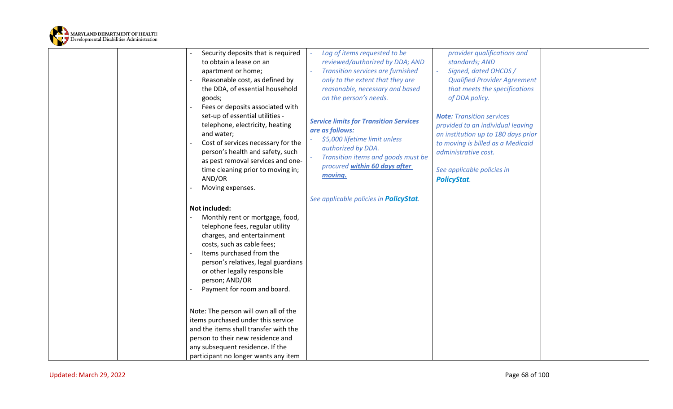

| Security deposits that is required    | Log of items requested to be                             | provider qualifications and         |  |
|---------------------------------------|----------------------------------------------------------|-------------------------------------|--|
| to obtain a lease on an               | reviewed/authorized by DDA; AND                          | standards; AND                      |  |
| apartment or home;                    | <b>Transition services are furnished</b>                 | Signed, dated OHCDS /               |  |
| Reasonable cost, as defined by        | only to the extent that they are                         | <b>Qualified Provider Agreement</b> |  |
| the DDA, of essential household       | reasonable, necessary and based                          | that meets the specifications       |  |
| goods;                                | on the person's needs.                                   | of DDA policy.                      |  |
| Fees or deposits associated with      |                                                          |                                     |  |
| set-up of essential utilities -       |                                                          | <b>Note: Transition services</b>    |  |
| telephone, electricity, heating       | <b>Service limits for Transition Services</b>            | provided to an individual leaving   |  |
| and water;                            | are as follows:                                          | an institution up to 180 days prior |  |
| Cost of services necessary for the    | \$5,000 lifetime limit unless                            | to moving is billed as a Medicaid   |  |
| person's health and safety, such      | authorized by DDA.<br>Transition items and goods must be | administrative cost.                |  |
| as pest removal services and one-     | procured within 60 days after                            |                                     |  |
| time cleaning prior to moving in;     | moving.                                                  | See applicable policies in          |  |
| AND/OR                                |                                                          | <b>PolicyStat.</b>                  |  |
| Moving expenses.                      |                                                          |                                     |  |
|                                       | See applicable policies in <b>PolicyStat</b> .           |                                     |  |
| Not included:                         |                                                          |                                     |  |
| Monthly rent or mortgage, food,       |                                                          |                                     |  |
| telephone fees, regular utility       |                                                          |                                     |  |
| charges, and entertainment            |                                                          |                                     |  |
| costs, such as cable fees;            |                                                          |                                     |  |
| Items purchased from the              |                                                          |                                     |  |
| person's relatives, legal guardians   |                                                          |                                     |  |
| or other legally responsible          |                                                          |                                     |  |
| person; AND/OR                        |                                                          |                                     |  |
| Payment for room and board.           |                                                          |                                     |  |
|                                       |                                                          |                                     |  |
| Note: The person will own all of the  |                                                          |                                     |  |
| items purchased under this service    |                                                          |                                     |  |
| and the items shall transfer with the |                                                          |                                     |  |
| person to their new residence and     |                                                          |                                     |  |
| any subsequent residence. If the      |                                                          |                                     |  |
| participant no longer wants any item  |                                                          |                                     |  |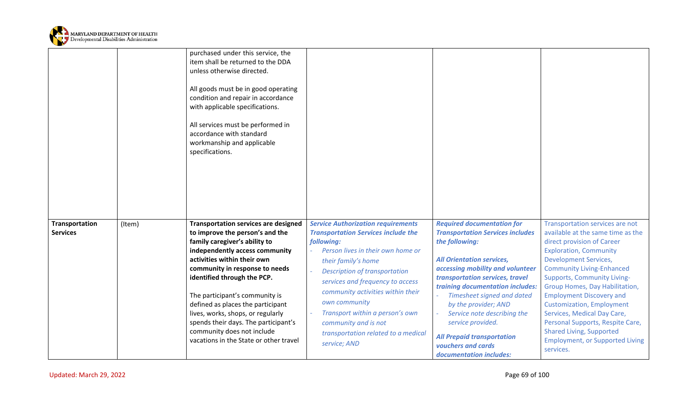

|                                   |        | purchased under this service, the<br>item shall be returned to the DDA<br>unless otherwise directed.<br>All goods must be in good operating<br>condition and repair in accordance<br>with applicable specifications.<br>All services must be performed in<br>accordance with standard<br>workmanship and applicable<br>specifications. |                                                                                                                                                                                                                                                  |                                                                                                                                                                                                                                                                                                         |                                                                                                                                                                                                                                                                                                                                              |
|-----------------------------------|--------|----------------------------------------------------------------------------------------------------------------------------------------------------------------------------------------------------------------------------------------------------------------------------------------------------------------------------------------|--------------------------------------------------------------------------------------------------------------------------------------------------------------------------------------------------------------------------------------------------|---------------------------------------------------------------------------------------------------------------------------------------------------------------------------------------------------------------------------------------------------------------------------------------------------------|----------------------------------------------------------------------------------------------------------------------------------------------------------------------------------------------------------------------------------------------------------------------------------------------------------------------------------------------|
| Transportation<br><b>Services</b> | (Item) | <b>Transportation services are designed</b><br>to improve the person's and the<br>family caregiver's ability to<br>independently access community<br>activities within their own                                                                                                                                                       | <b>Service Authorization requirements</b><br><b>Transportation Services include the</b><br>following:<br>Person lives in their own home or<br>their family's home                                                                                | <b>Required documentation for</b><br><b>Transportation Services includes</b><br>the following:<br><b>All Orientation services,</b>                                                                                                                                                                      | Transportation services are not<br>available at the same time as the<br>direct provision of Career<br><b>Exploration, Community</b><br><b>Development Services,</b>                                                                                                                                                                          |
|                                   |        | community in response to needs<br>identified through the PCP.<br>The participant's community is<br>defined as places the participant<br>lives, works, shops, or regularly<br>spends their days. The participant's<br>community does not include<br>vacations in the State or other travel                                              | <b>Description of transportation</b><br>services and frequency to access<br>community activities within their<br>own community<br>Transport within a person's own<br>community and is not<br>transportation related to a medical<br>service; AND | accessing mobility and volunteer<br>transportation services, travel<br>training documentation includes:<br>Timesheet signed and dated<br>by the provider; AND<br>Service note describing the<br>service provided.<br><b>All Prepaid transportation</b><br>vouchers and cards<br>documentation includes: | <b>Community Living-Enhanced</b><br><b>Supports, Community Living-</b><br>Group Homes, Day Habilitation,<br><b>Employment Discovery and</b><br><b>Customization, Employment</b><br>Services, Medical Day Care,<br>Personal Supports, Respite Care,<br><b>Shared Living, Supported</b><br><b>Employment, or Supported Living</b><br>services. |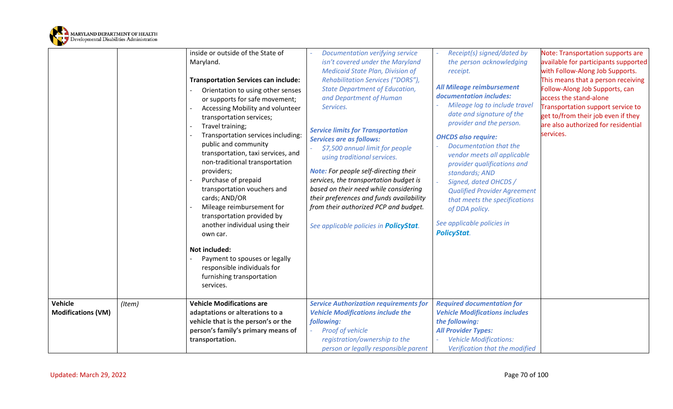

|                           |        | inside or outside of the State of           | Documentation verifying service                | Receipt(s) signed/dated by            | Note: Transportation supports are    |
|---------------------------|--------|---------------------------------------------|------------------------------------------------|---------------------------------------|--------------------------------------|
|                           |        | Maryland.                                   | isn't covered under the Maryland               | the person acknowledging              | available for participants supported |
|                           |        |                                             | <b>Medicaid State Plan, Division of</b>        | receipt.                              | with Follow-Along Job Supports.      |
|                           |        | <b>Transportation Services can include:</b> | Rehabilitation Services ("DORS"),              | All Mileage reimbursement             | This means that a person receiving   |
|                           |        | Orientation to using other senses           | <b>State Department of Education,</b>          | documentation includes:               | Follow-Along Job Supports, can       |
|                           |        | or supports for safe movement;              | and Department of Human                        | Mileage log to include travel         | access the stand-alone               |
|                           |        | Accessing Mobility and volunteer            | Services.                                      | date and signature of the             | Transportation support service to    |
|                           |        | transportation services;                    |                                                | provider and the person.              | get to/from their job even if they   |
|                           |        | Travel training;                            | <b>Service limits for Transportation</b>       |                                       | are also authorized for residential  |
|                           |        | Transportation services including:          | <b>Services are as follows:</b>                | <b>OHCDS also require:</b>            | services.                            |
|                           |        | public and community                        | \$7,500 annual limit for people                | Documentation that the                |                                      |
|                           |        | transportation, taxi services, and          | using traditional services.                    | vendor meets all applicable           |                                      |
|                           |        | non-traditional transportation              |                                                | provider qualifications and           |                                      |
|                           |        | providers;                                  | <b>Note:</b> For people self-directing their   | standards; AND                        |                                      |
|                           |        | Purchase of prepaid                         | services, the transportation budget is         | Signed, dated OHCDS /                 |                                      |
|                           |        | transportation vouchers and                 | based on their need while considering          | <b>Qualified Provider Agreement</b>   |                                      |
|                           |        | cards; AND/OR                               | their preferences and funds availability       | that meets the specifications         |                                      |
|                           |        | Mileage reimbursement for                   | from their authorized PCP and budget.          | of DDA policy.                        |                                      |
|                           |        | transportation provided by                  |                                                |                                       |                                      |
|                           |        | another individual using their              | See applicable policies in <b>PolicyStat</b> . | See applicable policies in            |                                      |
|                           |        | own car.                                    |                                                | <b>PolicyStat.</b>                    |                                      |
|                           |        | <b>Not included:</b>                        |                                                |                                       |                                      |
|                           |        | Payment to spouses or legally               |                                                |                                       |                                      |
|                           |        | responsible individuals for                 |                                                |                                       |                                      |
|                           |        | furnishing transportation                   |                                                |                                       |                                      |
|                           |        | services.                                   |                                                |                                       |                                      |
|                           |        |                                             |                                                |                                       |                                      |
| Vehicle                   | (Item) | <b>Vehicle Modifications are</b>            | <b>Service Authorization requirements for</b>  | <b>Required documentation for</b>     |                                      |
| <b>Modifications (VM)</b> |        | adaptations or alterations to a             | <b>Vehicle Modifications include the</b>       | <b>Vehicle Modifications includes</b> |                                      |
|                           |        | vehicle that is the person's or the         | following:                                     | the following:                        |                                      |
|                           |        | person's family's primary means of          | Proof of vehicle                               | <b>All Provider Types:</b>            |                                      |
|                           |        | transportation.                             | registration/ownership to the                  | <b>Vehicle Modifications:</b>         |                                      |
|                           |        |                                             | person or legally responsible parent           | Verification that the modified        |                                      |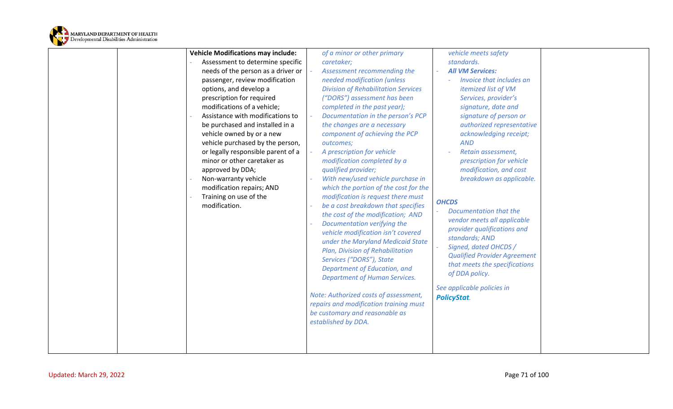

| <b>Vehicle Modifications may include:</b> | of a minor or other primary                                                                                                                                                                                                                                                                                                                                                                                                                                           | vehicle meets safety                                                                                                                                                                                                                                                                          |  |
|-------------------------------------------|-----------------------------------------------------------------------------------------------------------------------------------------------------------------------------------------------------------------------------------------------------------------------------------------------------------------------------------------------------------------------------------------------------------------------------------------------------------------------|-----------------------------------------------------------------------------------------------------------------------------------------------------------------------------------------------------------------------------------------------------------------------------------------------|--|
| Assessment to determine specific          | caretaker;                                                                                                                                                                                                                                                                                                                                                                                                                                                            | standards.                                                                                                                                                                                                                                                                                    |  |
| needs of the person as a driver or        | Assessment recommending the                                                                                                                                                                                                                                                                                                                                                                                                                                           | <b>All VM Services:</b>                                                                                                                                                                                                                                                                       |  |
| passenger, review modification            | needed modification (unless                                                                                                                                                                                                                                                                                                                                                                                                                                           | Invoice that includes an                                                                                                                                                                                                                                                                      |  |
| options, and develop a                    | <b>Division of Rehabilitation Services</b>                                                                                                                                                                                                                                                                                                                                                                                                                            | itemized list of VM                                                                                                                                                                                                                                                                           |  |
| prescription for required                 | ("DORS") assessment has been                                                                                                                                                                                                                                                                                                                                                                                                                                          | Services, provider's                                                                                                                                                                                                                                                                          |  |
| modifications of a vehicle;               | completed in the past year);                                                                                                                                                                                                                                                                                                                                                                                                                                          | signature, date and                                                                                                                                                                                                                                                                           |  |
| Assistance with modifications to          | Documentation in the person's PCP                                                                                                                                                                                                                                                                                                                                                                                                                                     | signature of person or                                                                                                                                                                                                                                                                        |  |
| be purchased and installed in a           | the changes are a necessary                                                                                                                                                                                                                                                                                                                                                                                                                                           | authorized representative                                                                                                                                                                                                                                                                     |  |
| vehicle owned by or a new                 | component of achieving the PCP                                                                                                                                                                                                                                                                                                                                                                                                                                        | acknowledging receipt;                                                                                                                                                                                                                                                                        |  |
| vehicle purchased by the person,          | outcomes;                                                                                                                                                                                                                                                                                                                                                                                                                                                             | <b>AND</b>                                                                                                                                                                                                                                                                                    |  |
| or legally responsible parent of a        | A prescription for vehicle                                                                                                                                                                                                                                                                                                                                                                                                                                            | Retain assessment,                                                                                                                                                                                                                                                                            |  |
| minor or other caretaker as               | modification completed by a                                                                                                                                                                                                                                                                                                                                                                                                                                           | prescription for vehicle                                                                                                                                                                                                                                                                      |  |
| approved by DDA;                          | qualified provider;                                                                                                                                                                                                                                                                                                                                                                                                                                                   | modification, and cost                                                                                                                                                                                                                                                                        |  |
| Non-warranty vehicle                      | With new/used vehicle purchase in                                                                                                                                                                                                                                                                                                                                                                                                                                     | breakdown as applicable.                                                                                                                                                                                                                                                                      |  |
| modification repairs; AND                 | which the portion of the cost for the                                                                                                                                                                                                                                                                                                                                                                                                                                 |                                                                                                                                                                                                                                                                                               |  |
| Training on use of the                    | modification is request there must                                                                                                                                                                                                                                                                                                                                                                                                                                    |                                                                                                                                                                                                                                                                                               |  |
| modification.                             | be a cost breakdown that specifies<br>the cost of the modification; AND<br>Documentation verifying the<br>vehicle modification isn't covered<br>under the Maryland Medicaid State<br>Plan, Division of Rehabilitation<br>Services ("DORS"), State<br>Department of Education, and<br><b>Department of Human Services.</b><br>Note: Authorized costs of assessment,<br>repairs and modification training must<br>be customary and reasonable as<br>established by DDA. | <b>OHCDS</b><br>Documentation that the<br>vendor meets all applicable<br>provider qualifications and<br>standards; AND<br>Signed, dated OHCDS /<br><b>Qualified Provider Agreement</b><br>that meets the specifications<br>of DDA policy.<br>See applicable policies in<br><b>PolicyStat.</b> |  |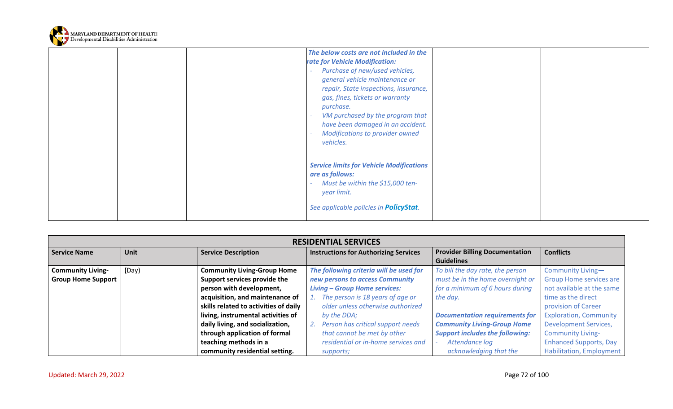

|  | The below costs are not included in the<br>rate for Vehicle Modification:<br>Purchase of new/used vehicles,<br>general vehicle maintenance or<br>repair, State inspections, insurance,<br>gas, fines, tickets or warranty<br>purchase.<br>VM purchased by the program that<br>have been damaged in an accident.<br><b>Modifications to provider owned</b><br>vehicles. |  |
|--|------------------------------------------------------------------------------------------------------------------------------------------------------------------------------------------------------------------------------------------------------------------------------------------------------------------------------------------------------------------------|--|
|  | <b>Service limits for Vehicle Modifications</b><br>are as follows:<br>Must be within the \$15,000 ten-<br>year limit.<br>See applicable policies in <b>PolicyStat</b> .                                                                                                                                                                                                |  |

| <b>RESIDENTIAL SERVICES</b> |       |                                       |                                              |                                        |                                |  |
|-----------------------------|-------|---------------------------------------|----------------------------------------------|----------------------------------------|--------------------------------|--|
| <b>Service Name</b>         | Unit  | <b>Service Description</b>            | <b>Instructions for Authorizing Services</b> | <b>Provider Billing Documentation</b>  | <b>Conflicts</b>               |  |
|                             |       |                                       |                                              | <b>Guidelines</b>                      |                                |  |
| <b>Community Living-</b>    | (Day) | <b>Community Living-Group Home</b>    | The following criteria will be used for      | To bill the day rate, the person       | Community Living-              |  |
| <b>Group Home Support</b>   |       | Support services provide the          | new persons to access Community              | must be in the home overnight or       | <b>Group Home services are</b> |  |
|                             |       | person with development,              | <b>Living - Group Home services:</b>         | for a minimum of 6 hours during        | not available at the same      |  |
|                             |       | acquisition, and maintenance of       | The person is 18 years of age or             | the day.                               | time as the direct             |  |
|                             |       | skills related to activities of daily | older unless otherwise authorized            |                                        | provision of Career            |  |
|                             |       | living, instrumental activities of    | by the DDA;                                  | <b>Documentation requirements for</b>  | <b>Exploration, Community</b>  |  |
|                             |       | daily living, and socialization,      | Person has critical support needs            | <b>Community Living-Group Home</b>     | <b>Development Services,</b>   |  |
|                             |       | through application of formal         | that cannot be met by other                  | <b>Support includes the following:</b> | <b>Community Living-</b>       |  |
|                             |       | teaching methods in a                 | residential or in-home services and          | Attendance log                         | <b>Enhanced Supports, Day</b>  |  |
|                             |       | community residential setting.        | supports;                                    | acknowledging that the                 | Habilitation, Employment       |  |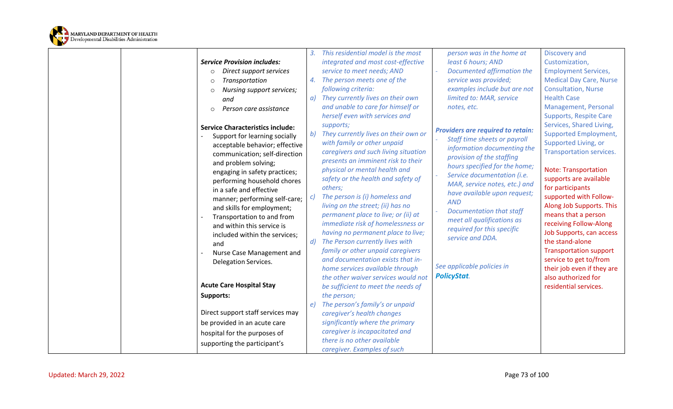

| <b>Service Provision includes:</b><br>Direct support services<br>$\circ$<br>Transportation<br>$\Omega$<br>Nursing support services;<br>$\Omega$<br>and                                                                                                                                                                                                                                                                                                                                                                      | 4.<br>$\alpha$ ) | This residential model is the most<br>integrated and most cost-effective<br>service to meet needs; AND<br>The person meets one of the<br>following criteria:<br>They currently lives on their own                                                                                                                                                                                                                                                                                                                                                                                                                             | person was in the home at<br>least 6 hours; AND<br>Documented affirmation the<br>service was provided;<br>examples include but are not<br>limited to: MAR, service                                                                                                                                                                                                                                                    | Discovery and<br>Customization,<br><b>Employment Services,</b><br><b>Medical Day Care, Nurse</b><br><b>Consultation, Nurse</b><br><b>Health Case</b>                                                                                                                                                                                                                                                                                                                       |
|-----------------------------------------------------------------------------------------------------------------------------------------------------------------------------------------------------------------------------------------------------------------------------------------------------------------------------------------------------------------------------------------------------------------------------------------------------------------------------------------------------------------------------|------------------|-------------------------------------------------------------------------------------------------------------------------------------------------------------------------------------------------------------------------------------------------------------------------------------------------------------------------------------------------------------------------------------------------------------------------------------------------------------------------------------------------------------------------------------------------------------------------------------------------------------------------------|-----------------------------------------------------------------------------------------------------------------------------------------------------------------------------------------------------------------------------------------------------------------------------------------------------------------------------------------------------------------------------------------------------------------------|----------------------------------------------------------------------------------------------------------------------------------------------------------------------------------------------------------------------------------------------------------------------------------------------------------------------------------------------------------------------------------------------------------------------------------------------------------------------------|
| Person care assistance<br>$\circ$<br><b>Service Characteristics include:</b><br>Support for learning socially<br>acceptable behavior; effective<br>communication; self-direction<br>and problem solving;<br>engaging in safety practices;<br>performing household chores<br>in a safe and effective<br>manner; performing self-care;<br>and skills for employment;<br>Transportation to and from<br>and within this service is<br>included within the services;<br>and<br>Nurse Case Management and<br>Delegation Services. | b)<br>d          | and unable to care for himself or<br>herself even with services and<br>supports;<br>They currently lives on their own or<br>with family or other unpaid<br>caregivers and such living situation<br>presents an imminent risk to their<br>physical or mental health and<br>safety or the health and safety of<br>others;<br>The person is (i) homeless and<br>living on the street; (ii) has no<br>permanent place to live; or (ii) at<br>immediate risk of homelessness or<br>having no permanent place to live;<br>The Person currently lives with<br>family or other unpaid caregivers<br>and documentation exists that in- | notes, etc.<br><b>Providers are required to retain:</b><br>Staff time sheets or payroll<br>information documenting the<br>provision of the staffing<br>hours specified for the home;<br>Service documentation (i.e.<br>MAR, service notes, etc.) and<br>have available upon request;<br><b>AND</b><br><b>Documentation that staff</b><br>meet all qualifications as<br>required for this specific<br>service and DDA. | Management, Personal<br><b>Supports, Respite Care</b><br>Services, Shared Living,<br><b>Supported Employment,</b><br>Supported Living, or<br><b>Transportation services.</b><br><b>Note: Transportation</b><br>supports are available<br>for participants<br>supported with Follow-<br>Along Job Supports. This<br>means that a person<br>receiving Follow-Along<br>Job Supports, can access<br>the stand-alone<br><b>Transportation support</b><br>service to get to/from |
| <b>Acute Care Hospital Stay</b><br><b>Supports:</b><br>Direct support staff services may<br>be provided in an acute care<br>hospital for the purposes of<br>supporting the participant's                                                                                                                                                                                                                                                                                                                                    | e)               | home services available through<br>the other waiver services would not<br>be sufficient to meet the needs of<br>the person;<br>The person's family's or unpaid<br>caregiver's health changes<br>significantly where the primary<br>caregiver is incapacitated and<br>there is no other available<br>caregiver. Examples of such                                                                                                                                                                                                                                                                                               | See applicable policies in<br><b>PolicyStat.</b>                                                                                                                                                                                                                                                                                                                                                                      | their job even if they are<br>also authorized for<br>residential services.                                                                                                                                                                                                                                                                                                                                                                                                 |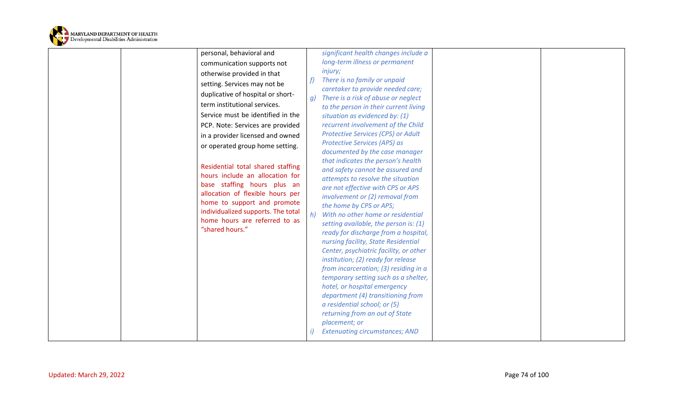

| personal, behavioral and<br>communication supports not<br>otherwise provided in that<br>f<br>setting. Services may not be<br>duplicative of hospital or short-<br>g)<br>term institutional services.<br>Service must be identified in the<br>PCP. Note: Services are provided<br>in a provider licensed and owned<br>or operated group home setting.<br>Residential total shared staffing<br>hours include an allocation for<br>base staffing hours plus an<br>allocation of flexible hours per<br>home to support and promote<br>individualized supports. The total<br>h)<br>home hours are referred to as<br>"shared hours." | significant health changes include a<br>long-term illness or permanent<br><i>injury;</i><br>There is no family or unpaid<br>caretaker to provide needed care;<br>There is a risk of abuse or neglect<br>to the person in their current living<br>situation as evidenced by: (1)<br>recurrent involvement of the Child<br>Protective Services (CPS) or Adult<br>Protective Services (APS) as<br>documented by the case manager<br>that indicates the person's health<br>and safety cannot be assured and<br>attempts to resolve the situation<br>are not effective with CPS or APS<br>involvement or (2) removal from<br>the home by CPS or APS;<br>With no other home or residential<br>setting available, the person is: (1)<br>ready for discharge from a hospital,<br>nursing facility, State Residential<br>Center, psychiatric facility, or other<br>institution; (2) ready for release<br>from incarceration; (3) residing in a<br>temporary setting such as a shelter,<br>hotel, or hospital emergency<br>department (4) transitioning from<br>a residential school; or (5)<br>returning from an out of State<br>placement; or<br><b>Extenuating circumstances; AND</b> |
|--------------------------------------------------------------------------------------------------------------------------------------------------------------------------------------------------------------------------------------------------------------------------------------------------------------------------------------------------------------------------------------------------------------------------------------------------------------------------------------------------------------------------------------------------------------------------------------------------------------------------------|--------------------------------------------------------------------------------------------------------------------------------------------------------------------------------------------------------------------------------------------------------------------------------------------------------------------------------------------------------------------------------------------------------------------------------------------------------------------------------------------------------------------------------------------------------------------------------------------------------------------------------------------------------------------------------------------------------------------------------------------------------------------------------------------------------------------------------------------------------------------------------------------------------------------------------------------------------------------------------------------------------------------------------------------------------------------------------------------------------------------------------------------------------------------------------|
|--------------------------------------------------------------------------------------------------------------------------------------------------------------------------------------------------------------------------------------------------------------------------------------------------------------------------------------------------------------------------------------------------------------------------------------------------------------------------------------------------------------------------------------------------------------------------------------------------------------------------------|--------------------------------------------------------------------------------------------------------------------------------------------------------------------------------------------------------------------------------------------------------------------------------------------------------------------------------------------------------------------------------------------------------------------------------------------------------------------------------------------------------------------------------------------------------------------------------------------------------------------------------------------------------------------------------------------------------------------------------------------------------------------------------------------------------------------------------------------------------------------------------------------------------------------------------------------------------------------------------------------------------------------------------------------------------------------------------------------------------------------------------------------------------------------------------|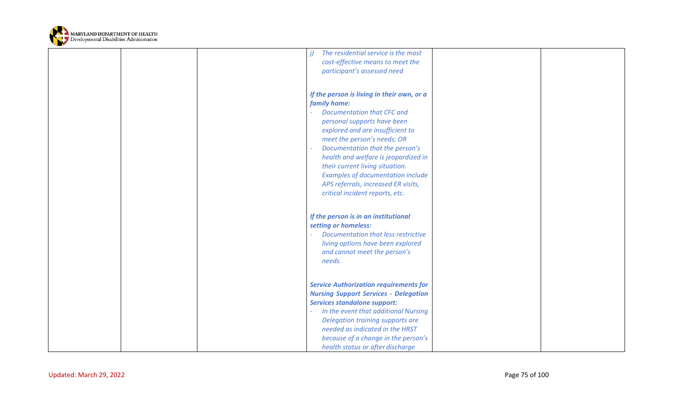

| The residential service is the most<br>cost-effective means to meet the<br>participant's assessed need                                                                                                                                                                                                                                                                                                                                |  |
|---------------------------------------------------------------------------------------------------------------------------------------------------------------------------------------------------------------------------------------------------------------------------------------------------------------------------------------------------------------------------------------------------------------------------------------|--|
| If the person is living in their own, or a<br>family home:<br><b>Documentation that CFC and</b><br>personal supports have been<br>explored and are insufficient to<br>meet the person's needs; OR<br>Documentation that the person's<br>health and welfare is jeopardized in<br>their current living situation.<br><b>Examples of documentation include</b><br>APS referrals, increased ER visits,<br>critical incident reports, etc. |  |
| If the person is in an institutional<br>setting or homeless:<br>Documentation that less restrictive<br>living options have been explored<br>and cannot meet the person's<br>needs.                                                                                                                                                                                                                                                    |  |
| <b>Service Authorization requirements for</b><br><b>Nursing Support Services - Delegation</b><br><b>Services standalone support:</b><br>In the event that additional Nursing<br>Delegation training supports are<br>needed as indicated in the HRST<br>because of a change in the person's<br>health status or after discharge                                                                                                        |  |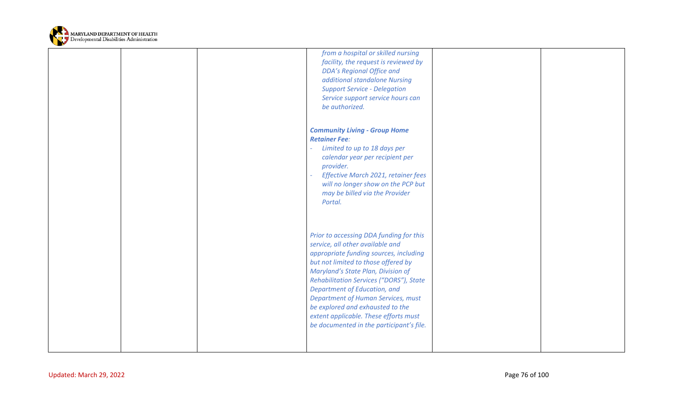

|  | from a hospital or skilled nursing<br>facility, the request is reviewed by<br><b>DDA's Regional Office and</b><br>additional standalone Nursing<br><b>Support Service - Delegation</b><br>Service support service hours can<br>be authorized.                                                                                                                                                                                                |  |
|--|----------------------------------------------------------------------------------------------------------------------------------------------------------------------------------------------------------------------------------------------------------------------------------------------------------------------------------------------------------------------------------------------------------------------------------------------|--|
|  | <b>Community Living - Group Home</b><br><b>Retainer Fee:</b><br>Limited to up to 18 days per<br>calendar year per recipient per<br>provider.<br>Effective March 2021, retainer fees<br>will no longer show on the PCP but<br>may be billed via the Provider<br>Portal.                                                                                                                                                                       |  |
|  | Prior to accessing DDA funding for this<br>service, all other available and<br>appropriate funding sources, including<br>but not limited to those offered by<br>Maryland's State Plan, Division of<br>Rehabilitation Services ("DORS"), State<br>Department of Education, and<br>Department of Human Services, must<br>be explored and exhausted to the<br>extent applicable. These efforts must<br>be documented in the participant's file. |  |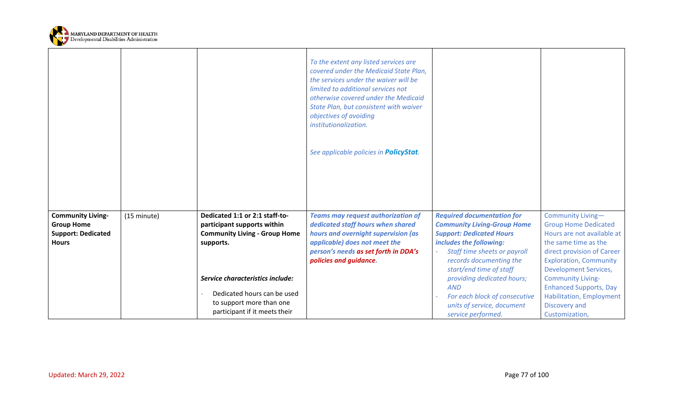

|                                                                                            |             |                                                                                                                              | To the extent any listed services are<br>covered under the Medicaid State Plan,<br>the services under the waiver will be<br>limited to additional services not<br>otherwise covered under the Medicaid<br>State Plan, but consistent with waiver<br>objectives of avoiding<br>institutionalization. |                                                                                                                                                                                                                             |                                                                                                                                                                                                       |
|--------------------------------------------------------------------------------------------|-------------|------------------------------------------------------------------------------------------------------------------------------|-----------------------------------------------------------------------------------------------------------------------------------------------------------------------------------------------------------------------------------------------------------------------------------------------------|-----------------------------------------------------------------------------------------------------------------------------------------------------------------------------------------------------------------------------|-------------------------------------------------------------------------------------------------------------------------------------------------------------------------------------------------------|
|                                                                                            |             |                                                                                                                              | See applicable policies in <b>PolicyStat</b> .                                                                                                                                                                                                                                                      |                                                                                                                                                                                                                             |                                                                                                                                                                                                       |
| <b>Community Living-</b><br><b>Group Home</b><br><b>Support: Dedicated</b><br><b>Hours</b> | (15 minute) | Dedicated 1:1 or 2:1 staff-to-<br>participant supports within<br><b>Community Living - Group Home</b><br>supports.           | <b>Teams may request authorization of</b><br>dedicated staff hours when shared<br>hours and overnight supervision (as<br>applicable) does not meet the<br>person's needs as set forth in DDA's<br>policies and guidance.                                                                            | <b>Required documentation for</b><br><b>Community Living-Group Home</b><br><b>Support: Dedicated Hours</b><br>includes the following:<br>Staff time sheets or payroll<br>records documenting the<br>start/end time of staff | Community Living-<br><b>Group Home Dedicated</b><br>Hours are not available at<br>the same time as the<br>direct provision of Career<br><b>Exploration, Community</b><br><b>Development Services,</b> |
|                                                                                            |             | Service characteristics include:<br>Dedicated hours can be used<br>to support more than one<br>participant if it meets their |                                                                                                                                                                                                                                                                                                     | providing dedicated hours;<br><b>AND</b><br>For each block of consecutive<br>units of service, document<br>service performed.                                                                                               | <b>Community Living-</b><br><b>Enhanced Supports, Day</b><br><b>Habilitation, Employment</b><br>Discovery and<br>Customization,                                                                       |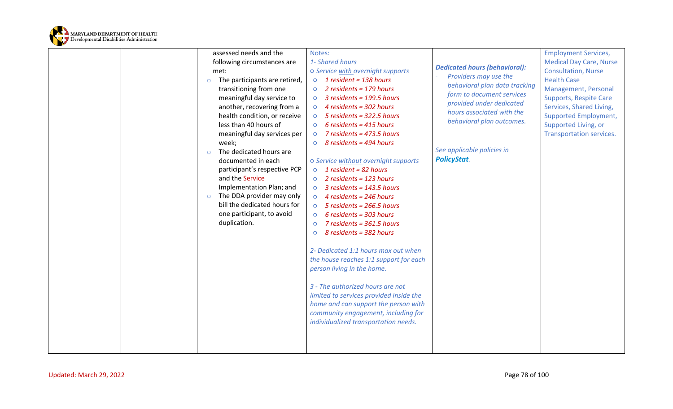

| assessed needs and the | Notes:                                         |                                         |                                      | <b>Employment Services,</b>    |
|------------------------|------------------------------------------------|-----------------------------------------|--------------------------------------|--------------------------------|
|                        | following circumstances are<br>1- Shared hours |                                         | <b>Dedicated hours (behavioral):</b> | <b>Medical Day Care, Nurse</b> |
| met:                   |                                                | o Service with overnight supports       | Providers may use the                | <b>Consultation, Nurse</b>     |
| $\circ$                | The participants are retired,                  | $\circ$ 1 resident = 138 hours          | behavioral plan data tracking        | <b>Health Case</b>             |
| transitioning from one | $\circ$                                        | 2 residents = $179$ hours               | form to document services            | Management, Personal           |
|                        | meaningful day service to<br>$\circ$           | $3$ residents = 199.5 hours             | provided under dedicated             | <b>Supports, Respite Care</b>  |
|                        | another, recovering from a<br>$\circ$          | 4 residents = 302 hours                 | hours associated with the            | Services, Shared Living,       |
|                        | health condition, or receive<br>$\circ$        | $5$ residents = 322.5 hours             | behavioral plan outcomes.            | <b>Supported Employment,</b>   |
| less than 40 hours of  | $\circ$                                        | $6$ residents = 415 hours               |                                      | Supported Living, or           |
|                        | meaningful day services per<br>$\circ$         | 7 residents = 473.5 hours               |                                      | Transportation services.       |
| week;                  | $\circ$                                        | 8 residents = 494 hours                 |                                      |                                |
| $\circ$                | The dedicated hours are                        |                                         | See applicable policies in           |                                |
| documented in each     |                                                | o Service without overnight supports    | <b>PolicyStat.</b>                   |                                |
|                        | participant's respective PCP<br>$\circ$        | 1 resident = 82 hours                   |                                      |                                |
| and the Service        | $\circ$                                        | 2 residents = $123$ hours               |                                      |                                |
|                        | Implementation Plan; and<br>$\circ$            | $3$ residents = 143.5 hours             |                                      |                                |
| $\circ$                | The DDA provider may only<br>$\circ$           | 4 residents = 246 hours                 |                                      |                                |
|                        | bill the dedicated hours for<br>$\circ$        | $5$ residents = 266.5 hours             |                                      |                                |
|                        | one participant, to avoid<br>$\circ$           | $6$ residents = 303 hours               |                                      |                                |
| duplication.           | $\circ$                                        | $7$ residents = 361.5 hours             |                                      |                                |
|                        | $\circ$                                        | 8 residents = 382 hours                 |                                      |                                |
|                        |                                                | 2- Dedicated 1:1 hours max out when     |                                      |                                |
|                        |                                                | the house reaches 1:1 support for each  |                                      |                                |
|                        |                                                | person living in the home.              |                                      |                                |
|                        |                                                |                                         |                                      |                                |
|                        |                                                | 3 - The authorized hours are not        |                                      |                                |
|                        |                                                | limited to services provided inside the |                                      |                                |
|                        |                                                | home and can support the person with    |                                      |                                |
|                        |                                                | community engagement, including for     |                                      |                                |
|                        |                                                | individualized transportation needs.    |                                      |                                |
|                        |                                                |                                         |                                      |                                |
|                        |                                                |                                         |                                      |                                |
|                        |                                                |                                         |                                      |                                |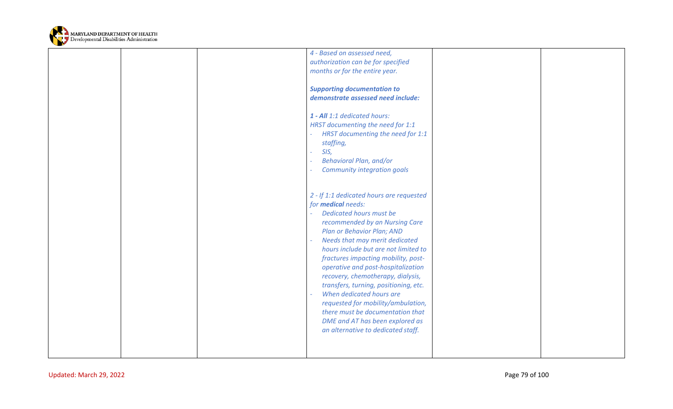

|  | 4 - Based on assessed need,              |  |
|--|------------------------------------------|--|
|  | authorization can be for specified       |  |
|  | months or for the entire year.           |  |
|  |                                          |  |
|  |                                          |  |
|  | <b>Supporting documentation to</b>       |  |
|  | demonstrate assessed need include:       |  |
|  |                                          |  |
|  | 1 - All 1:1 dedicated hours:             |  |
|  | HRST documenting the need for 1:1        |  |
|  | HRST documenting the need for 1:1        |  |
|  | staffing,                                |  |
|  | SIS,                                     |  |
|  |                                          |  |
|  | Behavioral Plan, and/or                  |  |
|  | <b>Community integration goals</b>       |  |
|  |                                          |  |
|  |                                          |  |
|  | 2 - If 1:1 dedicated hours are requested |  |
|  | for <b>medical</b> needs:                |  |
|  | Dedicated hours must be                  |  |
|  | recommended by an Nursing Care           |  |
|  |                                          |  |
|  | Plan or Behavior Plan; AND               |  |
|  | Needs that may merit dedicated           |  |
|  | hours include but are not limited to     |  |
|  | fractures impacting mobility, post-      |  |
|  | operative and post-hospitalization       |  |
|  | recovery, chemotherapy, dialysis,        |  |
|  | transfers, turning, positioning, etc.    |  |
|  | When dedicated hours are                 |  |
|  |                                          |  |
|  | requested for mobility/ambulation,       |  |
|  | there must be documentation that         |  |
|  | DME and AT has been explored as          |  |
|  | an alternative to dedicated staff.       |  |
|  |                                          |  |
|  |                                          |  |
|  |                                          |  |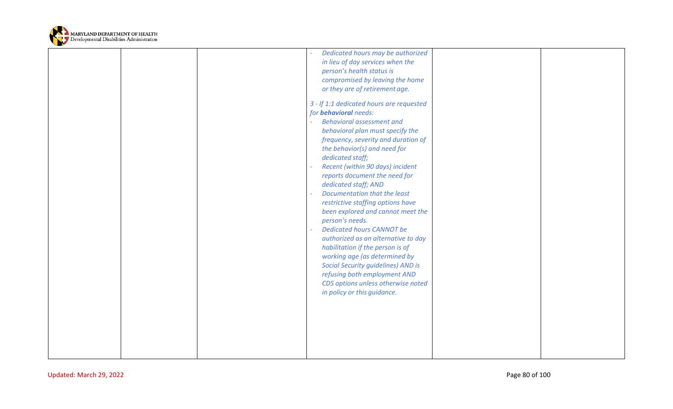

| compromised by leaving the home<br>or they are of retirement age.<br>3 - If 1:1 dedicated hours are requested<br>for <b>behavioral</b> needs:<br><b>Behavioral assessment and</b><br>behavioral plan must specify the<br>frequency, severity and duration of<br>the behavior(s) and need for<br>dedicated staff;<br>Recent (within 90 days) incident<br>reports document the need for<br>dedicated staff; AND<br>Documentation that the least<br>restrictive staffing options have<br>been explored and cannot meet the<br>person's needs.<br><b>Dedicated hours CANNOT be</b><br>authorized as an alternative to day<br>habilitation if the person is of<br>working age (as determined by<br><b>Social Security guidelines) AND is</b><br>refusing both employment AND<br>CDS options unless otherwise noted<br>in policy or this guidance. |  |
|----------------------------------------------------------------------------------------------------------------------------------------------------------------------------------------------------------------------------------------------------------------------------------------------------------------------------------------------------------------------------------------------------------------------------------------------------------------------------------------------------------------------------------------------------------------------------------------------------------------------------------------------------------------------------------------------------------------------------------------------------------------------------------------------------------------------------------------------|--|
| Dedicated hours may be authorized<br>in lieu of day services when the<br>person's health status is                                                                                                                                                                                                                                                                                                                                                                                                                                                                                                                                                                                                                                                                                                                                           |  |
|                                                                                                                                                                                                                                                                                                                                                                                                                                                                                                                                                                                                                                                                                                                                                                                                                                              |  |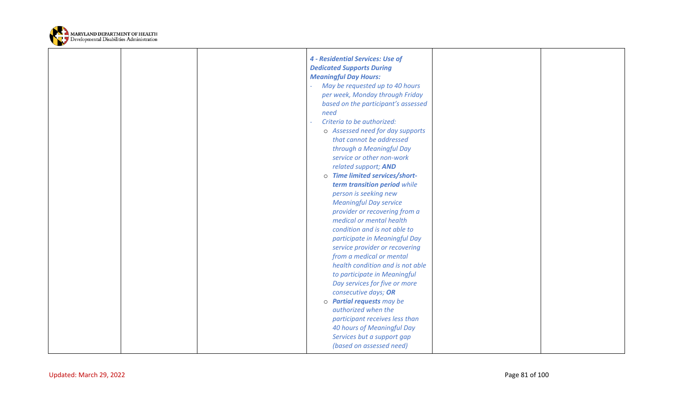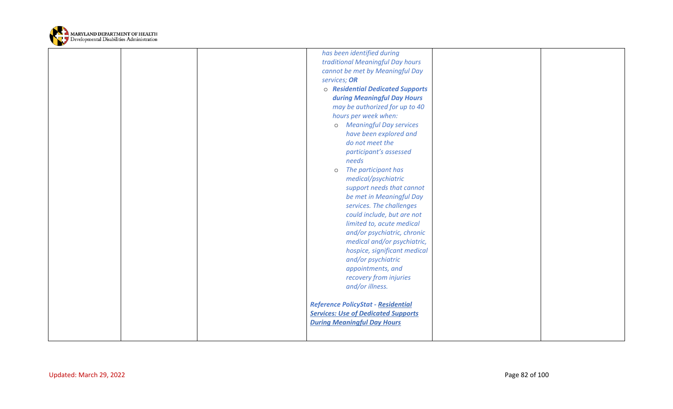

|                         | has been identified during                 |                |
|-------------------------|--------------------------------------------|----------------|
|                         | traditional Meaningful Day hours           |                |
|                         | cannot be met by Meaningful Day            |                |
|                         | services; OR                               |                |
|                         | o Residential Dedicated Supports           |                |
|                         | during Meaningful Day Hours                |                |
|                         | may be authorized for up to 40             |                |
|                         | hours per week when:                       |                |
|                         | o Meaningful Day services                  |                |
|                         | have been explored and                     |                |
|                         | do not meet the                            |                |
|                         | participant's assessed                     |                |
|                         | needs                                      |                |
|                         | The participant has<br>$\circ$             |                |
|                         | medical/psychiatric                        |                |
|                         | support needs that cannot                  |                |
|                         | be met in Meaningful Day                   |                |
|                         | services. The challenges                   |                |
|                         | could include, but are not                 |                |
|                         | limited to, acute medical                  |                |
|                         | and/or psychiatric, chronic                |                |
|                         | medical and/or psychiatric,                |                |
|                         | hospice, significant medical               |                |
|                         | and/or psychiatric                         |                |
|                         | appointments, and                          |                |
|                         | recovery from injuries                     |                |
|                         | and/or illness.                            |                |
|                         |                                            |                |
|                         | Reference PolicyStat - Residential         |                |
|                         | <b>Services: Use of Dedicated Supports</b> |                |
|                         | <b>During Meaningful Day Hours</b>         |                |
|                         |                                            |                |
|                         |                                            |                |
|                         |                                            |                |
|                         |                                            |                |
| Updated: March 29, 2022 |                                            | Page 82 of 100 |
|                         |                                            |                |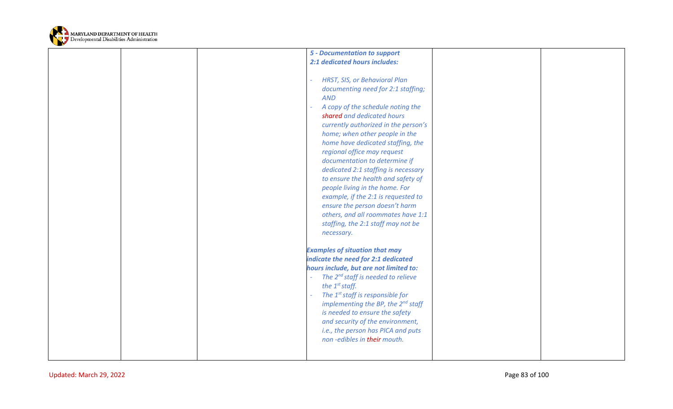

| <b>5 - Documentation to support</b>                                                                                                                                                                                                                                                                                                                                                                                                                                                                                                                                                                                   |  |
|-----------------------------------------------------------------------------------------------------------------------------------------------------------------------------------------------------------------------------------------------------------------------------------------------------------------------------------------------------------------------------------------------------------------------------------------------------------------------------------------------------------------------------------------------------------------------------------------------------------------------|--|
| 2:1 dedicated hours includes:                                                                                                                                                                                                                                                                                                                                                                                                                                                                                                                                                                                         |  |
| HRST, SIS, or Behavioral Plan<br>documenting need for 2:1 staffing;<br><b>AND</b><br>A copy of the schedule noting the<br>shared and dedicated hours<br>currently authorized in the person's<br>home; when other people in the<br>home have dedicated staffing, the<br>regional office may request<br>documentation to determine if<br>dedicated 2:1 staffing is necessary<br>to ensure the health and safety of<br>people living in the home. For<br>example, if the 2:1 is requested to<br>ensure the person doesn't harm<br>others, and all roommates have 1:1<br>staffing, the 2:1 staff may not be<br>necessary. |  |
| <b>Examples of situation that may</b><br>indicate the need for 2:1 dedicated<br>hours include, but are not limited to:<br>The 2 <sup>nd</sup> staff is needed to relieve<br>the $1^{st}$ staff.<br>The 1 <sup>st</sup> staff is responsible for<br>implementing the BP, the $2^{nd}$ staff<br>is needed to ensure the safety<br>and security of the environment,<br>i.e., the person has PICA and puts<br>non-edibles in their mouth.                                                                                                                                                                                 |  |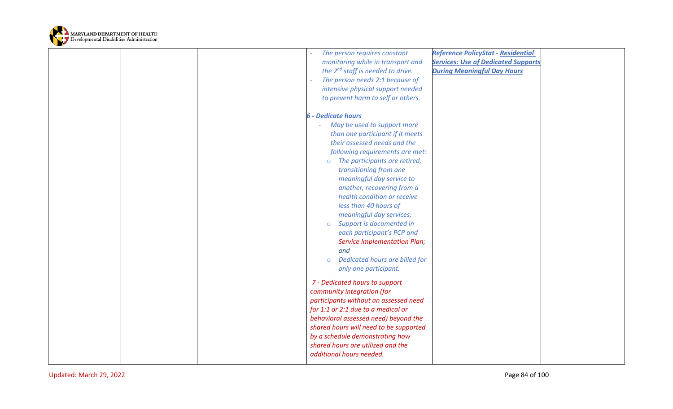

|                         | The person requires constant<br>monitoring while in transport and<br>the 2 <sup>nd</sup> staff is needed to drive.<br>The person needs 2:1 because of<br>intensive physical support needed<br>to prevent harm to self or others.                                                                                                                                                                                                                                                                                                                                                                                                                                                                                                                                                                                                                  | <b>Reference PolicyStat - Residential</b><br><b>Services: Use of Dedicated Supports</b><br><b>During Meaningful Day Hours</b> |  |
|-------------------------|---------------------------------------------------------------------------------------------------------------------------------------------------------------------------------------------------------------------------------------------------------------------------------------------------------------------------------------------------------------------------------------------------------------------------------------------------------------------------------------------------------------------------------------------------------------------------------------------------------------------------------------------------------------------------------------------------------------------------------------------------------------------------------------------------------------------------------------------------|-------------------------------------------------------------------------------------------------------------------------------|--|
|                         | <b>6 - Dedicate hours</b><br>May be used to support more<br>than one participant if it meets<br>their assessed needs and the<br>following requirements are met:<br>The participants are retired,<br>$\circ$<br>transitioning from one<br>meaningful day service to<br>another, recovering from a<br>health condition or receive<br>less than 40 hours of<br>meaningful day services;<br>Support is documented in<br>$\circ$<br>each participant's PCP and<br><b>Service Implementation Plan;</b><br>and<br>Dedicated hours are billed for<br>$\circ$<br>only one participant.<br>7 - Dedicated hours to support<br>community integration (for<br>participants without an assessed need<br>for 1:1 or 2:1 due to a medical or<br>behavioral assessed need) beyond the<br>shared hours will need to be supported<br>by a schedule demonstrating how |                                                                                                                               |  |
|                         | shared hours are utilized and the<br>additional hours needed.                                                                                                                                                                                                                                                                                                                                                                                                                                                                                                                                                                                                                                                                                                                                                                                     |                                                                                                                               |  |
| Updated: March 29, 2022 |                                                                                                                                                                                                                                                                                                                                                                                                                                                                                                                                                                                                                                                                                                                                                                                                                                                   | Page 84 of 100                                                                                                                |  |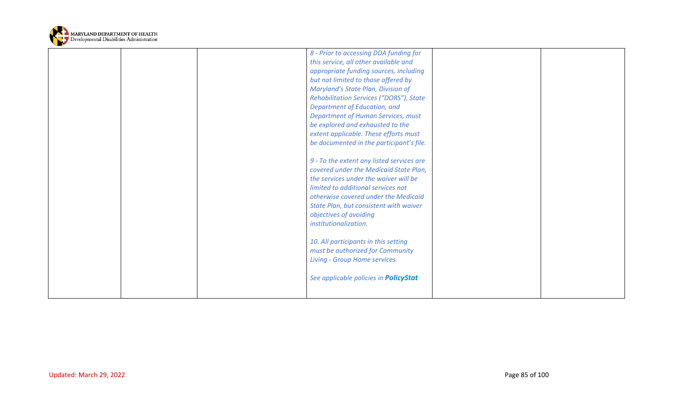

|  | 8 - Prior to accessing DDA funding for<br>this service, all other available and<br>appropriate funding sources, including<br>but not limited to those offered by<br>Maryland's State Plan, Division of<br><b>Rehabilitation Services ("DORS"), State</b><br>Department of Education, and<br><b>Department of Human Services, must</b><br>be explored and exhausted to the<br>extent applicable. These efforts must<br>be documented in the participant's file.<br>9 - To the extent any listed services are<br>covered under the Medicaid State Plan,<br>the services under the waiver will be<br>limited to additional services not<br>otherwise covered under the Medicaid<br>State Plan, but consistent with waiver<br>objectives of avoiding<br>institutionalization. |  |
|--|---------------------------------------------------------------------------------------------------------------------------------------------------------------------------------------------------------------------------------------------------------------------------------------------------------------------------------------------------------------------------------------------------------------------------------------------------------------------------------------------------------------------------------------------------------------------------------------------------------------------------------------------------------------------------------------------------------------------------------------------------------------------------|--|
|  | 10. All participants in this setting<br>must be authorized for Community<br>Living - Group Home services.                                                                                                                                                                                                                                                                                                                                                                                                                                                                                                                                                                                                                                                                 |  |
|  | See applicable policies in <b>PolicyStat</b>                                                                                                                                                                                                                                                                                                                                                                                                                                                                                                                                                                                                                                                                                                                              |  |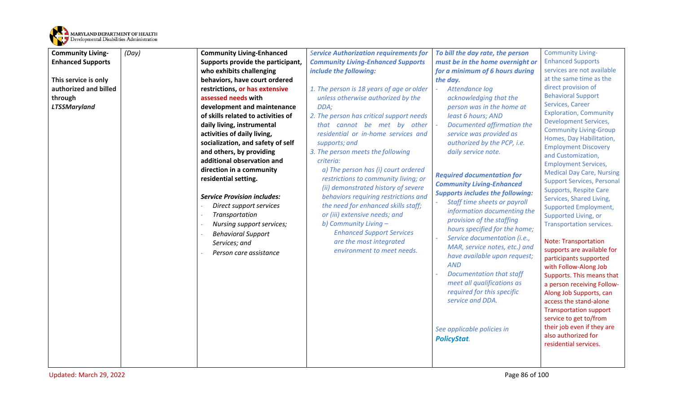

| <b>Community Living-</b> | (Day) | <b>Community Living-Enhanced</b>   | <b>Service Authorization requirements for</b>                        | To bill the day rate, the person        | <b>Community Living-</b>                                      |
|--------------------------|-------|------------------------------------|----------------------------------------------------------------------|-----------------------------------------|---------------------------------------------------------------|
| <b>Enhanced Supports</b> |       | Supports provide the participant,  | <b>Community Living-Enhanced Supports</b>                            | must be in the home overnight or        | <b>Enhanced Supports</b>                                      |
|                          |       | who exhibits challenging           | include the following:                                               | for a minimum of 6 hours during         | services are not available                                    |
| This service is only     |       | behaviors, have court ordered      |                                                                      | the day.                                | at the same time as the                                       |
| authorized and billed    |       | restrictions, or has extensive     | 1. The person is 18 years of age or older                            | Attendance log                          | direct provision of                                           |
| through                  |       | assessed needs with                | unless otherwise authorized by the                                   | acknowledging that the                  | <b>Behavioral Support</b>                                     |
| <b>LTSSMaryland</b>      |       | development and maintenance        | DDA;                                                                 | person was in the home at               | Services, Career                                              |
|                          |       | of skills related to activities of | 2. The person has critical support needs                             | least 6 hours; AND                      | <b>Exploration, Community</b><br><b>Development Services,</b> |
|                          |       | daily living, instrumental         | that cannot be met by other                                          | Documented affirmation the              | <b>Community Living-Group</b>                                 |
|                          |       | activities of daily living,        | residential or in-home services and                                  | service was provided as                 | Homes, Day Habilitation,                                      |
|                          |       | socialization, and safety of self  | supports; and                                                        | authorized by the PCP, i.e.             | <b>Employment Discovery</b>                                   |
|                          |       | and others, by providing           | 3. The person meets the following                                    | daily service note.                     | and Customization,                                            |
|                          |       | additional observation and         | criteria:                                                            |                                         | <b>Employment Services,</b>                                   |
|                          |       | direction in a community           | a) The person has (i) court ordered                                  | <b>Required documentation for</b>       | <b>Medical Day Care, Nursing</b>                              |
|                          |       | residential setting.               | restrictions to community living; or                                 | <b>Community Living-Enhanced</b>        | <b>Support Services, Personal</b>                             |
|                          |       |                                    | (ii) demonstrated history of severe                                  | <b>Supports includes the following:</b> | <b>Supports, Respite Care</b>                                 |
|                          |       | <b>Service Provision includes:</b> | behaviors requiring restrictions and                                 | Staff time sheets or payroll            | Services, Shared Living,                                      |
|                          |       | Direct support services            | the need for enhanced skills staff;<br>or (iii) extensive needs; and | information documenting the             | <b>Supported Employment,</b>                                  |
|                          |       | Transportation                     | b) Community Living -                                                | provision of the staffing               | Supported Living, or                                          |
|                          |       | Nursing support services;          | <b>Enhanced Support Services</b>                                     | hours specified for the home;           | Transportation services.                                      |
|                          |       | <b>Behavioral Support</b>          | are the most integrated                                              | Service documentation (i.e.,            | <b>Note: Transportation</b>                                   |
|                          |       | Services; and                      | environment to meet needs.                                           | MAR, service notes, etc.) and           | supports are available for                                    |
|                          |       | Person care assistance             |                                                                      | have available upon request;            | participants supported                                        |
|                          |       |                                    |                                                                      | <b>AND</b>                              | with Follow-Along Job                                         |
|                          |       |                                    |                                                                      | <b>Documentation that staff</b>         | Supports. This means that                                     |
|                          |       |                                    |                                                                      | meet all qualifications as              | a person receiving Follow-                                    |
|                          |       |                                    |                                                                      | required for this specific              | Along Job Supports, can                                       |
|                          |       |                                    |                                                                      | service and DDA.                        | access the stand-alone                                        |
|                          |       |                                    |                                                                      |                                         | <b>Transportation support</b>                                 |
|                          |       |                                    |                                                                      |                                         | service to get to/from                                        |
|                          |       |                                    |                                                                      | See applicable policies in              | their job even if they are                                    |
|                          |       |                                    |                                                                      | <b>PolicyStat.</b>                      | also authorized for                                           |
|                          |       |                                    |                                                                      |                                         | residential services.                                         |
|                          |       |                                    |                                                                      |                                         |                                                               |
|                          |       |                                    |                                                                      |                                         |                                                               |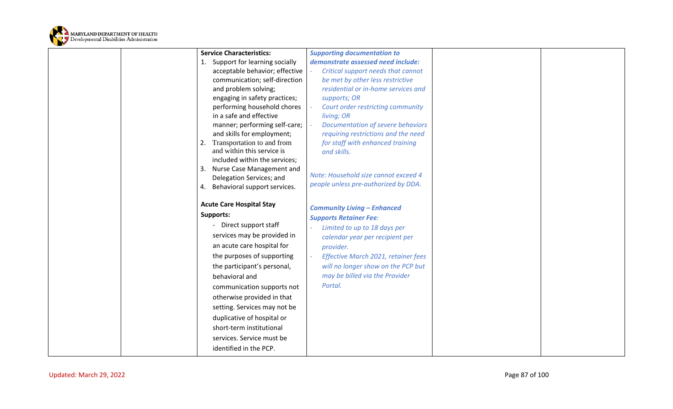

| <b>Service Characteristics:</b>                                                                                                                                                                                                                                                                                                                                                                                                      | <b>Supporting documentation to</b>                                                                                                                                                                                                                                            |  |
|--------------------------------------------------------------------------------------------------------------------------------------------------------------------------------------------------------------------------------------------------------------------------------------------------------------------------------------------------------------------------------------------------------------------------------------|-------------------------------------------------------------------------------------------------------------------------------------------------------------------------------------------------------------------------------------------------------------------------------|--|
| 1. Support for learning socially                                                                                                                                                                                                                                                                                                                                                                                                     | demonstrate assessed need include:                                                                                                                                                                                                                                            |  |
| acceptable behavior; effective                                                                                                                                                                                                                                                                                                                                                                                                       | Critical support needs that cannot                                                                                                                                                                                                                                            |  |
| communication; self-direction                                                                                                                                                                                                                                                                                                                                                                                                        | be met by other less restrictive                                                                                                                                                                                                                                              |  |
| and problem solving;                                                                                                                                                                                                                                                                                                                                                                                                                 | residential or in-home services and                                                                                                                                                                                                                                           |  |
| engaging in safety practices;                                                                                                                                                                                                                                                                                                                                                                                                        | supports; OR                                                                                                                                                                                                                                                                  |  |
| performing household chores                                                                                                                                                                                                                                                                                                                                                                                                          | Court order restricting community                                                                                                                                                                                                                                             |  |
| in a safe and effective                                                                                                                                                                                                                                                                                                                                                                                                              | living; OR                                                                                                                                                                                                                                                                    |  |
| manner; performing self-care;                                                                                                                                                                                                                                                                                                                                                                                                        | Documentation of severe behaviors                                                                                                                                                                                                                                             |  |
| and skills for employment;                                                                                                                                                                                                                                                                                                                                                                                                           | requiring restrictions and the need                                                                                                                                                                                                                                           |  |
| Transportation to and from                                                                                                                                                                                                                                                                                                                                                                                                           | for staff with enhanced training                                                                                                                                                                                                                                              |  |
| and within this service is                                                                                                                                                                                                                                                                                                                                                                                                           | and skills.                                                                                                                                                                                                                                                                   |  |
| included within the services;                                                                                                                                                                                                                                                                                                                                                                                                        |                                                                                                                                                                                                                                                                               |  |
| Nurse Case Management and                                                                                                                                                                                                                                                                                                                                                                                                            | Note: Household size cannot exceed 4                                                                                                                                                                                                                                          |  |
| Delegation Services; and                                                                                                                                                                                                                                                                                                                                                                                                             | people unless pre-authorized by DDA.                                                                                                                                                                                                                                          |  |
| Behavioral support services.<br>4.                                                                                                                                                                                                                                                                                                                                                                                                   |                                                                                                                                                                                                                                                                               |  |
| <b>Acute Care Hospital Stay</b><br><b>Supports:</b><br>Direct support staff<br>services may be provided in<br>an acute care hospital for<br>the purposes of supporting<br>the participant's personal,<br>behavioral and<br>communication supports not<br>otherwise provided in that<br>setting. Services may not be<br>duplicative of hospital or<br>short-term institutional<br>services. Service must be<br>identified in the PCP. | <b>Community Living - Enhanced</b><br><b>Supports Retainer Fee:</b><br>Limited to up to 18 days per<br>calendar year per recipient per<br>provider.<br>Effective March 2021, retainer fees<br>will no longer show on the PCP but<br>may be billed via the Provider<br>Portal. |  |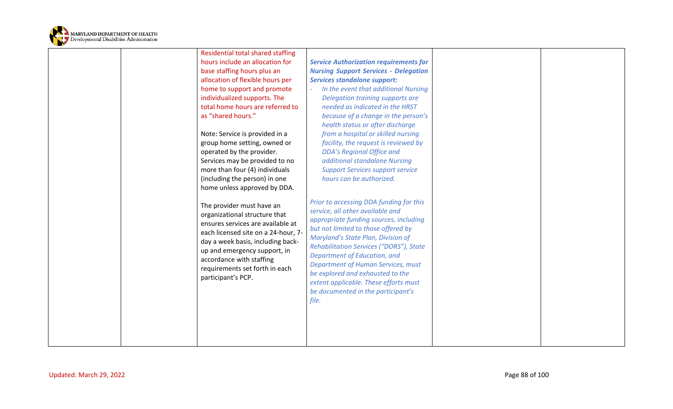

| hours include an allocation for<br>base staffing hours plus an<br>allocation of flexible hours per<br>home to support and promote<br>individualized supports. The<br>total home hours are referred to<br>as "shared hours."<br>Note: Service is provided in a<br>group home setting, owned or<br>operated by the provider.<br>Services may be provided to no<br>more than four (4) individuals<br>(including the person) in one<br>home unless approved by DDA.<br>The provider must have an | <b>Service Authorization requirements for</b><br><b>Nursing Support Services - Delegation</b><br><b>Services standalone support:</b><br>In the event that additional Nursing<br>Delegation training supports are<br>needed as indicated in the HRST<br>because of a change in the person's<br>health status or after discharge<br>from a hospital or skilled nursing<br>facility, the request is reviewed by<br><b>DDA's Regional Office and</b><br>additional standalone Nursing<br><b>Support Services support service</b><br>hours can be authorized.<br>Prior to accessing DDA funding for this |  |
|----------------------------------------------------------------------------------------------------------------------------------------------------------------------------------------------------------------------------------------------------------------------------------------------------------------------------------------------------------------------------------------------------------------------------------------------------------------------------------------------|-----------------------------------------------------------------------------------------------------------------------------------------------------------------------------------------------------------------------------------------------------------------------------------------------------------------------------------------------------------------------------------------------------------------------------------------------------------------------------------------------------------------------------------------------------------------------------------------------------|--|
| organizational structure that<br>ensures services are available at<br>each licensed site on a 24-hour, 7-<br>day a week basis, including back-<br>up and emergency support, in<br>accordance with staffing<br>requirements set forth in each<br>participant's PCP.                                                                                                                                                                                                                           | service, all other available and<br>appropriate funding sources, including<br>but not limited to those offered by<br>Maryland's State Plan, Division of<br>Rehabilitation Services ("DORS"), State<br>Department of Education, and<br><b>Department of Human Services, must</b><br>be explored and exhausted to the<br>extent applicable. These efforts must<br>be documented in the participant's<br>file.                                                                                                                                                                                         |  |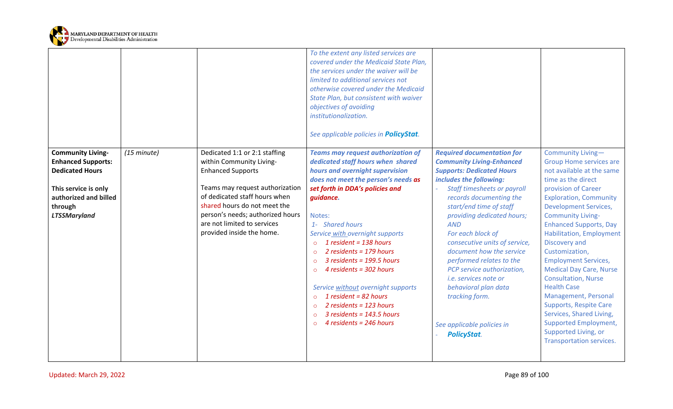

|                                                                                 |             |                                                                                                                                                                                                  | To the extent any listed services are<br>covered under the Medicaid State Plan,<br>the services under the waiver will be<br>limited to additional services not<br>otherwise covered under the Medicaid<br>State Plan, but consistent with waiver<br>objectives of avoiding<br>institutionalization.<br>See applicable policies in <b>PolicyStat</b> .                                                                                                                                                                  |                                                                                                                                                                                                                                                                                                                                                                                                                                           |                                                                                                                                                                                                                                                                                                                                                                                                                                                                                                                                             |
|---------------------------------------------------------------------------------|-------------|--------------------------------------------------------------------------------------------------------------------------------------------------------------------------------------------------|------------------------------------------------------------------------------------------------------------------------------------------------------------------------------------------------------------------------------------------------------------------------------------------------------------------------------------------------------------------------------------------------------------------------------------------------------------------------------------------------------------------------|-------------------------------------------------------------------------------------------------------------------------------------------------------------------------------------------------------------------------------------------------------------------------------------------------------------------------------------------------------------------------------------------------------------------------------------------|---------------------------------------------------------------------------------------------------------------------------------------------------------------------------------------------------------------------------------------------------------------------------------------------------------------------------------------------------------------------------------------------------------------------------------------------------------------------------------------------------------------------------------------------|
| <b>Community Living-</b><br><b>Enhanced Supports:</b>                           | (15 minute) | Dedicated 1:1 or 2:1 staffing<br>within Community Living-                                                                                                                                        | <b>Teams may request authorization of</b><br>dedicated staff hours when shared                                                                                                                                                                                                                                                                                                                                                                                                                                         | <b>Required documentation for</b><br><b>Community Living-Enhanced</b>                                                                                                                                                                                                                                                                                                                                                                     | Community Living-<br><b>Group Home services are</b>                                                                                                                                                                                                                                                                                                                                                                                                                                                                                         |
| <b>Dedicated Hours</b>                                                          |             | <b>Enhanced Supports</b>                                                                                                                                                                         | hours and overnight supervision                                                                                                                                                                                                                                                                                                                                                                                                                                                                                        | <b>Supports: Dedicated Hours</b>                                                                                                                                                                                                                                                                                                                                                                                                          | not available at the same                                                                                                                                                                                                                                                                                                                                                                                                                                                                                                                   |
| This service is only<br>authorized and billed<br>through<br><b>LTSSMaryland</b> |             | Teams may request authorization<br>of dedicated staff hours when<br>shared hours do not meet the<br>person's needs; authorized hours<br>are not limited to services<br>provided inside the home. | does not meet the person's needs as<br>set forth in DDA's policies and<br>guidance.<br>Notes:<br>1- Shared hours<br>Service with overnight supports<br>1 resident = $138$ hours<br>$\circ$<br>2 residents = $179$ hours<br>$\circ$<br>3 residents = 199.5 hours<br>$\circ$<br>4 residents = 302 hours<br>$\Omega$<br>Service without overnight supports<br>1 resident = $82$ hours<br>$\circ$<br>2 residents = $123$ hours<br>$\circ$<br>$3$ residents = 143.5 hours<br>$\circ$<br>4 residents = 246 hours<br>$\Omega$ | includes the following:<br><b>Staff timesheets or payroll</b><br>records documenting the<br>start/end time of staff<br>providing dedicated hours;<br><b>AND</b><br>For each block of<br>consecutive units of service,<br>document how the service<br>performed relates to the<br>PCP service authorization,<br><i>i.e. services note or</i><br>behavioral plan data<br>tracking form.<br>See applicable policies in<br><b>PolicyStat.</b> | time as the direct<br>provision of Career<br><b>Exploration, Community</b><br><b>Development Services,</b><br><b>Community Living-</b><br><b>Enhanced Supports, Day</b><br>Habilitation, Employment<br>Discovery and<br>Customization,<br><b>Employment Services,</b><br><b>Medical Day Care, Nurse</b><br><b>Consultation, Nurse</b><br><b>Health Case</b><br>Management, Personal<br><b>Supports, Respite Care</b><br>Services, Shared Living,<br><b>Supported Employment,</b><br>Supported Living, or<br><b>Transportation services.</b> |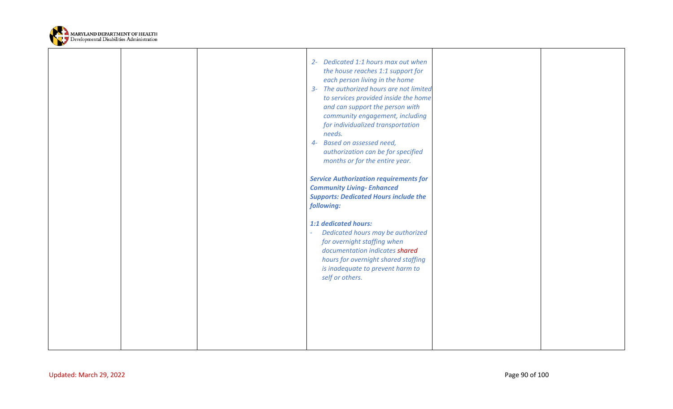

|  | 2- Dedicated 1:1 hours max out when<br>the house reaches 1:1 support for<br>each person living in the home<br>3- The authorized hours are not limited<br>to services provided inside the home<br>and can support the person with<br>community engagement, including<br>for individualized transportation<br>needs.<br>4- Based on assessed need,<br>authorization can be for specified<br>months or for the entire year. |  |
|--|--------------------------------------------------------------------------------------------------------------------------------------------------------------------------------------------------------------------------------------------------------------------------------------------------------------------------------------------------------------------------------------------------------------------------|--|
|  | <b>Service Authorization requirements for</b><br><b>Community Living- Enhanced</b><br><b>Supports: Dedicated Hours include the</b><br>following:                                                                                                                                                                                                                                                                         |  |
|  | 1:1 dedicated hours:<br>Dedicated hours may be authorized<br>for overnight staffing when<br>documentation indicates shared<br>hours for overnight shared staffing<br>is inadequate to prevent harm to<br>self or others.                                                                                                                                                                                                 |  |
|  |                                                                                                                                                                                                                                                                                                                                                                                                                          |  |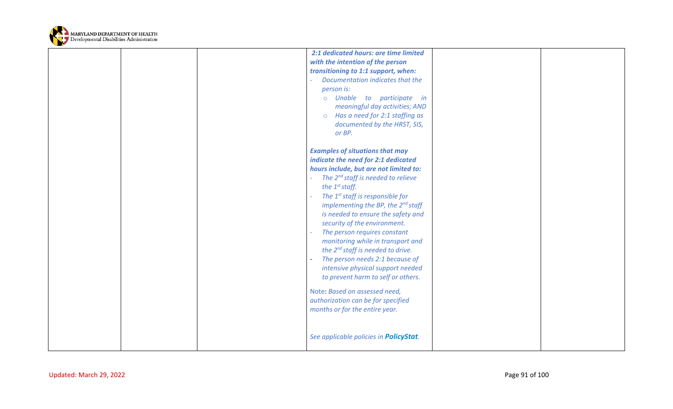

|  | 2:1 dedicated hours: are time limited<br>with the intention of the person<br>transitioning to 1:1 support, when:<br>Documentation indicates that the<br>person is:<br>o Unable to participate in<br>meaningful day activities; AND<br>Has a need for 2:1 staffing as<br>$\circ$<br>documented by the HRST, SIS,<br>or BP.                                                                                                                                                                                                                                                                                                                                                                                      |  |
|--|----------------------------------------------------------------------------------------------------------------------------------------------------------------------------------------------------------------------------------------------------------------------------------------------------------------------------------------------------------------------------------------------------------------------------------------------------------------------------------------------------------------------------------------------------------------------------------------------------------------------------------------------------------------------------------------------------------------|--|
|  | <b>Examples of situations that may</b><br>indicate the need for 2:1 dedicated<br>hours include, but are not limited to:<br>The 2 <sup>nd</sup> staff is needed to relieve<br>the $1^{st}$ staff.<br>The 1 <sup>st</sup> staff is responsible for<br>implementing the BP, the $2^{nd}$ staff<br>is needed to ensure the safety and<br>security of the environment.<br>The person requires constant<br>monitoring while in transport and<br>the 2 <sup>nd</sup> staff is needed to drive.<br>The person needs 2:1 because of<br>intensive physical support needed<br>to prevent harm to self or others.<br>Note: Based on assessed need,<br>authorization can be for specified<br>months or for the entire year. |  |
|  | See applicable policies in <b>PolicyStat</b> .                                                                                                                                                                                                                                                                                                                                                                                                                                                                                                                                                                                                                                                                 |  |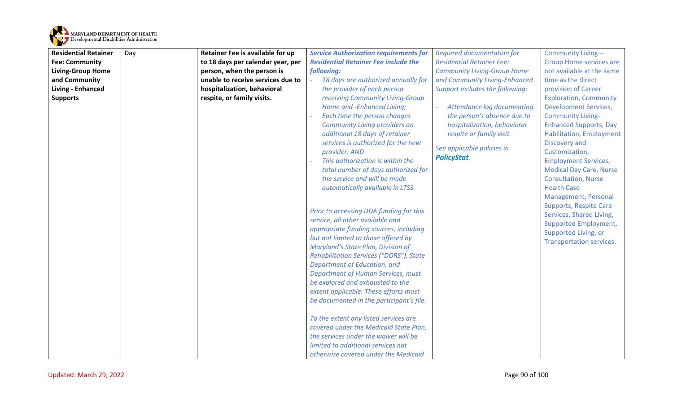

| <b>Residential Retainer</b> | Day | Retainer Fee is available for up  | <b>Service Authorization requirements for</b> | <b>Required documentation for</b>  | Community Living-               |
|-----------------------------|-----|-----------------------------------|-----------------------------------------------|------------------------------------|---------------------------------|
| <b>Fee: Community</b>       |     | to 18 days per calendar year, per | <b>Residential Retainer Fee include the</b>   | <b>Residential Retainer Fee:</b>   | <b>Group Home services are</b>  |
| <b>Living-Group Home</b>    |     | person, when the person is        | following:                                    | <b>Community Living-Group Home</b> | not available at the same       |
| and Community               |     | unable to receive services due to | 18 days are authorized annually for           | and Community Living-Enhanced      | time as the direct              |
| Living - Enhanced           |     | hospitalization, behavioral       | the provider of each person                   | Support includes the following:    | provision of Career             |
| <b>Supports</b>             |     | respite, or family visits.        | receiving Community Living-Group              |                                    | <b>Exploration, Community</b>   |
|                             |     |                                   | Home and -Enhanced Living;                    | Attendance log documenting         | <b>Development Services,</b>    |
|                             |     |                                   | Each time the person changes                  | the person's absence due to        | <b>Community Living-</b>        |
|                             |     |                                   | Community Living providers an                 | hospitalization, behavioral        | <b>Enhanced Supports, Day</b>   |
|                             |     |                                   | additional 18 days of retainer                | respite or family visit.           | <b>Habilitation, Employment</b> |
|                             |     |                                   | services is authorized for the new            | See applicable policies in         | Discovery and                   |
|                             |     |                                   | provider; AND                                 | <b>PolicyStat.</b>                 | Customization,                  |
|                             |     |                                   | This authorization is within the              |                                    | <b>Employment Services,</b>     |
|                             |     |                                   | total number of days authorized for           |                                    | <b>Medical Day Care, Nurse</b>  |
|                             |     |                                   | the service and will be made                  |                                    | <b>Consultation, Nurse</b>      |
|                             |     |                                   | automatically available in LTSS.              |                                    | <b>Health Case</b>              |
|                             |     |                                   |                                               |                                    | Management, Personal            |
|                             |     |                                   | Prior to accessing DDA funding for this       |                                    | <b>Supports, Respite Care</b>   |
|                             |     |                                   | service, all other available and              |                                    | Services, Shared Living,        |
|                             |     |                                   | appropriate funding sources, including        |                                    | <b>Supported Employment,</b>    |
|                             |     |                                   | but not limited to those offered by           |                                    | Supported Living, or            |
|                             |     |                                   | Maryland's State Plan, Division of            |                                    | <b>Transportation services.</b> |
|                             |     |                                   | Rehabilitation Services ("DORS"), State       |                                    |                                 |
|                             |     |                                   | Department of Education, and                  |                                    |                                 |
|                             |     |                                   | <b>Department of Human Services, must</b>     |                                    |                                 |
|                             |     |                                   | be explored and exhausted to the              |                                    |                                 |
|                             |     |                                   | extent applicable. These efforts must         |                                    |                                 |
|                             |     |                                   | be documented in the participant's file.      |                                    |                                 |
|                             |     |                                   |                                               |                                    |                                 |
|                             |     |                                   | To the extent any listed services are         |                                    |                                 |
|                             |     |                                   | covered under the Medicaid State Plan,        |                                    |                                 |
|                             |     |                                   | the services under the waiver will be         |                                    |                                 |
|                             |     |                                   | limited to additional services not            |                                    |                                 |
|                             |     |                                   | otherwise covered under the Medicaid          |                                    |                                 |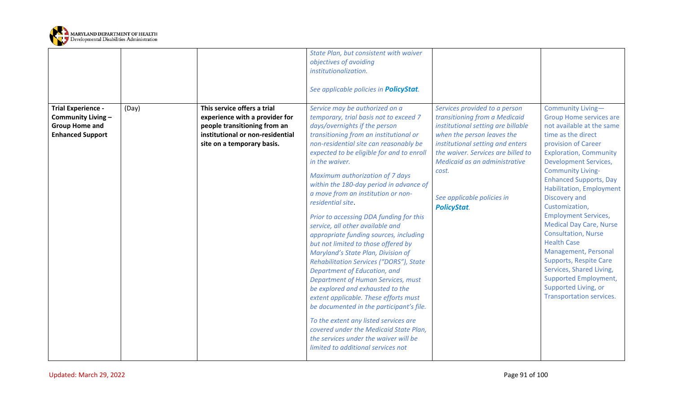

|                                                                                                     |       |                                                                                                                                                                 | State Plan, but consistent with waiver<br>objectives of avoiding<br>institutionalization.<br>See applicable policies in <b>PolicyStat</b> .                                                                                                                                                                                                                                                                                                                                                                                                                                                                                                                                                                                                                                                                                                                                                                                                                                                                                    |                                                                                                                                                                                                                                                                                                            |                                                                                                                                                                                                                                                                                                                                                                                                                                                                                                                                                                                                                                        |
|-----------------------------------------------------------------------------------------------------|-------|-----------------------------------------------------------------------------------------------------------------------------------------------------------------|--------------------------------------------------------------------------------------------------------------------------------------------------------------------------------------------------------------------------------------------------------------------------------------------------------------------------------------------------------------------------------------------------------------------------------------------------------------------------------------------------------------------------------------------------------------------------------------------------------------------------------------------------------------------------------------------------------------------------------------------------------------------------------------------------------------------------------------------------------------------------------------------------------------------------------------------------------------------------------------------------------------------------------|------------------------------------------------------------------------------------------------------------------------------------------------------------------------------------------------------------------------------------------------------------------------------------------------------------|----------------------------------------------------------------------------------------------------------------------------------------------------------------------------------------------------------------------------------------------------------------------------------------------------------------------------------------------------------------------------------------------------------------------------------------------------------------------------------------------------------------------------------------------------------------------------------------------------------------------------------------|
| <b>Trial Experience -</b><br>Community Living -<br><b>Group Home and</b><br><b>Enhanced Support</b> | (Day) | This service offers a trial<br>experience with a provider for<br>people transitioning from an<br>institutional or non-residential<br>site on a temporary basis. | Service may be authorized on a<br>temporary, trial basis not to exceed 7<br>days/overnights if the person<br>transitioning from an institutional or<br>non-residential site can reasonably be<br>expected to be eligible for and to enroll<br>in the waiver.<br>Maximum authorization of 7 days<br>within the 180-day period in advance of<br>a move from an institution or non-<br>residential site.<br>Prior to accessing DDA funding for this<br>service, all other available and<br>appropriate funding sources, including<br>but not limited to those offered by<br>Maryland's State Plan, Division of<br>Rehabilitation Services ("DORS"), State<br>Department of Education, and<br><b>Department of Human Services, must</b><br>be explored and exhausted to the<br>extent applicable. These efforts must<br>be documented in the participant's file.<br>To the extent any listed services are<br>covered under the Medicaid State Plan,<br>the services under the waiver will be<br>limited to additional services not | Services provided to a person<br>transitioning from a Medicaid<br>institutional setting are billable<br>when the person leaves the<br>institutional setting and enters<br>the waiver. Services are billed to<br>Medicaid as an administrative<br>cost.<br>See applicable policies in<br><b>PolicyStat.</b> | Community Living-<br><b>Group Home services are</b><br>not available at the same<br>time as the direct<br>provision of Career<br><b>Exploration, Community</b><br><b>Development Services,</b><br><b>Community Living-</b><br><b>Enhanced Supports, Day</b><br><b>Habilitation, Employment</b><br>Discovery and<br>Customization,<br><b>Employment Services,</b><br><b>Medical Day Care, Nurse</b><br><b>Consultation, Nurse</b><br><b>Health Case</b><br>Management, Personal<br><b>Supports, Respite Care</b><br>Services, Shared Living,<br><b>Supported Employment,</b><br>Supported Living, or<br><b>Transportation services.</b> |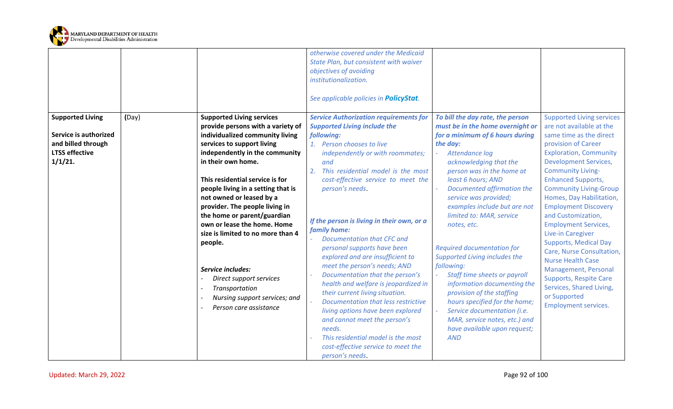

|                                  |       |                                                                                                                                                                                                                                                                                                                                                                                | otherwise covered under the Medicaid<br>State Plan, but consistent with waiver<br>objectives of avoiding<br>institutionalization.<br>See applicable policies in <b>PolicyStat</b> .                                                                                                                                                                                                                                                                                                                                                                                                                                                 |                                                                                                                                                                                                                                                                                                                                                                                                                                                                                                                  |                                                                                                                                                                                                                                                                                                                                                                                                                                                          |
|----------------------------------|-------|--------------------------------------------------------------------------------------------------------------------------------------------------------------------------------------------------------------------------------------------------------------------------------------------------------------------------------------------------------------------------------|-------------------------------------------------------------------------------------------------------------------------------------------------------------------------------------------------------------------------------------------------------------------------------------------------------------------------------------------------------------------------------------------------------------------------------------------------------------------------------------------------------------------------------------------------------------------------------------------------------------------------------------|------------------------------------------------------------------------------------------------------------------------------------------------------------------------------------------------------------------------------------------------------------------------------------------------------------------------------------------------------------------------------------------------------------------------------------------------------------------------------------------------------------------|----------------------------------------------------------------------------------------------------------------------------------------------------------------------------------------------------------------------------------------------------------------------------------------------------------------------------------------------------------------------------------------------------------------------------------------------------------|
| <b>Supported Living</b>          | (Day) | <b>Supported Living services</b><br>provide persons with a variety of                                                                                                                                                                                                                                                                                                          | <b>Service Authorization requirements for</b><br><b>Supported Living include the</b>                                                                                                                                                                                                                                                                                                                                                                                                                                                                                                                                                | To bill the day rate, the person<br>must be in the home overnight or                                                                                                                                                                                                                                                                                                                                                                                                                                             | <b>Supported Living services</b><br>are not available at the                                                                                                                                                                                                                                                                                                                                                                                             |
| Service is authorized            |       | individualized community living                                                                                                                                                                                                                                                                                                                                                | following:                                                                                                                                                                                                                                                                                                                                                                                                                                                                                                                                                                                                                          | for a minimum of 6 hours during                                                                                                                                                                                                                                                                                                                                                                                                                                                                                  | same time as the direct                                                                                                                                                                                                                                                                                                                                                                                                                                  |
| and billed through               |       | services to support living                                                                                                                                                                                                                                                                                                                                                     | 1. Person chooses to live                                                                                                                                                                                                                                                                                                                                                                                                                                                                                                                                                                                                           | the day:                                                                                                                                                                                                                                                                                                                                                                                                                                                                                                         | provision of Career                                                                                                                                                                                                                                                                                                                                                                                                                                      |
| <b>LTSS effective</b><br>1/1/21. |       | independently in the community<br>in their own home.                                                                                                                                                                                                                                                                                                                           | independently or with roommates;<br>and                                                                                                                                                                                                                                                                                                                                                                                                                                                                                                                                                                                             | Attendance log<br>acknowledging that the                                                                                                                                                                                                                                                                                                                                                                                                                                                                         | <b>Exploration, Community</b><br><b>Development Services,</b>                                                                                                                                                                                                                                                                                                                                                                                            |
|                                  |       | This residential service is for<br>people living in a setting that is<br>not owned or leased by a<br>provider. The people living in<br>the home or parent/guardian<br>own or lease the home. Home<br>size is limited to no more than 4<br>people.<br>Service includes:<br>Direct support services<br>Transportation<br>Nursing support services; and<br>Person care assistance | This residential model is the most<br>2.<br>cost-effective service to meet the<br>person's needs.<br>If the person is living in their own, or a<br>family home:<br>Documentation that CFC and<br>personal supports have been<br>explored and are insufficient to<br>meet the person's needs; AND<br>Documentation that the person's<br>health and welfare is jeopardized in<br>their current living situation.<br>Documentation that less restrictive<br>living options have been explored<br>and cannot meet the person's<br>needs.<br>This residential model is the most<br>cost-effective service to meet the<br>person's needs. | person was in the home at<br>least 6 hours; AND<br>Documented affirmation the<br>service was provided;<br>examples include but are not<br>limited to: MAR, service<br>notes, etc.<br><b>Required documentation for</b><br>Supported Living includes the<br>following:<br>Staff time sheets or payroll<br>information documenting the<br>provision of the staffing<br>hours specified for the home;<br>Service documentation (i.e.<br>MAR, service notes, etc.) and<br>have available upon request;<br><b>AND</b> | <b>Community Living-</b><br><b>Enhanced Supports,</b><br><b>Community Living-Group</b><br>Homes, Day Habilitation,<br><b>Employment Discovery</b><br>and Customization,<br><b>Employment Services,</b><br>Live-in Caregiver<br><b>Supports, Medical Day</b><br>Care, Nurse Consultation,<br><b>Nurse Health Case</b><br>Management, Personal<br><b>Supports, Respite Care</b><br>Services, Shared Living,<br>or Supported<br><b>Employment services.</b> |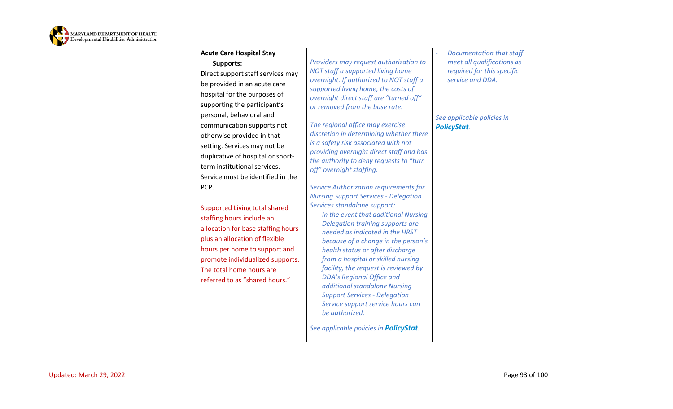

| <b>Supports:</b><br>Direct support staff services may<br>be provided in an acute care<br>hospital for the purposes of<br>supporting the participant's<br>personal, behavioral and<br>communication supports not<br>otherwise provided in that<br>setting. Services may not be<br>duplicative of hospital or short-<br>term institutional services.<br>Service must be identified in the<br>PCP.<br>Supported Living total shared<br>staffing hours include an<br>allocation for base staffing hours<br>plus an allocation of flexible<br>hours per home to support and<br>promote individualized supports.<br>facility, the request is reviewed by<br>The total home hours are<br><b>DDA's Regional Office and</b><br>referred to as "shared hours."<br>additional standalone Nursing<br><b>Support Services - Delegation</b> | meet all qualifications as<br>Providers may request authorization to<br>NOT staff a supported living home<br>required for this specific<br>overnight. If authorized to NOT staff a<br>service and DDA.<br>supported living home, the costs of<br>overnight direct staff are "turned off"<br>or removed from the base rate.<br>See applicable policies in<br>The regional office may exercise<br><b>PolicyStat.</b><br>discretion in determining whether there<br>is a safety risk associated with not<br>providing overnight direct staff and has<br>the authority to deny requests to "turn<br>off" overnight staffing.<br>Service Authorization requirements for<br><b>Nursing Support Services - Delegation</b><br>Services standalone support:<br>In the event that additional Nursing<br>Delegation training supports are<br>needed as indicated in the HRST<br>because of a change in the person's<br>health status or after discharge<br>from a hospital or skilled nursing |  |
|-------------------------------------------------------------------------------------------------------------------------------------------------------------------------------------------------------------------------------------------------------------------------------------------------------------------------------------------------------------------------------------------------------------------------------------------------------------------------------------------------------------------------------------------------------------------------------------------------------------------------------------------------------------------------------------------------------------------------------------------------------------------------------------------------------------------------------|------------------------------------------------------------------------------------------------------------------------------------------------------------------------------------------------------------------------------------------------------------------------------------------------------------------------------------------------------------------------------------------------------------------------------------------------------------------------------------------------------------------------------------------------------------------------------------------------------------------------------------------------------------------------------------------------------------------------------------------------------------------------------------------------------------------------------------------------------------------------------------------------------------------------------------------------------------------------------------|--|
|-------------------------------------------------------------------------------------------------------------------------------------------------------------------------------------------------------------------------------------------------------------------------------------------------------------------------------------------------------------------------------------------------------------------------------------------------------------------------------------------------------------------------------------------------------------------------------------------------------------------------------------------------------------------------------------------------------------------------------------------------------------------------------------------------------------------------------|------------------------------------------------------------------------------------------------------------------------------------------------------------------------------------------------------------------------------------------------------------------------------------------------------------------------------------------------------------------------------------------------------------------------------------------------------------------------------------------------------------------------------------------------------------------------------------------------------------------------------------------------------------------------------------------------------------------------------------------------------------------------------------------------------------------------------------------------------------------------------------------------------------------------------------------------------------------------------------|--|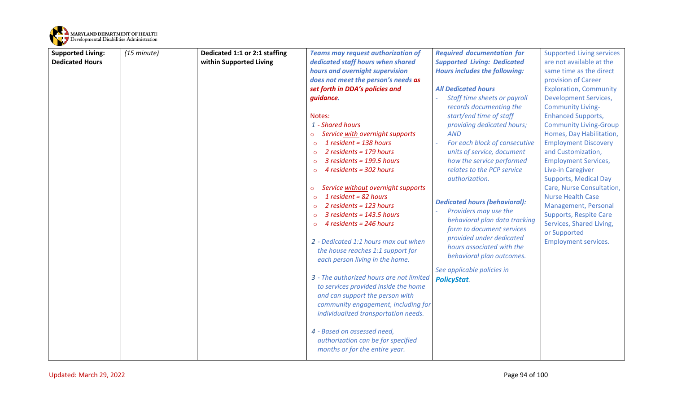

| <b>Supported Living:</b> | (15 minute) | Dedicated 1:1 or 2:1 staffing | <b>Teams may request authorization of</b>                                | <b>Required documentation for</b>            | <b>Supported Living services</b>                          |
|--------------------------|-------------|-------------------------------|--------------------------------------------------------------------------|----------------------------------------------|-----------------------------------------------------------|
| <b>Dedicated Hours</b>   |             | within Supported Living       | dedicated staff hours when shared                                        | <b>Supported Living: Dedicated</b>           | are not available at the                                  |
|                          |             |                               | hours and overnight supervision                                          | <b>Hours includes the following:</b>         | same time as the direct                                   |
|                          |             |                               | does not meet the person's needs as                                      |                                              | provision of Career                                       |
|                          |             |                               | set forth in DDA's policies and                                          | <b>All Dedicated hours</b>                   | <b>Exploration, Community</b>                             |
|                          |             |                               | guidance.                                                                | Staff time sheets or payroll                 | <b>Development Services,</b>                              |
|                          |             |                               |                                                                          | records documenting the                      | <b>Community Living-</b>                                  |
|                          |             |                               | Notes:                                                                   | start/end time of staff                      | <b>Enhanced Supports,</b>                                 |
|                          |             |                               | 1 - Shared hours                                                         | providing dedicated hours;                   | <b>Community Living-Group</b>                             |
|                          |             |                               | Service with overnight supports<br>$\circ$                               | <b>AND</b>                                   | Homes, Day Habilitation,                                  |
|                          |             |                               | 1 resident = $138$ hours<br>$\circ$                                      | For each block of consecutive                | <b>Employment Discovery</b>                               |
|                          |             |                               | 2 residents = 179 hours<br>$\circ$                                       | units of service, document                   | and Customization,                                        |
|                          |             |                               | $3$ residents = 199.5 hours<br>$\Omega$                                  | how the service performed                    | <b>Employment Services,</b>                               |
|                          |             |                               | 4 residents = 302 hours<br>$\Omega$                                      | relates to the PCP service<br>authorization. | Live-in Caregiver                                         |
|                          |             |                               |                                                                          |                                              | <b>Supports, Medical Day</b><br>Care, Nurse Consultation, |
|                          |             |                               | Service without overnight supports<br>$\circ$<br>1 resident = $82$ hours |                                              | <b>Nurse Health Case</b>                                  |
|                          |             |                               | $\Omega$<br>2 residents = 123 hours<br>$\circ$                           | <b>Dedicated hours (behavioral):</b>         | Management, Personal                                      |
|                          |             |                               | $3$ residents = 143.5 hours<br>$\Omega$                                  | Providers may use the                        | <b>Supports, Respite Care</b>                             |
|                          |             |                               | 4 residents = 246 hours<br>$\Omega$                                      | behavioral plan data tracking                | Services, Shared Living,                                  |
|                          |             |                               |                                                                          | form to document services                    | or Supported                                              |
|                          |             |                               | 2 - Dedicated 1:1 hours max out when                                     | provided under dedicated                     | <b>Employment services.</b>                               |
|                          |             |                               | the house reaches 1:1 support for                                        | hours associated with the                    |                                                           |
|                          |             |                               | each person living in the home.                                          | behavioral plan outcomes.                    |                                                           |
|                          |             |                               |                                                                          | See applicable policies in                   |                                                           |
|                          |             |                               | 3 - The authorized hours are not limited                                 | <b>PolicyStat.</b>                           |                                                           |
|                          |             |                               | to services provided inside the home                                     |                                              |                                                           |
|                          |             |                               | and can support the person with                                          |                                              |                                                           |
|                          |             |                               | community engagement, including for                                      |                                              |                                                           |
|                          |             |                               | individualized transportation needs.                                     |                                              |                                                           |
|                          |             |                               |                                                                          |                                              |                                                           |
|                          |             |                               | 4 - Based on assessed need,                                              |                                              |                                                           |
|                          |             |                               | authorization can be for specified                                       |                                              |                                                           |
|                          |             |                               | months or for the entire year.                                           |                                              |                                                           |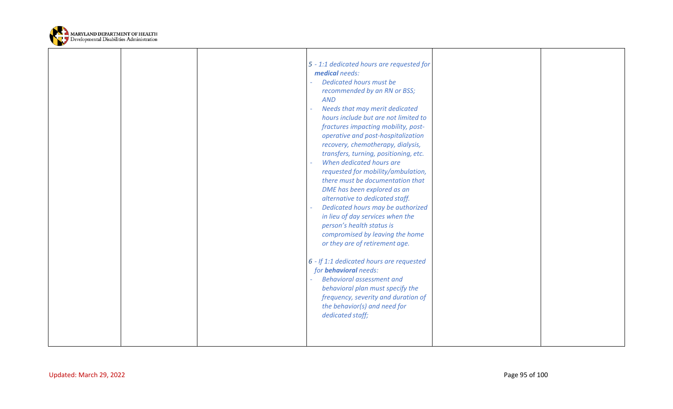

|                         |  | 5 - 1:1 dedicated hours are requested for<br>medical needs:<br>Dedicated hours must be<br>recommended by an RN or BSS;<br><b>AND</b><br>Needs that may merit dedicated<br>hours include but are not limited to<br>fractures impacting mobility, post-<br>operative and post-hospitalization<br>recovery, chemotherapy, dialysis,<br>transfers, turning, positioning, etc.<br>When dedicated hours are<br>requested for mobility/ambulation,<br>there must be documentation that<br>DME has been explored as an<br>alternative to dedicated staff.<br>Dedicated hours may be authorized<br>in lieu of day services when the<br>person's health status is<br>compromised by leaving the home<br>or they are of retirement age.<br>6 - If 1:1 dedicated hours are requested<br>for <b>behavioral</b> needs:<br><b>Behavioral assessment and</b><br>behavioral plan must specify the<br>frequency, severity and duration of<br>the behavior(s) and need for<br>dedicated staff; |                |  |
|-------------------------|--|-----------------------------------------------------------------------------------------------------------------------------------------------------------------------------------------------------------------------------------------------------------------------------------------------------------------------------------------------------------------------------------------------------------------------------------------------------------------------------------------------------------------------------------------------------------------------------------------------------------------------------------------------------------------------------------------------------------------------------------------------------------------------------------------------------------------------------------------------------------------------------------------------------------------------------------------------------------------------------|----------------|--|
| Updated: March 29, 2022 |  |                                                                                                                                                                                                                                                                                                                                                                                                                                                                                                                                                                                                                                                                                                                                                                                                                                                                                                                                                                             | Page 95 of 100 |  |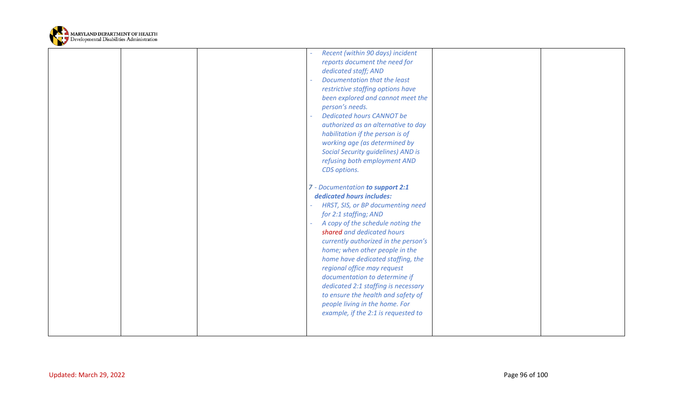

|                         | Recent (within 90 days) incident<br>reports document the need for<br>dedicated staff; AND<br>Documentation that the least<br>restrictive staffing options have<br>been explored and cannot meet the<br>person's needs.<br><b>Dedicated hours CANNOT be</b><br>authorized as an alternative to day<br>habilitation if the person is of<br>working age (as determined by<br><b>Social Security guidelines) AND is</b><br>refusing both employment AND<br>CDS options.<br>7 - Documentation to support 2:1<br>dedicated hours includes:<br>HRST, SIS, or BP documenting need<br>for 2:1 staffing; AND<br>A copy of the schedule noting the<br>shared and dedicated hours<br>currently authorized in the person's<br>home; when other people in the<br>home have dedicated staffing, the<br>regional office may request<br>documentation to determine if<br>dedicated 2:1 staffing is necessary<br>to ensure the health and safety of<br>people living in the home. For<br>example, if the 2:1 is requested to |                |
|-------------------------|------------------------------------------------------------------------------------------------------------------------------------------------------------------------------------------------------------------------------------------------------------------------------------------------------------------------------------------------------------------------------------------------------------------------------------------------------------------------------------------------------------------------------------------------------------------------------------------------------------------------------------------------------------------------------------------------------------------------------------------------------------------------------------------------------------------------------------------------------------------------------------------------------------------------------------------------------------------------------------------------------------|----------------|
| Updated: March 29, 2022 |                                                                                                                                                                                                                                                                                                                                                                                                                                                                                                                                                                                                                                                                                                                                                                                                                                                                                                                                                                                                            | Page 96 of 100 |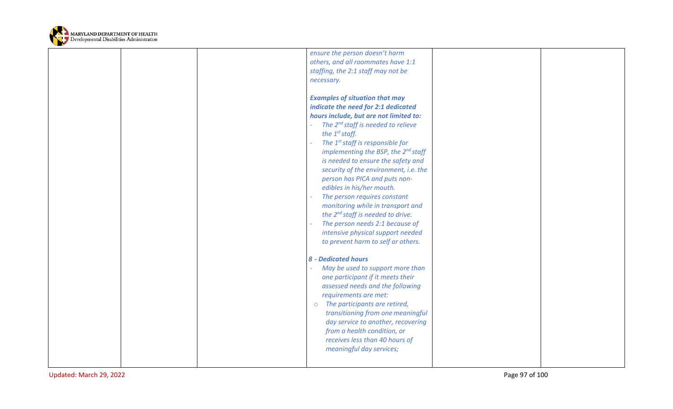

|  | ensure the person doesn't harm<br>others, and all roommates have 1:1<br>staffing, the 2:1 staff may not be<br>necessary.                                                                                                                                                                                                                                                                                                                                                                                                                                                                                                                                                     |  |
|--|------------------------------------------------------------------------------------------------------------------------------------------------------------------------------------------------------------------------------------------------------------------------------------------------------------------------------------------------------------------------------------------------------------------------------------------------------------------------------------------------------------------------------------------------------------------------------------------------------------------------------------------------------------------------------|--|
|  | <b>Examples of situation that may</b><br>indicate the need for 2:1 dedicated<br>hours include, but are not limited to:<br>The $2^{nd}$ staff is needed to relieve<br>the $1^{st}$ staff.<br>The 1 <sup>st</sup> staff is responsible for<br>implementing the BSP, the 2 <sup>nd</sup> staff<br>is needed to ensure the safety and<br>security of the environment, i.e. the<br>person has PICA and puts non-<br>edibles in his/her mouth.<br>The person requires constant<br>monitoring while in transport and<br>the 2 <sup>nd</sup> staff is needed to drive.<br>The person needs 2:1 because of<br>intensive physical support needed<br>to prevent harm to self or others. |  |
|  | 8 - Dedicated hours<br>May be used to support more than<br>one participant if it meets their<br>assessed needs and the following<br>requirements are met:<br>The participants are retired,<br>$\circ$<br>transitioning from one meaningful<br>day service to another, recovering<br>from a health condition, or<br>receives less than 40 hours of<br>meaningful day services;                                                                                                                                                                                                                                                                                                |  |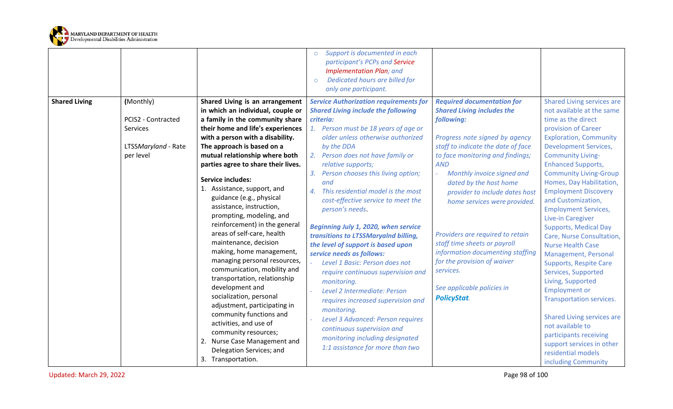

|                      |                                                                                 |                                                                                                                                                                                                                                                                                                                                                                                                                                                                                                                                                                                                                                                                                                                                                                                                                                                                                                        | Support is documented in each<br>$\circ$<br>participant's PCPs and Service<br><b>Implementation Plan; and</b><br>Dedicated hours are billed for<br>$\circ$<br>only one participant.                                                                                                                                                                                                                                                                                                                                                                                                                                                                                                                                                                                                                                                                                                                |                                                                                                                                                                                                                                                                                                                                                                                                                                                                                                                                                              |                                                                                                                                                                                                                                                                                                                                                                                                                                                                                                                                                                                                                                                                                                                                                                                                                            |
|----------------------|---------------------------------------------------------------------------------|--------------------------------------------------------------------------------------------------------------------------------------------------------------------------------------------------------------------------------------------------------------------------------------------------------------------------------------------------------------------------------------------------------------------------------------------------------------------------------------------------------------------------------------------------------------------------------------------------------------------------------------------------------------------------------------------------------------------------------------------------------------------------------------------------------------------------------------------------------------------------------------------------------|----------------------------------------------------------------------------------------------------------------------------------------------------------------------------------------------------------------------------------------------------------------------------------------------------------------------------------------------------------------------------------------------------------------------------------------------------------------------------------------------------------------------------------------------------------------------------------------------------------------------------------------------------------------------------------------------------------------------------------------------------------------------------------------------------------------------------------------------------------------------------------------------------|--------------------------------------------------------------------------------------------------------------------------------------------------------------------------------------------------------------------------------------------------------------------------------------------------------------------------------------------------------------------------------------------------------------------------------------------------------------------------------------------------------------------------------------------------------------|----------------------------------------------------------------------------------------------------------------------------------------------------------------------------------------------------------------------------------------------------------------------------------------------------------------------------------------------------------------------------------------------------------------------------------------------------------------------------------------------------------------------------------------------------------------------------------------------------------------------------------------------------------------------------------------------------------------------------------------------------------------------------------------------------------------------------|
| <b>Shared Living</b> | (Monthly)<br>PCIS2 - Contracted<br>Services<br>LTSSMaryland - Rate<br>per level | Shared Living is an arrangement<br>in which an individual, couple or<br>a family in the community share<br>their home and life's experiences<br>with a person with a disability.<br>The approach is based on a<br>mutual relationship where both<br>parties agree to share their lives.<br><b>Service includes:</b><br>1. Assistance, support, and<br>guidance (e.g., physical<br>assistance, instruction,<br>prompting, modeling, and<br>reinforcement) in the general<br>areas of self-care, health<br>maintenance, decision<br>making, home management,<br>managing personal resources,<br>communication, mobility and<br>transportation, relationship<br>development and<br>socialization, personal<br>adjustment, participating in<br>community functions and<br>activities, and use of<br>community resources;<br>2. Nurse Case Management and<br>Delegation Services; and<br>3. Transportation. | <b>Service Authorization requirements for</b><br><b>Shared Living include the following</b><br>criteria:<br>1. Person must be 18 years of age or<br>older unless otherwise authorized<br>by the DDA<br>Person does not have family or<br>2.<br>relative supports;<br>Person chooses this living option;<br>3.<br>and<br>This residential model is the most<br>4.<br>cost-effective service to meet the<br>person's needs.<br>Beginning July 1, 2020, when service<br>transitions to LTSSMaryalnd billing,<br>the level of support is based upon<br>service needs as follows:<br>Level 1 Basic: Person does not<br>require continuous supervision and<br>monitoring.<br>Level 2 Intermediate: Person<br>requires increased supervision and<br>monitoring.<br>Level 3 Advanced: Person requires<br>continuous supervision and<br>monitoring including designated<br>1:1 assistance for more than two | <b>Required documentation for</b><br><b>Shared Living includes the</b><br>following:<br>Progress note signed by agency<br>staff to indicate the date of face<br>to face monitoring and findings;<br><b>AND</b><br>Monthly invoice signed and<br>$\omega$<br>dated by the host home<br>provider to include dates host<br>home services were provided.<br>Providers are required to retain<br>staff time sheets or payroll<br>information documenting staffing<br>for the provision of waiver<br>services.<br>See applicable policies in<br><b>PolicyStat.</b> | <b>Shared Living services are</b><br>not available at the same<br>time as the direct<br>provision of Career<br><b>Exploration, Community</b><br><b>Development Services,</b><br><b>Community Living-</b><br><b>Enhanced Supports,</b><br><b>Community Living-Group</b><br>Homes, Day Habilitation,<br><b>Employment Discovery</b><br>and Customization,<br><b>Employment Services,</b><br>Live-in Caregiver<br><b>Supports, Medical Day</b><br>Care, Nurse Consultation,<br><b>Nurse Health Case</b><br>Management, Personal<br><b>Supports, Respite Care</b><br>Services, Supported<br>Living, Supported<br><b>Employment or</b><br>Transportation services.<br><b>Shared Living services are</b><br>not available to<br>participants receiving<br>support services in other<br>residential models<br>including Community |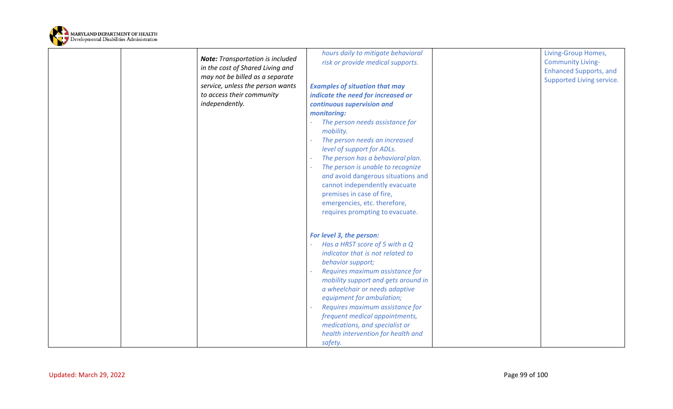

|                                         | hours daily to mitigate behavioral    | Living-Group Homes,           |
|-----------------------------------------|---------------------------------------|-------------------------------|
| <b>Note:</b> Transportation is included | risk or provide medical supports.     | <b>Community Living-</b>      |
| in the cost of Shared Living and        |                                       | <b>Enhanced Supports, and</b> |
| may not be billed as a separate         |                                       | Supported Living service.     |
| service, unless the person wants        | <b>Examples of situation that may</b> |                               |
| to access their community               | indicate the need for increased or    |                               |
| independently.                          | continuous supervision and            |                               |
|                                         | monitoring:                           |                               |
|                                         | The person needs assistance for       |                               |
|                                         | mobility.                             |                               |
|                                         | The person needs an increased         |                               |
|                                         | level of support for ADLs.            |                               |
|                                         | The person has a behavioral plan.     |                               |
|                                         | The person is unable to recognize     |                               |
|                                         | and avoid dangerous situations and    |                               |
|                                         | cannot independently evacuate         |                               |
|                                         | premises in case of fire,             |                               |
|                                         | emergencies, etc. therefore,          |                               |
|                                         | requires prompting to evacuate.       |                               |
|                                         |                                       |                               |
|                                         |                                       |                               |
|                                         | For level 3, the person:              |                               |
|                                         | Has a HRST score of 5 with a Q        |                               |
|                                         | indicator that is not related to      |                               |
|                                         | behavior support;                     |                               |
|                                         | Requires maximum assistance for       |                               |
|                                         | mobility support and gets around in   |                               |
|                                         | a wheelchair or needs adaptive        |                               |
|                                         | equipment for ambulation;             |                               |
|                                         | Requires maximum assistance for       |                               |
|                                         | frequent medical appointments,        |                               |
|                                         | medications, and specialist or        |                               |
|                                         | health intervention for health and    |                               |
|                                         | safety.                               |                               |